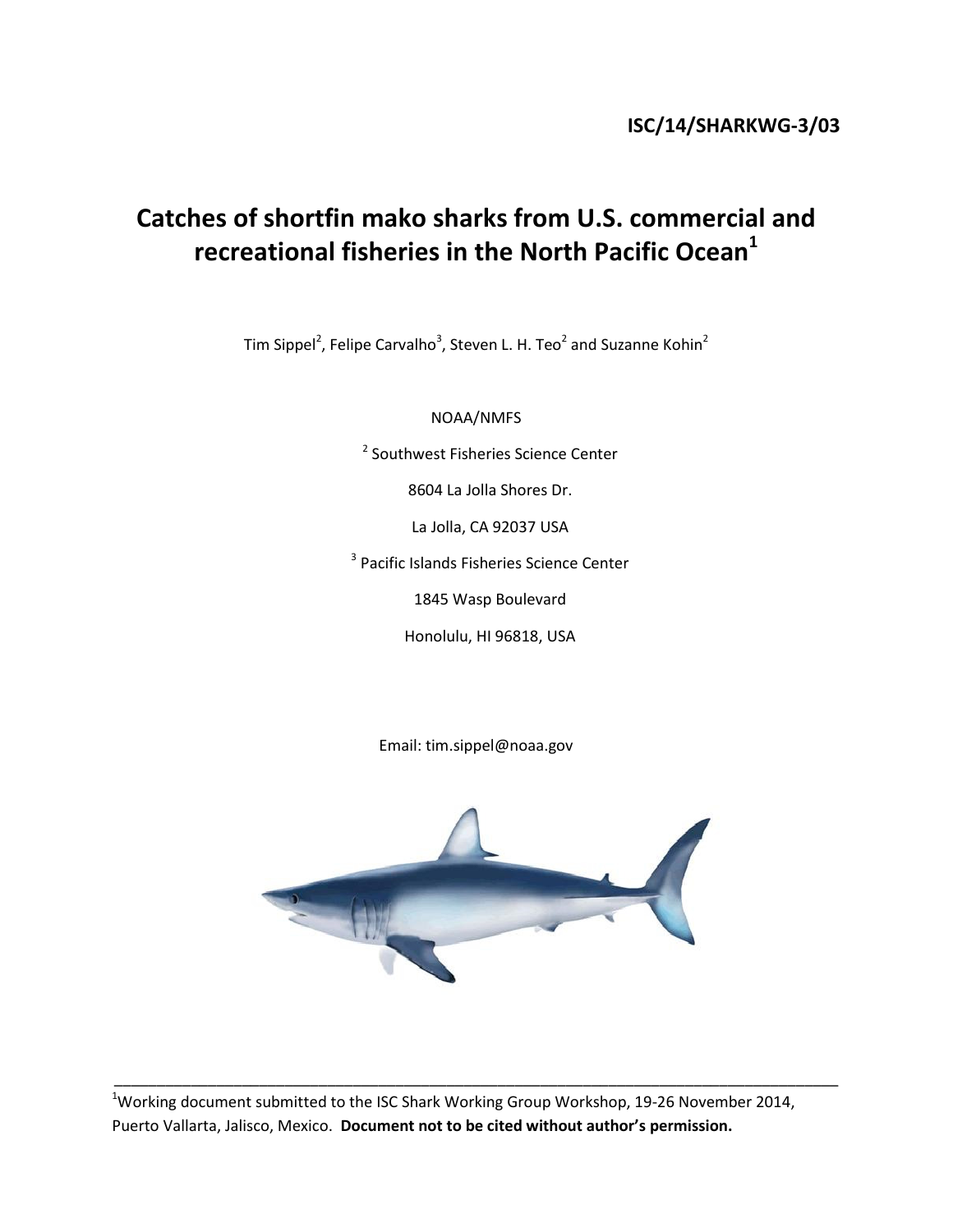# Catches of shortfin mako sharks from U.S. commercial and recreational fisheries in the North Pacific Ocean $^1$

Tim Sippel<sup>2</sup>, Felipe Carvalho<sup>3</sup>, Steven L. H. Teo<sup>2</sup> and Suzanne Kohin<sup>2</sup>

NOAA/NMFS

<sup>2</sup> Southwest Fisheries Science Center

8604 La Jolla Shores Dr.

La Jolla, CA 92037 USA

<sup>3</sup> Pacific Islands Fisheries Science Center

1845 Wasp Boulevard

Honolulu, HI 96818, USA

Email: tim.sippel@noaa.gov



<sup>1</sup>Working document submitted to the ISC Shark Working Group Workshop, 19-26 November 2014, Puerto Vallarta, Jalisco, Mexico. Document not to be cited without author's permission.

\_\_\_\_\_\_\_\_\_\_\_\_\_\_\_\_\_\_\_\_\_\_\_\_\_\_\_\_\_\_\_\_\_\_\_\_\_\_\_\_\_\_\_\_\_\_\_\_\_\_\_\_\_\_\_\_\_\_\_\_\_\_\_\_\_\_\_\_\_\_\_\_\_\_\_\_\_\_\_\_\_\_\_\_\_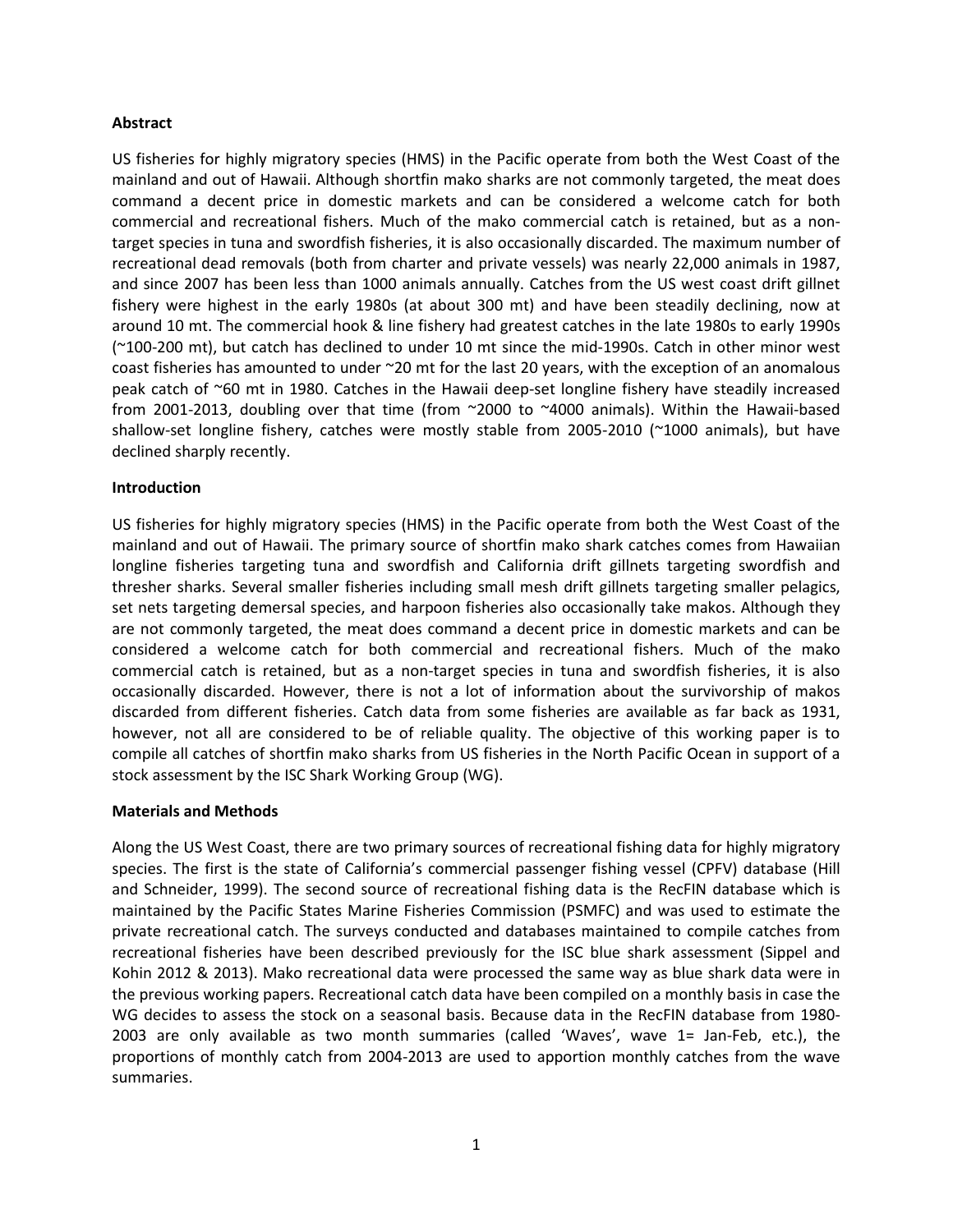### Abstract

US fisheries for highly migratory species (HMS) in the Pacific operate from both the West Coast of the mainland and out of Hawaii. Although shortfin mako sharks are not commonly targeted, the meat does command a decent price in domestic markets and can be considered a welcome catch for both commercial and recreational fishers. Much of the mako commercial catch is retained, but as a nontarget species in tuna and swordfish fisheries, it is also occasionally discarded. The maximum number of recreational dead removals (both from charter and private vessels) was nearly 22,000 animals in 1987, and since 2007 has been less than 1000 animals annually. Catches from the US west coast drift gillnet fishery were highest in the early 1980s (at about 300 mt) and have been steadily declining, now at around 10 mt. The commercial hook & line fishery had greatest catches in the late 1980s to early 1990s (~100-200 mt), but catch has declined to under 10 mt since the mid-1990s. Catch in other minor west coast fisheries has amounted to under ~20 mt for the last 20 years, with the exception of an anomalous peak catch of ~60 mt in 1980. Catches in the Hawaii deep-set longline fishery have steadily increased from 2001-2013, doubling over that time (from ~2000 to ~4000 animals). Within the Hawaii-based shallow-set longline fishery, catches were mostly stable from 2005-2010 (~1000 animals), but have declined sharply recently.

#### Introduction

US fisheries for highly migratory species (HMS) in the Pacific operate from both the West Coast of the mainland and out of Hawaii. The primary source of shortfin mako shark catches comes from Hawaiian longline fisheries targeting tuna and swordfish and California drift gillnets targeting swordfish and thresher sharks. Several smaller fisheries including small mesh drift gillnets targeting smaller pelagics, set nets targeting demersal species, and harpoon fisheries also occasionally take makos. Although they are not commonly targeted, the meat does command a decent price in domestic markets and can be considered a welcome catch for both commercial and recreational fishers. Much of the mako commercial catch is retained, but as a non-target species in tuna and swordfish fisheries, it is also occasionally discarded. However, there is not a lot of information about the survivorship of makos discarded from different fisheries. Catch data from some fisheries are available as far back as 1931, however, not all are considered to be of reliable quality. The objective of this working paper is to compile all catches of shortfin mako sharks from US fisheries in the North Pacific Ocean in support of a stock assessment by the ISC Shark Working Group (WG).

#### Materials and Methods

Along the US West Coast, there are two primary sources of recreational fishing data for highly migratory species. The first is the state of California's commercial passenger fishing vessel (CPFV) database (Hill and Schneider, 1999). The second source of recreational fishing data is the RecFIN database which is maintained by the Pacific States Marine Fisheries Commission (PSMFC) and was used to estimate the private recreational catch. The surveys conducted and databases maintained to compile catches from recreational fisheries have been described previously for the ISC blue shark assessment (Sippel and Kohin 2012 & 2013). Mako recreational data were processed the same way as blue shark data were in the previous working papers. Recreational catch data have been compiled on a monthly basis in case the WG decides to assess the stock on a seasonal basis. Because data in the RecFIN database from 1980- 2003 are only available as two month summaries (called 'Waves', wave 1= Jan-Feb, etc.), the proportions of monthly catch from 2004-2013 are used to apportion monthly catches from the wave summaries.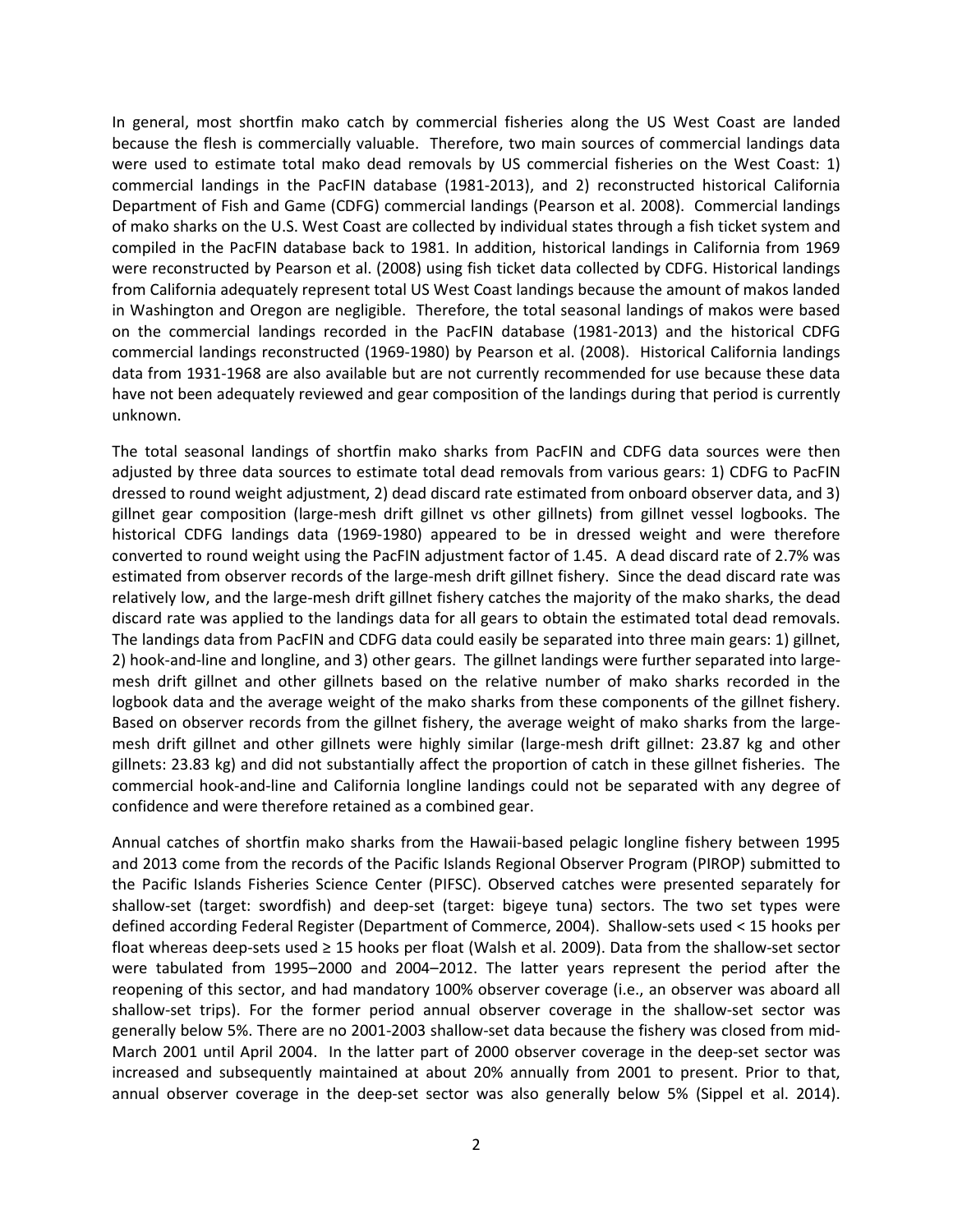In general, most shortfin mako catch by commercial fisheries along the US West Coast are landed because the flesh is commercially valuable. Therefore, two main sources of commercial landings data were used to estimate total mako dead removals by US commercial fisheries on the West Coast: 1) commercial landings in the PacFIN database (1981-2013), and 2) reconstructed historical California Department of Fish and Game (CDFG) commercial landings (Pearson et al. 2008). Commercial landings of mako sharks on the U.S. West Coast are collected by individual states through a fish ticket system and compiled in the PacFIN database back to 1981. In addition, historical landings in California from 1969 were reconstructed by Pearson et al. (2008) using fish ticket data collected by CDFG. Historical landings from California adequately represent total US West Coast landings because the amount of makos landed in Washington and Oregon are negligible. Therefore, the total seasonal landings of makos were based on the commercial landings recorded in the PacFIN database (1981-2013) and the historical CDFG commercial landings reconstructed (1969-1980) by Pearson et al. (2008). Historical California landings data from 1931-1968 are also available but are not currently recommended for use because these data have not been adequately reviewed and gear composition of the landings during that period is currently unknown.

The total seasonal landings of shortfin mako sharks from PacFIN and CDFG data sources were then adjusted by three data sources to estimate total dead removals from various gears: 1) CDFG to PacFIN dressed to round weight adjustment, 2) dead discard rate estimated from onboard observer data, and 3) gillnet gear composition (large-mesh drift gillnet vs other gillnets) from gillnet vessel logbooks. The historical CDFG landings data (1969-1980) appeared to be in dressed weight and were therefore converted to round weight using the PacFIN adjustment factor of 1.45. A dead discard rate of 2.7% was estimated from observer records of the large-mesh drift gillnet fishery. Since the dead discard rate was relatively low, and the large-mesh drift gillnet fishery catches the majority of the mako sharks, the dead discard rate was applied to the landings data for all gears to obtain the estimated total dead removals. The landings data from PacFIN and CDFG data could easily be separated into three main gears: 1) gillnet, 2) hook-and-line and longline, and 3) other gears. The gillnet landings were further separated into largemesh drift gillnet and other gillnets based on the relative number of mako sharks recorded in the logbook data and the average weight of the mako sharks from these components of the gillnet fishery. Based on observer records from the gillnet fishery, the average weight of mako sharks from the largemesh drift gillnet and other gillnets were highly similar (large-mesh drift gillnet: 23.87 kg and other gillnets: 23.83 kg) and did not substantially affect the proportion of catch in these gillnet fisheries. The commercial hook-and-line and California longline landings could not be separated with any degree of confidence and were therefore retained as a combined gear.

Annual catches of shortfin mako sharks from the Hawaii-based pelagic longline fishery between 1995 and 2013 come from the records of the Pacific Islands Regional Observer Program (PIROP) submitted to the Pacific Islands Fisheries Science Center (PIFSC). Observed catches were presented separately for shallow-set (target: swordfish) and deep-set (target: bigeye tuna) sectors. The two set types were defined according Federal Register (Department of Commerce, 2004). Shallow-sets used < 15 hooks per float whereas deep-sets used ≥ 15 hooks per float (Walsh et al. 2009). Data from the shallow-set sector were tabulated from 1995–2000 and 2004–2012. The latter years represent the period after the reopening of this sector, and had mandatory 100% observer coverage (i.e., an observer was aboard all shallow-set trips). For the former period annual observer coverage in the shallow-set sector was generally below 5%. There are no 2001-2003 shallow-set data because the fishery was closed from mid-March 2001 until April 2004. In the latter part of 2000 observer coverage in the deep-set sector was increased and subsequently maintained at about 20% annually from 2001 to present. Prior to that, annual observer coverage in the deep-set sector was also generally below 5% (Sippel et al. 2014).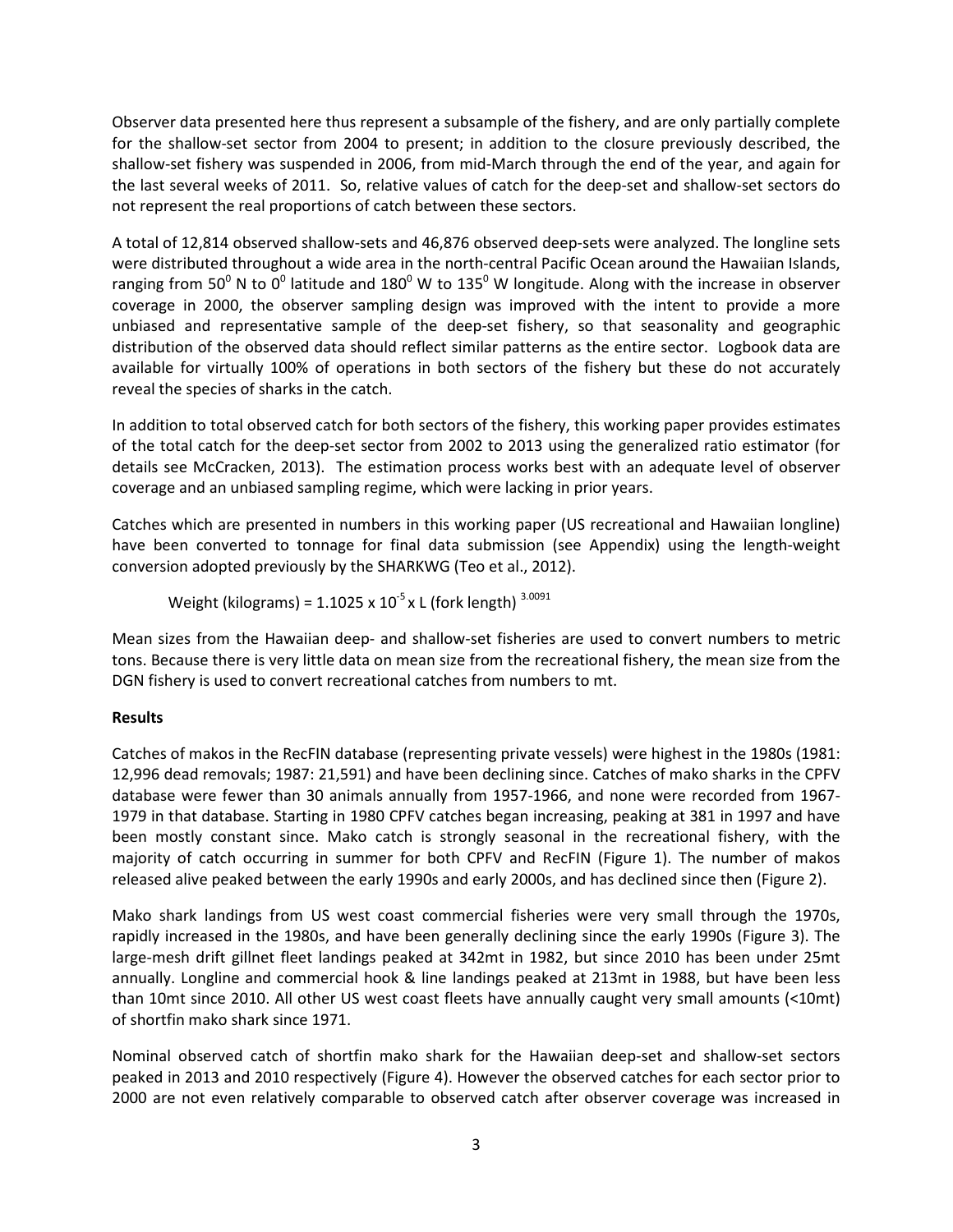Observer data presented here thus represent a subsample of the fishery, and are only partially complete for the shallow-set sector from 2004 to present; in addition to the closure previously described, the shallow-set fishery was suspended in 2006, from mid-March through the end of the year, and again for the last several weeks of 2011. So, relative values of catch for the deep-set and shallow-set sectors do not represent the real proportions of catch between these sectors.

A total of 12,814 observed shallow-sets and 46,876 observed deep-sets were analyzed. The longline sets were distributed throughout a wide area in the north-central Pacific Ocean around the Hawaiian Islands, ranging from 50<sup>0</sup> N to 0<sup>0</sup> latitude and 180<sup>0</sup> W to 135<sup>0</sup> W longitude. Along with the increase in observer coverage in 2000, the observer sampling design was improved with the intent to provide a more unbiased and representative sample of the deep-set fishery, so that seasonality and geographic distribution of the observed data should reflect similar patterns as the entire sector. Logbook data are available for virtually 100% of operations in both sectors of the fishery but these do not accurately reveal the species of sharks in the catch.

In addition to total observed catch for both sectors of the fishery, this working paper provides estimates of the total catch for the deep-set sector from 2002 to 2013 using the generalized ratio estimator (for details see McCracken, 2013). The estimation process works best with an adequate level of observer coverage and an unbiased sampling regime, which were lacking in prior years.

Catches which are presented in numbers in this working paper (US recreational and Hawaiian longline) have been converted to tonnage for final data submission (see Appendix) using the length-weight conversion adopted previously by the SHARKWG (Teo et al., 2012).

Weight (kilograms) =  $1.1025 \times 10^{-5} \times$  L (fork length)  $3.0091$ 

Mean sizes from the Hawaiian deep- and shallow-set fisheries are used to convert numbers to metric tons. Because there is very little data on mean size from the recreational fishery, the mean size from the DGN fishery is used to convert recreational catches from numbers to mt.

## Results

Catches of makos in the RecFIN database (representing private vessels) were highest in the 1980s (1981: 12,996 dead removals; 1987: 21,591) and have been declining since. Catches of mako sharks in the CPFV database were fewer than 30 animals annually from 1957-1966, and none were recorded from 1967- 1979 in that database. Starting in 1980 CPFV catches began increasing, peaking at 381 in 1997 and have been mostly constant since. Mako catch is strongly seasonal in the recreational fishery, with the majority of catch occurring in summer for both CPFV and RecFIN (Figure 1). The number of makos released alive peaked between the early 1990s and early 2000s, and has declined since then (Figure 2).

Mako shark landings from US west coast commercial fisheries were very small through the 1970s, rapidly increased in the 1980s, and have been generally declining since the early 1990s (Figure 3). The large-mesh drift gillnet fleet landings peaked at 342mt in 1982, but since 2010 has been under 25mt annually. Longline and commercial hook & line landings peaked at 213mt in 1988, but have been less than 10mt since 2010. All other US west coast fleets have annually caught very small amounts (<10mt) of shortfin mako shark since 1971.

Nominal observed catch of shortfin mako shark for the Hawaiian deep-set and shallow-set sectors peaked in 2013 and 2010 respectively (Figure 4). However the observed catches for each sector prior to 2000 are not even relatively comparable to observed catch after observer coverage was increased in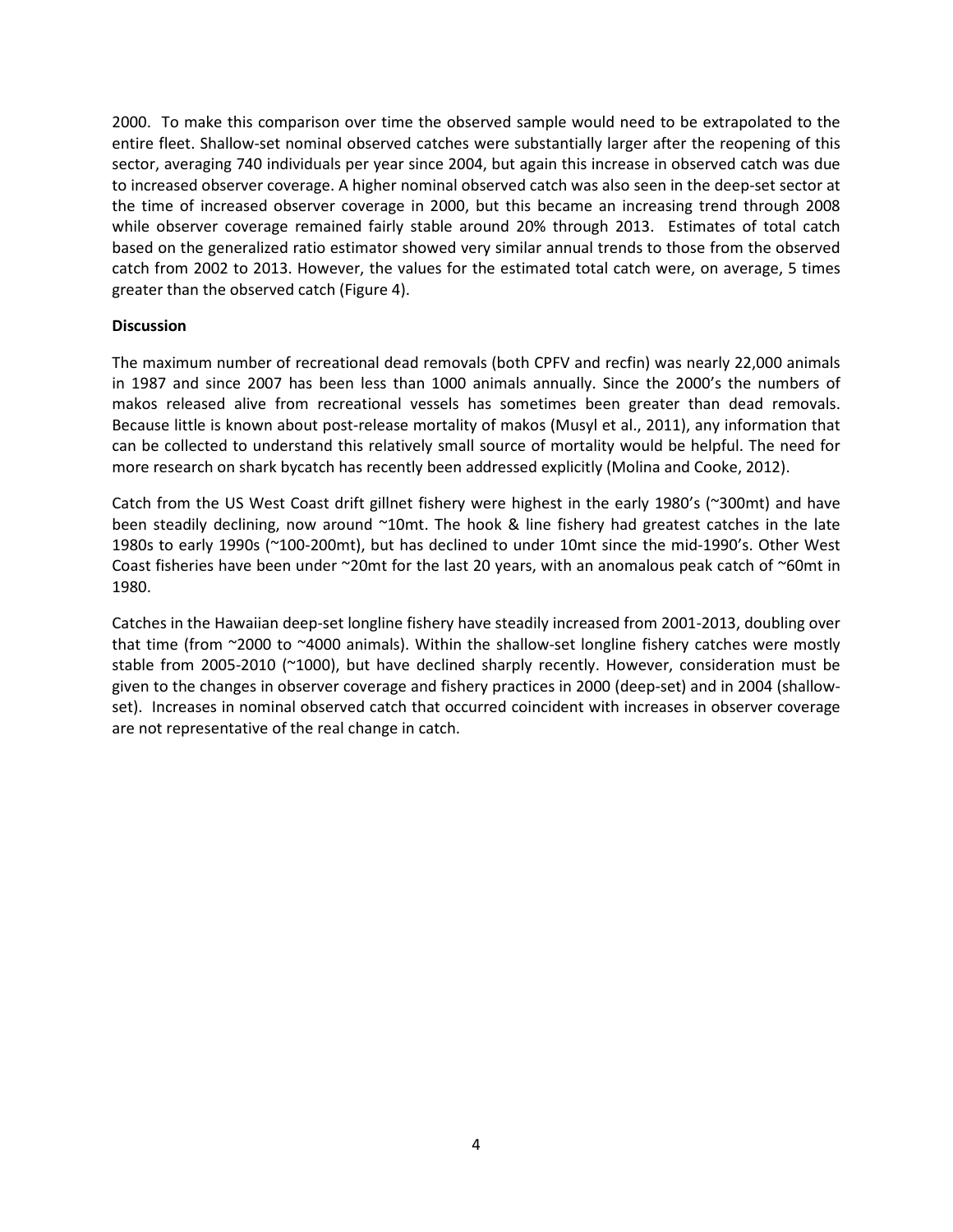2000. To make this comparison over time the observed sample would need to be extrapolated to the entire fleet. Shallow-set nominal observed catches were substantially larger after the reopening of this sector, averaging 740 individuals per year since 2004, but again this increase in observed catch was due to increased observer coverage. A higher nominal observed catch was also seen in the deep-set sector at the time of increased observer coverage in 2000, but this became an increasing trend through 2008 while observer coverage remained fairly stable around 20% through 2013. Estimates of total catch based on the generalized ratio estimator showed very similar annual trends to those from the observed catch from 2002 to 2013. However, the values for the estimated total catch were, on average, 5 times greater than the observed catch (Figure 4).

### **Discussion**

The maximum number of recreational dead removals (both CPFV and recfin) was nearly 22,000 animals in 1987 and since 2007 has been less than 1000 animals annually. Since the 2000's the numbers of makos released alive from recreational vessels has sometimes been greater than dead removals. Because little is known about post-release mortality of makos (Musyl et al., 2011), any information that can be collected to understand this relatively small source of mortality would be helpful. The need for more research on shark bycatch has recently been addressed explicitly (Molina and Cooke, 2012).

Catch from the US West Coast drift gillnet fishery were highest in the early 1980's (~300mt) and have been steadily declining, now around ~10mt. The hook & line fishery had greatest catches in the late 1980s to early 1990s (~100-200mt), but has declined to under 10mt since the mid-1990's. Other West Coast fisheries have been under ~20mt for the last 20 years, with an anomalous peak catch of ~60mt in 1980.

Catches in the Hawaiian deep-set longline fishery have steadily increased from 2001-2013, doubling over that time (from ~2000 to ~4000 animals). Within the shallow-set longline fishery catches were mostly stable from 2005-2010 (~1000), but have declined sharply recently. However, consideration must be given to the changes in observer coverage and fishery practices in 2000 (deep-set) and in 2004 (shallowset). Increases in nominal observed catch that occurred coincident with increases in observer coverage are not representative of the real change in catch.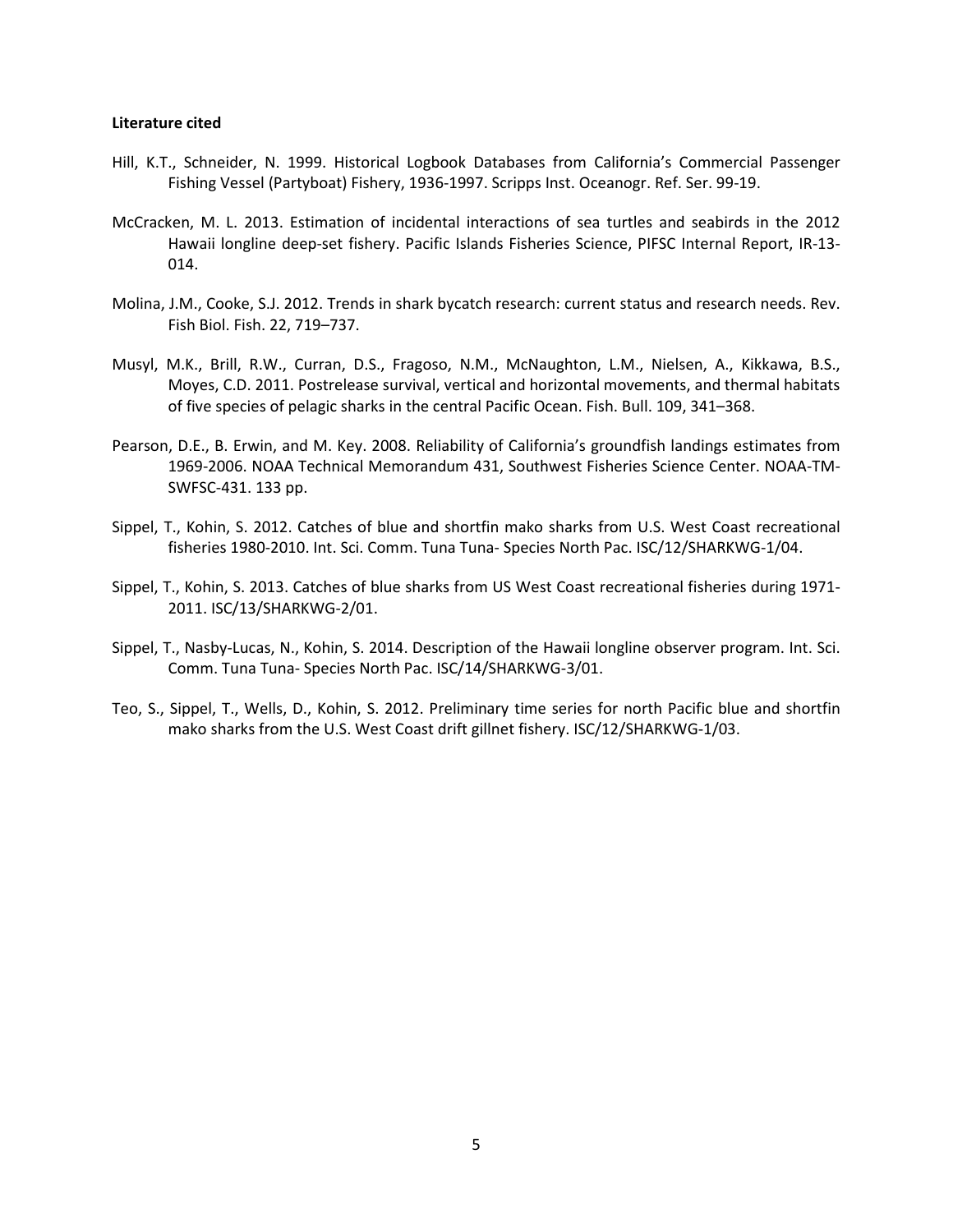#### Literature cited

- Hill, K.T., Schneider, N. 1999. Historical Logbook Databases from California's Commercial Passenger Fishing Vessel (Partyboat) Fishery, 1936-1997. Scripps Inst. Oceanogr. Ref. Ser. 99-19.
- McCracken, M. L. 2013. Estimation of incidental interactions of sea turtles and seabirds in the 2012 Hawaii longline deep-set fishery. Pacific Islands Fisheries Science, PIFSC Internal Report, IR-13- 014.
- Molina, J.M., Cooke, S.J. 2012. Trends in shark bycatch research: current status and research needs. Rev. Fish Biol. Fish. 22, 719–737.
- Musyl, M.K., Brill, R.W., Curran, D.S., Fragoso, N.M., McNaughton, L.M., Nielsen, A., Kikkawa, B.S., Moyes, C.D. 2011. Postrelease survival, vertical and horizontal movements, and thermal habitats of five species of pelagic sharks in the central Pacific Ocean. Fish. Bull. 109, 341–368.
- Pearson, D.E., B. Erwin, and M. Key. 2008. Reliability of California's groundfish landings estimates from 1969-2006. NOAA Technical Memorandum 431, Southwest Fisheries Science Center. NOAA-TM-SWFSC-431. 133 pp.
- Sippel, T., Kohin, S. 2012. Catches of blue and shortfin mako sharks from U.S. West Coast recreational fisheries 1980-2010. Int. Sci. Comm. Tuna Tuna- Species North Pac. ISC/12/SHARKWG-1/04.
- Sippel, T., Kohin, S. 2013. Catches of blue sharks from US West Coast recreational fisheries during 1971- 2011. ISC/13/SHARKWG-2/01.
- Sippel, T., Nasby-Lucas, N., Kohin, S. 2014. Description of the Hawaii longline observer program. Int. Sci. Comm. Tuna Tuna- Species North Pac. ISC/14/SHARKWG-3/01.
- Teo, S., Sippel, T., Wells, D., Kohin, S. 2012. Preliminary time series for north Pacific blue and shortfin mako sharks from the U.S. West Coast drift gillnet fishery. ISC/12/SHARKWG-1/03.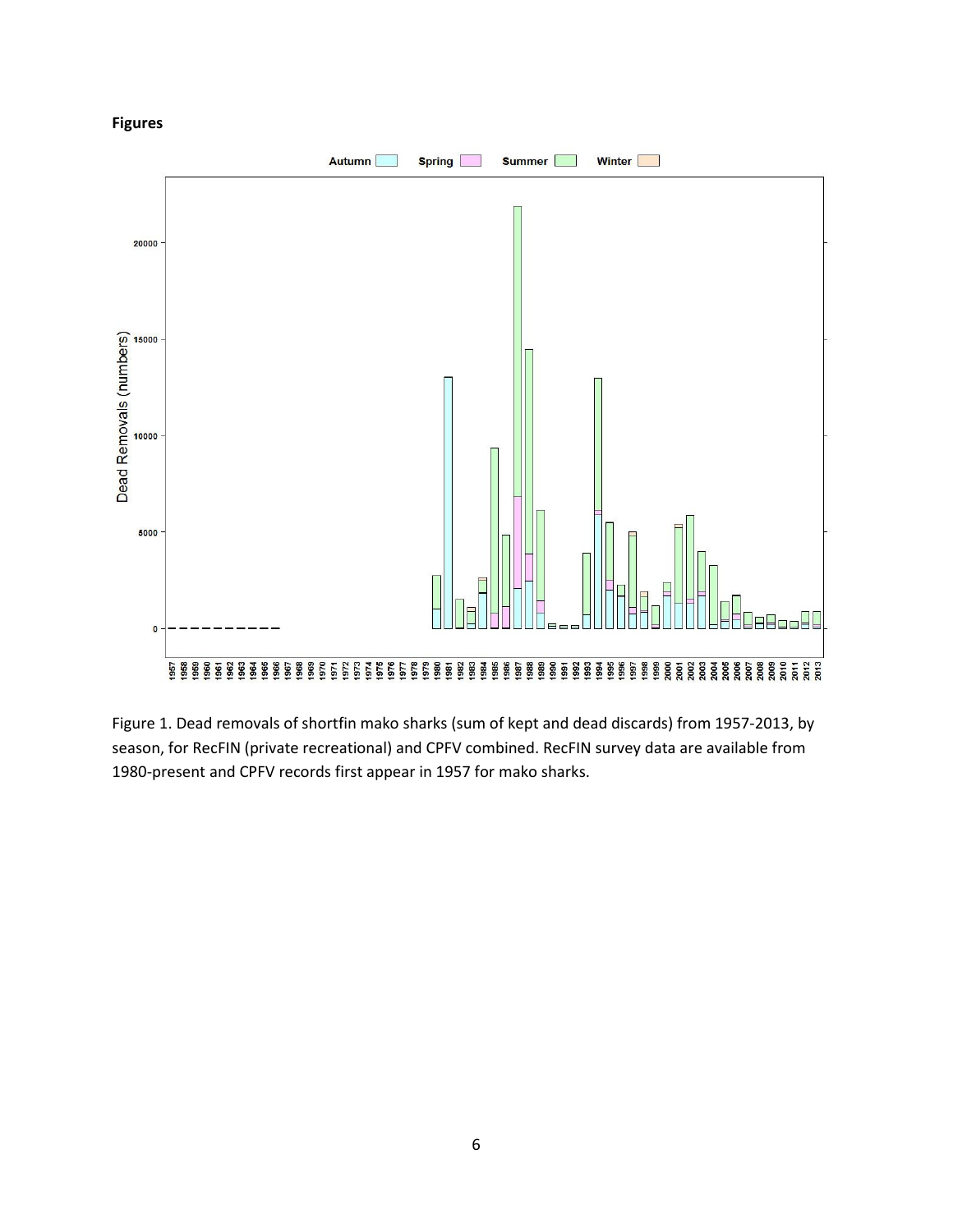## Figures



Figure 1. Dead removals of shortfin mako sharks (sum of kept and dead discards) from 1957-2013, by season, for RecFIN (private recreational) and CPFV combined. RecFIN survey data are available from 1980-present and CPFV records first appear in 1957 for mako sharks.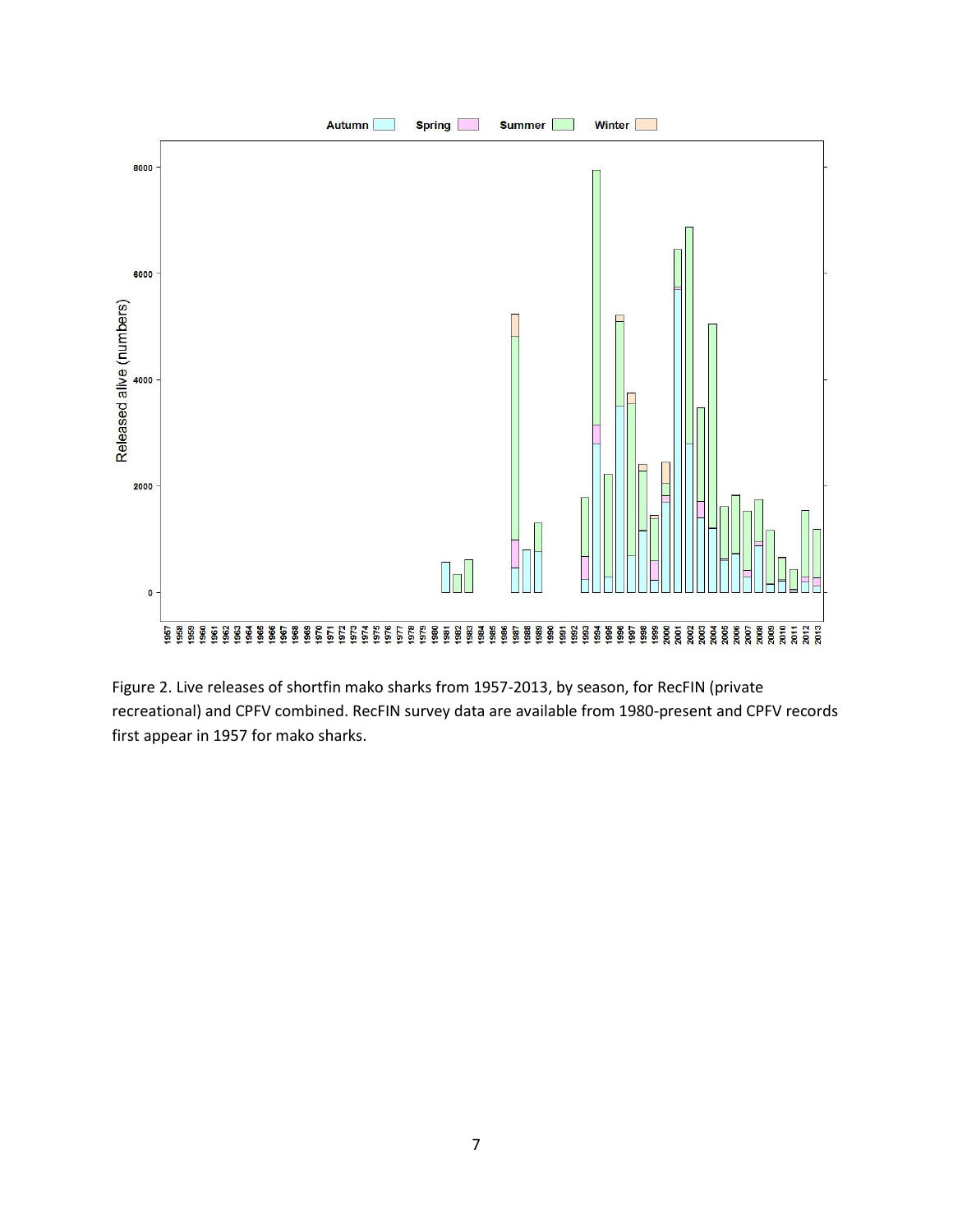

Figure 2. Live releases of shortfin mako sharks from 1957-2013, by season, for RecFIN (private recreational) and CPFV combined. RecFIN survey data are available from 1980-present and CPFV records first appear in 1957 for mako sharks.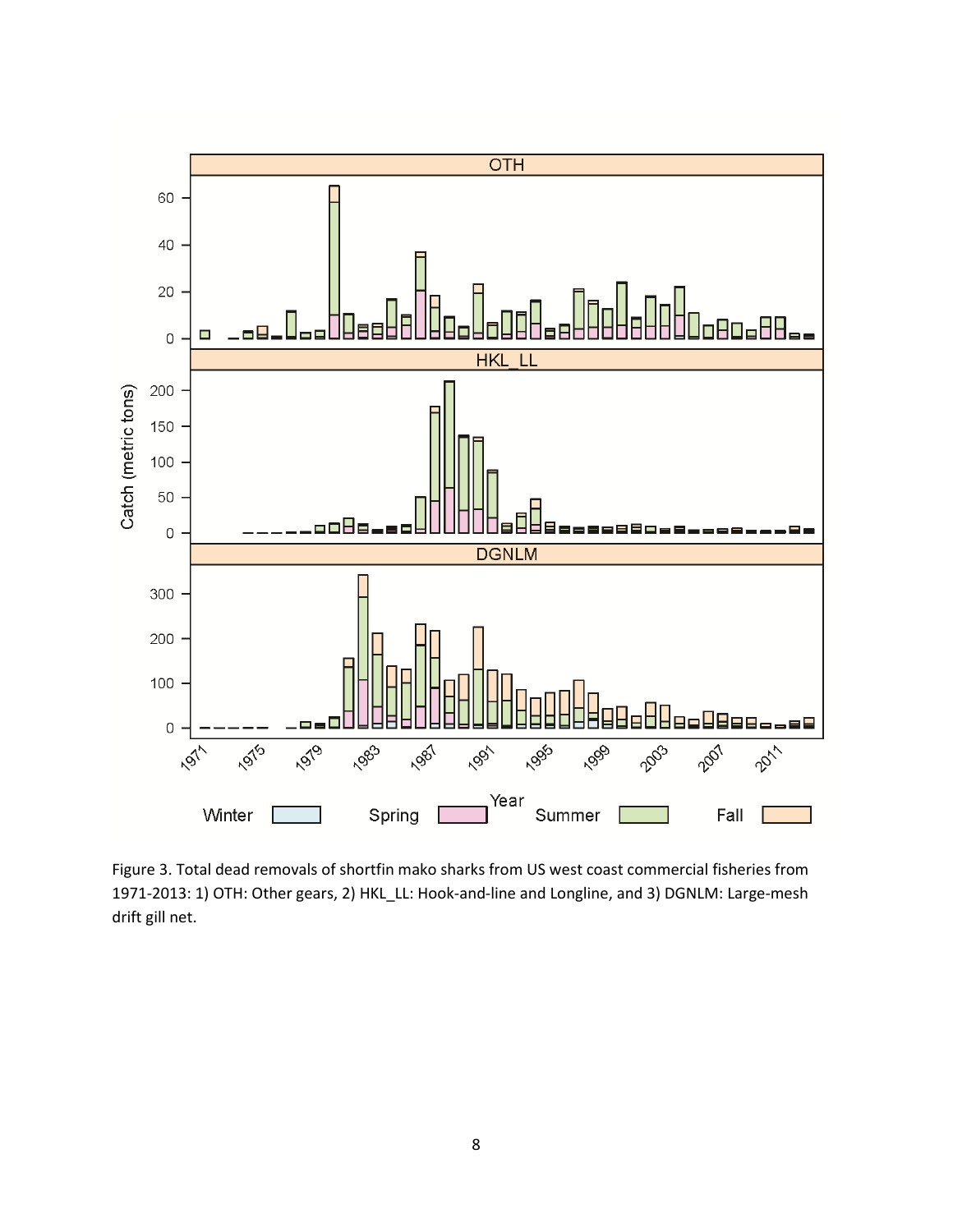

Figure 3. Total dead removals of shortfin mako sharks from US west coast commercial fisheries from 1971-2013: 1) OTH: Other gears, 2) HKL\_LL: Hook-and-line and Longline, and 3) DGNLM: Large-mesh drift gill net.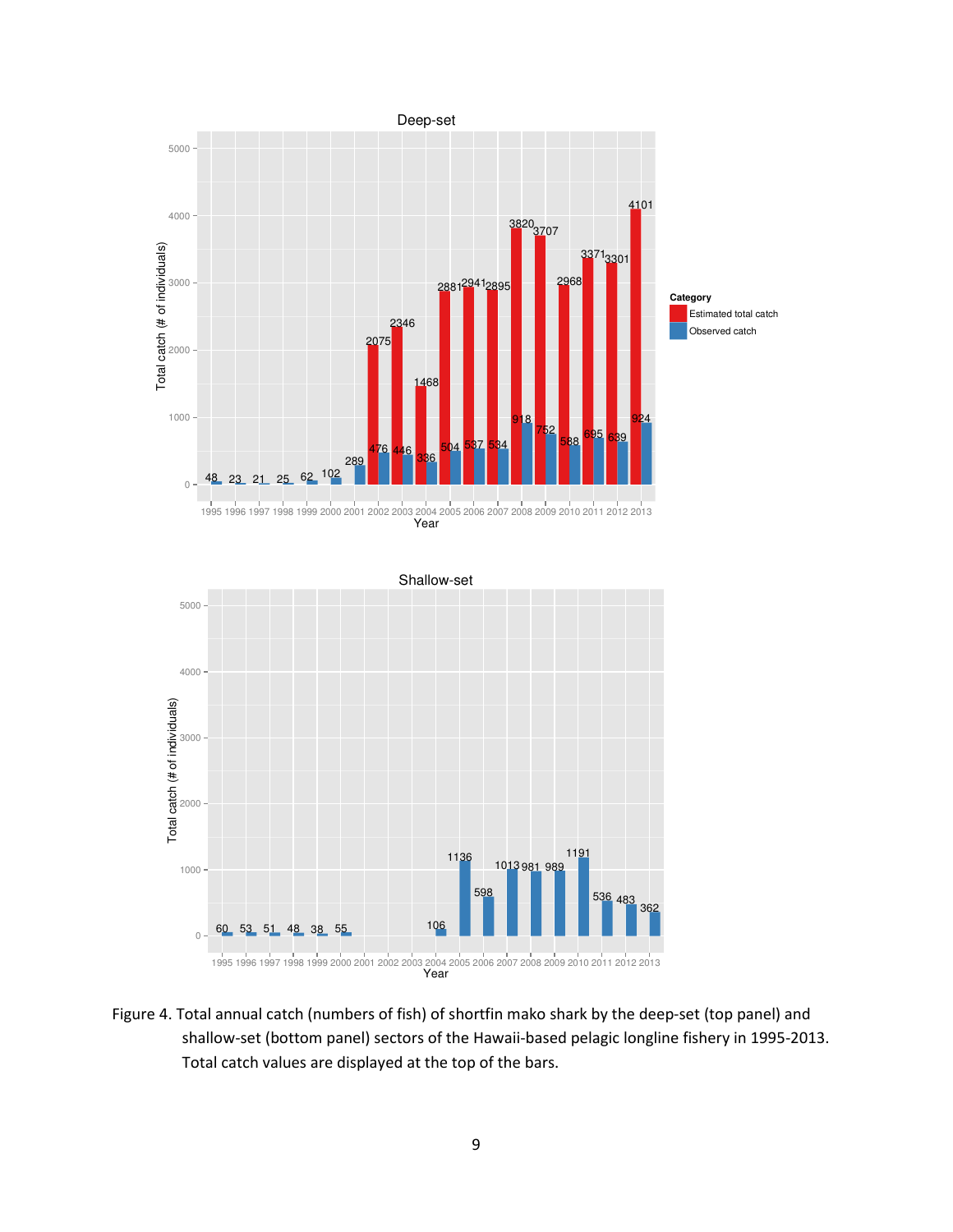

Figure 4. Total annual catch (numbers of fish) of shortfin mako shark by the deep-set (top panel) and shallow-set (bottom panel) sectors of the Hawaii-based pelagic longline fishery in 1995-2013. Total catch values are displayed at the top of the bars.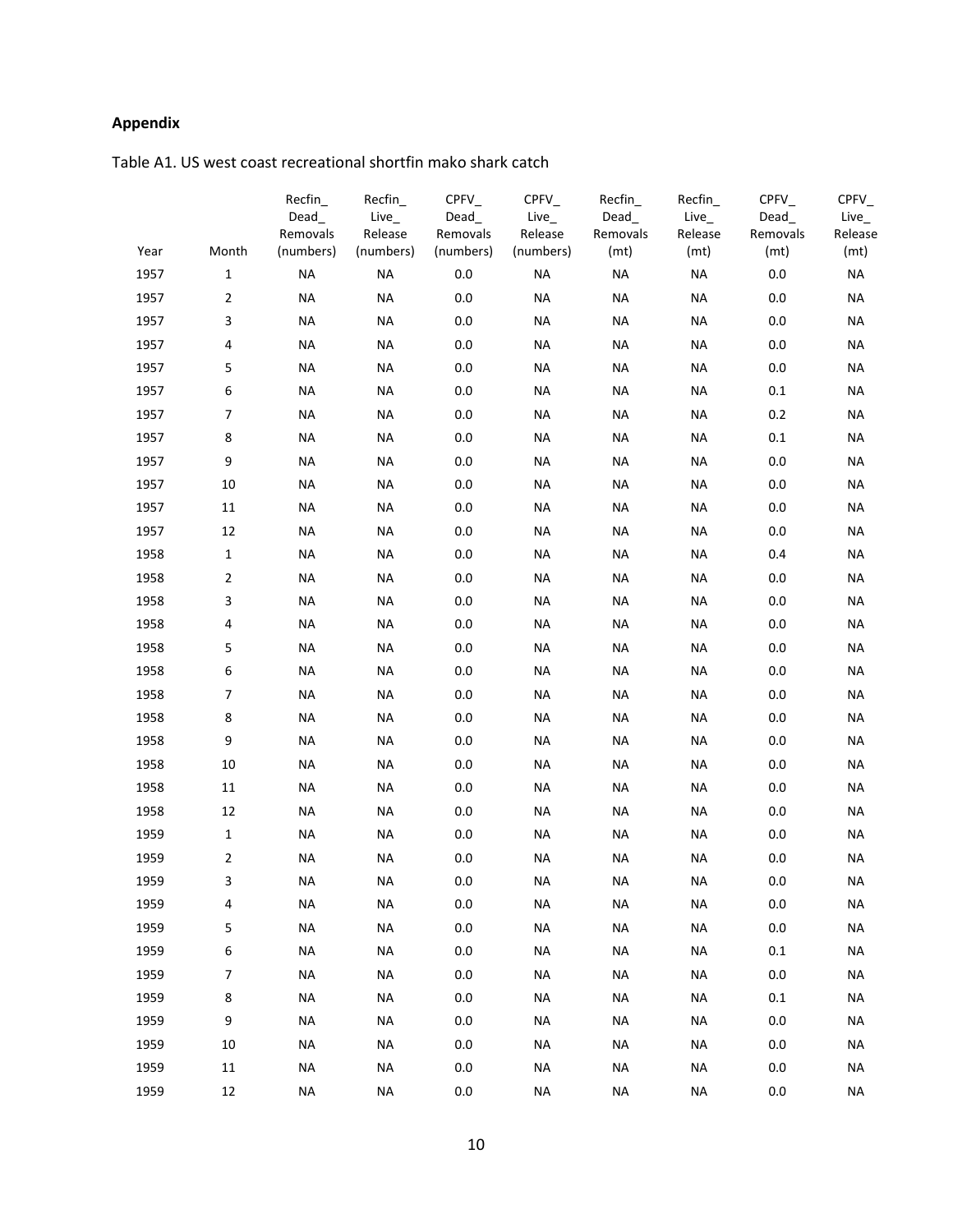## Appendix

| Year | Month          | Recfin_<br>$Dead_$<br>Removals<br>(numbers) | Recfin<br>$Live_$<br>Release<br>(numbers) | $CPFV_$<br>Dead<br>Removals<br>(numbers) | $C$ PFV $_{-}$<br>$Live_$<br>Release<br>(numbers) | Recfin<br>Dead_<br>Removals<br>(mt) | Recfin_<br>$Live_$<br>Release<br>(mt) | $C$ PFV $_{-}$<br>$Dead_$<br>Removals<br>(mt) | $C$ PFV $_{-}$<br>Live_<br>Release<br>(mt) |
|------|----------------|---------------------------------------------|-------------------------------------------|------------------------------------------|---------------------------------------------------|-------------------------------------|---------------------------------------|-----------------------------------------------|--------------------------------------------|
| 1957 | $\mathbf{1}$   | <b>NA</b>                                   | <b>NA</b>                                 | 0.0                                      | <b>NA</b>                                         | <b>NA</b>                           | <b>NA</b>                             | 0.0                                           | <b>NA</b>                                  |
| 1957 | $\overline{2}$ | <b>NA</b>                                   | <b>NA</b>                                 | 0.0                                      | NA                                                | <b>NA</b>                           | <b>NA</b>                             | 0.0                                           | <b>NA</b>                                  |
| 1957 | 3              | <b>NA</b>                                   | <b>NA</b>                                 | 0.0                                      | <b>NA</b>                                         | <b>NA</b>                           | <b>NA</b>                             | 0.0                                           | <b>NA</b>                                  |
| 1957 | 4              | <b>NA</b>                                   | <b>NA</b>                                 | 0.0                                      | NA                                                | <b>NA</b>                           | <b>NA</b>                             | 0.0                                           | <b>NA</b>                                  |
| 1957 | 5              | <b>NA</b>                                   | <b>NA</b>                                 | 0.0                                      | <b>NA</b>                                         | <b>NA</b>                           | <b>NA</b>                             | 0.0                                           | <b>NA</b>                                  |
| 1957 | 6              | <b>NA</b>                                   | <b>NA</b>                                 | 0.0                                      | <b>NA</b>                                         | <b>NA</b>                           | <b>NA</b>                             | 0.1                                           | <b>NA</b>                                  |
| 1957 | 7              | <b>NA</b>                                   | <b>NA</b>                                 | 0.0                                      | <b>NA</b>                                         | <b>NA</b>                           | NA                                    | 0.2                                           | <b>NA</b>                                  |
| 1957 | 8              | <b>NA</b>                                   | <b>NA</b>                                 | 0.0                                      | NA                                                | <b>NA</b>                           | <b>NA</b>                             | 0.1                                           | <b>NA</b>                                  |
| 1957 | 9              | <b>NA</b>                                   | <b>NA</b>                                 | 0.0                                      | <b>NA</b>                                         | <b>NA</b>                           | <b>NA</b>                             | 0.0                                           | <b>NA</b>                                  |
| 1957 | 10             | <b>NA</b>                                   | <b>NA</b>                                 | 0.0                                      | <b>NA</b>                                         | <b>NA</b>                           | <b>NA</b>                             | 0.0                                           | <b>NA</b>                                  |
| 1957 | 11             | <b>NA</b>                                   | <b>NA</b>                                 | 0.0                                      | <b>NA</b>                                         | <b>NA</b>                           | <b>NA</b>                             | 0.0                                           | <b>NA</b>                                  |
| 1957 | 12             | <b>NA</b>                                   | <b>NA</b>                                 | 0.0                                      | NA                                                | <b>NA</b>                           | <b>NA</b>                             | 0.0                                           | <b>NA</b>                                  |
| 1958 | $\mathbf{1}$   | <b>NA</b>                                   | <b>NA</b>                                 | 0.0                                      | <b>NA</b>                                         | <b>NA</b>                           | <b>NA</b>                             | 0.4                                           | <b>NA</b>                                  |
| 1958 | $\overline{2}$ | <b>NA</b>                                   | <b>NA</b>                                 | 0.0                                      | <b>NA</b>                                         | <b>NA</b>                           | <b>NA</b>                             | 0.0                                           | <b>NA</b>                                  |
| 1958 | 3              | <b>NA</b>                                   | <b>NA</b>                                 | 0.0                                      | <b>NA</b>                                         | <b>NA</b>                           | <b>NA</b>                             | 0.0                                           | <b>NA</b>                                  |
| 1958 | 4              | <b>NA</b>                                   | <b>NA</b>                                 | 0.0                                      | NA                                                | <b>NA</b>                           | <b>NA</b>                             | 0.0                                           | <b>NA</b>                                  |
| 1958 | 5              | <b>NA</b>                                   | <b>NA</b>                                 | 0.0                                      | NA                                                | <b>NA</b>                           | <b>NA</b>                             | 0.0                                           | <b>NA</b>                                  |
| 1958 | 6              | <b>NA</b>                                   | <b>NA</b>                                 | 0.0                                      | <b>NA</b>                                         | <b>NA</b>                           | <b>NA</b>                             | 0.0                                           | <b>NA</b>                                  |
| 1958 | 7              | <b>NA</b>                                   | <b>NA</b>                                 | 0.0                                      | <b>NA</b>                                         | <b>NA</b>                           | <b>NA</b>                             | 0.0                                           | <b>NA</b>                                  |
| 1958 | 8              | <b>NA</b>                                   | <b>NA</b>                                 | 0.0                                      | NA                                                | <b>NA</b>                           | <b>NA</b>                             | 0.0                                           | <b>NA</b>                                  |
| 1958 | 9              | <b>NA</b>                                   | <b>NA</b>                                 | 0.0                                      | <b>NA</b>                                         | <b>NA</b>                           | <b>NA</b>                             | 0.0                                           | <b>NA</b>                                  |
| 1958 | 10             | <b>NA</b>                                   | <b>NA</b>                                 | 0.0                                      | <b>NA</b>                                         | <b>NA</b>                           | NA                                    | 0.0                                           | <b>NA</b>                                  |
| 1958 | 11             | <b>NA</b>                                   | <b>NA</b>                                 | 0.0                                      | <b>NA</b>                                         | <b>NA</b>                           | <b>NA</b>                             | 0.0                                           | <b>NA</b>                                  |
| 1958 | 12             | <b>NA</b>                                   | <b>NA</b>                                 | 0.0                                      | NA                                                | <b>NA</b>                           | <b>NA</b>                             | 0.0                                           | <b>NA</b>                                  |
| 1959 | $\mathbf{1}$   | <b>NA</b>                                   | <b>NA</b>                                 | 0.0                                      | <b>NA</b>                                         | <b>NA</b>                           | <b>NA</b>                             | 0.0                                           | <b>NA</b>                                  |
| 1959 | $\overline{2}$ | <b>NA</b>                                   | <b>NA</b>                                 | 0.0                                      | <b>NA</b>                                         | <b>NA</b>                           | <b>NA</b>                             | 0.0                                           | <b>NA</b>                                  |
| 1959 | 3              | NA                                          | <b>NA</b>                                 | 0.0                                      | ΝA                                                | NA                                  | NA                                    | 0.0                                           | NA                                         |
| 1959 | 4              | NA                                          | <b>NA</b>                                 | 0.0                                      | NА                                                | <b>NA</b>                           | NA                                    | $0.0\,$                                       | <b>NA</b>                                  |
| 1959 | 5              | <b>NA</b>                                   | <b>NA</b>                                 | 0.0                                      | <b>NA</b>                                         | <b>NA</b>                           | <b>NA</b>                             | 0.0                                           | <b>NA</b>                                  |
| 1959 | 6              | <b>NA</b>                                   | <b>NA</b>                                 | 0.0                                      | NA                                                | <b>NA</b>                           | <b>NA</b>                             | 0.1                                           | <b>NA</b>                                  |
| 1959 | $\overline{7}$ | <b>NA</b>                                   | <b>NA</b>                                 | 0.0                                      | <b>NA</b>                                         | <b>NA</b>                           | <b>NA</b>                             | 0.0                                           | <b>NA</b>                                  |
| 1959 | 8              | NA                                          | <b>NA</b>                                 | 0.0                                      | NA                                                | <b>NA</b>                           | NA                                    | 0.1                                           | <b>NA</b>                                  |
| 1959 | 9              | <b>NA</b>                                   | <b>NA</b>                                 | 0.0                                      | <b>NA</b>                                         | <b>NA</b>                           | <b>NA</b>                             | 0.0                                           | <b>NA</b>                                  |
| 1959 | 10             | <b>NA</b>                                   | <b>NA</b>                                 | 0.0                                      | NA                                                | <b>NA</b>                           | <b>NA</b>                             | 0.0                                           | <b>NA</b>                                  |
| 1959 | 11             | NA                                          | <b>NA</b>                                 | 0.0                                      | NA                                                | <b>NA</b>                           | <b>NA</b>                             | 0.0                                           | <b>NA</b>                                  |
|      |                |                                             |                                           |                                          |                                                   |                                     |                                       |                                               |                                            |

Table A1. US west coast recreational shortfin mako shark catch

1959 12 NA NA 0.0 NA NA NA 0.0 NA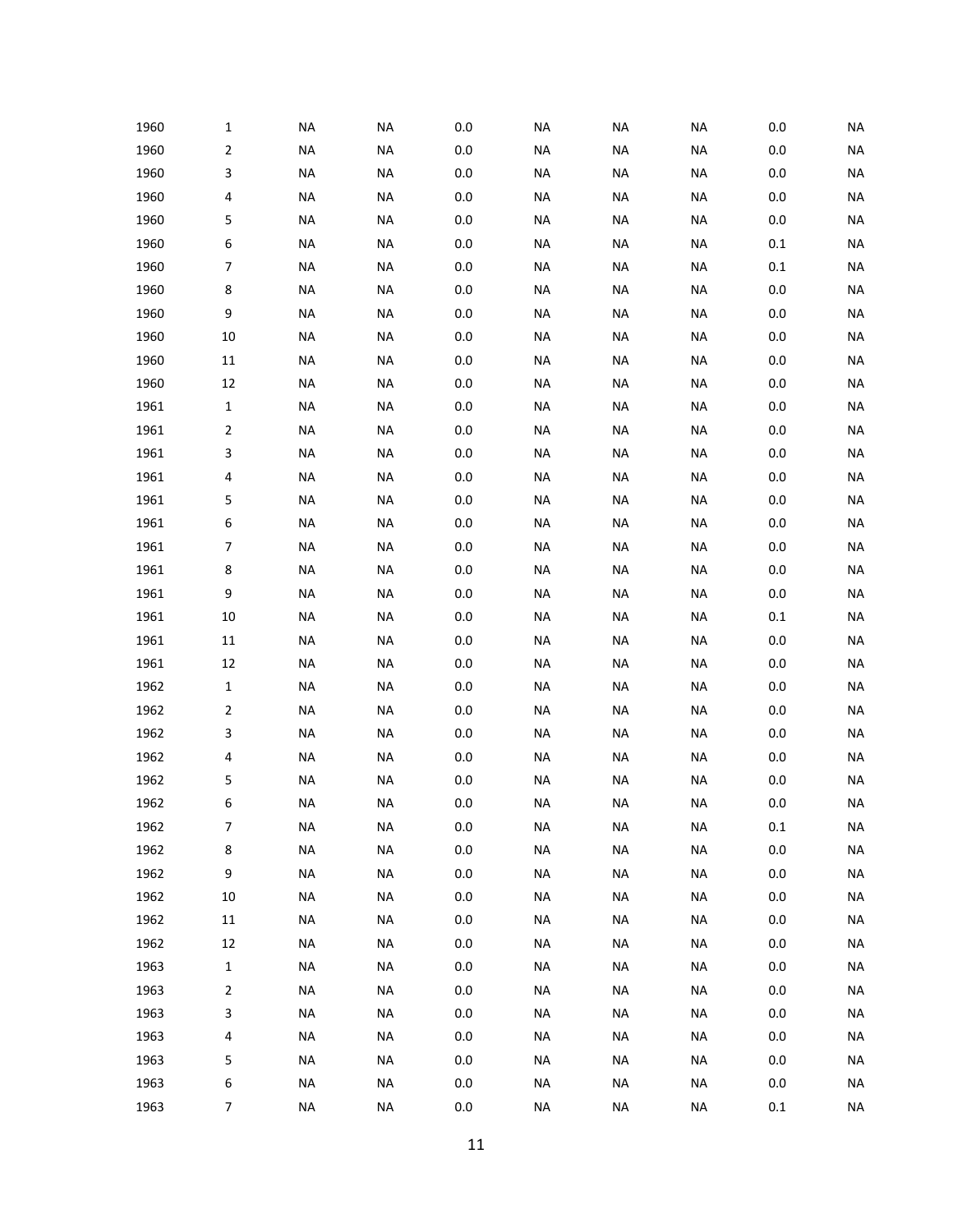| 1960 | 1              | <b>NA</b> | <b>NA</b> | 0.0     | <b>NA</b> | <b>NA</b> | <b>NA</b> | 0.0     | <b>NA</b> |
|------|----------------|-----------|-----------|---------|-----------|-----------|-----------|---------|-----------|
| 1960 | $\overline{2}$ | <b>NA</b> | <b>NA</b> | $0.0\,$ | <b>NA</b> | <b>NA</b> | <b>NA</b> | $0.0\,$ | <b>NA</b> |
| 1960 | 3              | <b>NA</b> | <b>NA</b> | 0.0     | <b>NA</b> | <b>NA</b> | <b>NA</b> | $0.0\,$ | <b>NA</b> |
| 1960 | 4              | <b>NA</b> | <b>NA</b> | $0.0\,$ | <b>NA</b> | <b>NA</b> | <b>NA</b> | $0.0\,$ | <b>NA</b> |
| 1960 | 5              | <b>NA</b> | <b>NA</b> | $0.0\,$ | <b>NA</b> | <b>NA</b> | <b>NA</b> | 0.0     | <b>NA</b> |
| 1960 | 6              | <b>NA</b> | <b>NA</b> | $0.0\,$ | <b>NA</b> | <b>NA</b> | NA        | $0.1\,$ | <b>NA</b> |
| 1960 | $\overline{7}$ | <b>NA</b> | <b>NA</b> | 0.0     | NA        | <b>NA</b> | NA        | $0.1\,$ | <b>NA</b> |
| 1960 | 8              | <b>NA</b> | <b>NA</b> | $0.0\,$ | <b>NA</b> | <b>NA</b> | <b>NA</b> | $0.0\,$ | <b>NA</b> |
| 1960 | 9              | <b>NA</b> | <b>NA</b> | $0.0\,$ | NA        | NA        | NA        | 0.0     | <b>NA</b> |
| 1960 | 10             | <b>NA</b> | <b>NA</b> | $0.0\,$ | NA        | <b>NA</b> | <b>NA</b> | $0.0\,$ | <b>NA</b> |
| 1960 | $11\,$         | <b>NA</b> | <b>NA</b> | 0.0     | <b>NA</b> | <b>NA</b> | <b>NA</b> | 0.0     | <b>NA</b> |
| 1960 | 12             | <b>NA</b> | <b>NA</b> | $0.0\,$ | <b>NA</b> | <b>NA</b> | <b>NA</b> | $0.0\,$ | <b>NA</b> |
| 1961 | $\mathbf{1}$   | <b>NA</b> | <b>NA</b> | $0.0\,$ | <b>NA</b> | <b>NA</b> | <b>NA</b> | 0.0     | <b>NA</b> |
| 1961 | 2              | <b>NA</b> | <b>NA</b> | $0.0\,$ | <b>NA</b> | <b>NA</b> | <b>NA</b> | $0.0\,$ | <b>NA</b> |
| 1961 | 3              | <b>NA</b> | <b>NA</b> | 0.0     | <b>NA</b> | <b>NA</b> | <b>NA</b> | 0.0     | <b>NA</b> |
| 1961 | 4              | <b>NA</b> | <b>NA</b> | $0.0\,$ | <b>NA</b> | <b>NA</b> | <b>NA</b> | $0.0\,$ | <b>NA</b> |
| 1961 | 5              | <b>NA</b> | <b>NA</b> | $0.0\,$ | <b>NA</b> | <b>NA</b> | <b>NA</b> | $0.0\,$ | <b>NA</b> |
| 1961 | 6              | <b>NA</b> | <b>NA</b> | $0.0\,$ | <b>NA</b> | <b>NA</b> | <b>NA</b> | $0.0\,$ | <b>NA</b> |
| 1961 | $\overline{7}$ | <b>NA</b> | <b>NA</b> | 0.0     | <b>NA</b> | <b>NA</b> | <b>NA</b> | 0.0     | <b>NA</b> |
| 1961 | 8              | <b>NA</b> | <b>NA</b> | $0.0\,$ | <b>NA</b> | <b>NA</b> | <b>NA</b> | $0.0\,$ | <b>NA</b> |
| 1961 | 9              | <b>NA</b> | <b>NA</b> | $0.0\,$ | NA        | <b>NA</b> | NA        | 0.0     | <b>NA</b> |
| 1961 | 10             | <b>NA</b> | <b>NA</b> | 0.0     | NA        | <b>NA</b> | <b>NA</b> | $0.1\,$ | <b>NA</b> |
| 1961 | $11\,$         | <b>NA</b> | <b>NA</b> | 0.0     | <b>NA</b> | <b>NA</b> | NA        | $0.0\,$ | <b>NA</b> |
| 1961 | 12             | <b>NA</b> | <b>NA</b> | $0.0\,$ | <b>NA</b> | <b>NA</b> | <b>NA</b> | $0.0\,$ | <b>NA</b> |
| 1962 | $\mathbf{1}$   | <b>NA</b> | <b>NA</b> | $0.0\,$ | NA        | <b>NA</b> | NA        | 0.0     | <b>NA</b> |
| 1962 | $\overline{2}$ | <b>NA</b> | <b>NA</b> | 0.0     | <b>NA</b> | <b>NA</b> | <b>NA</b> | $0.0\,$ | <b>NA</b> |
| 1962 | 3              | <b>NA</b> | <b>NA</b> | 0.0     | <b>NA</b> | <b>NA</b> | <b>NA</b> | 0.0     | <b>NA</b> |
| 1962 | 4              | <b>NA</b> | <b>NA</b> | $0.0\,$ | <b>NA</b> | <b>NA</b> | <b>NA</b> | 0.0     | <b>NA</b> |
| 1962 | 5              | <b>NA</b> | <b>NA</b> | $0.0\,$ | <b>NA</b> | <b>NA</b> | <b>NA</b> | 0.0     | <b>NA</b> |
| 1962 | 6              | <b>NA</b> | <b>NA</b> | $0.0\,$ | <b>NA</b> | <b>NA</b> | <b>NA</b> | $0.0\,$ | <b>NA</b> |
| 1962 | $\overline{7}$ | NA        | <b>NA</b> | $0.0\,$ | NA        | NA        | NA        | $0.1\,$ | <b>NA</b> |
| 1962 | 8              | <b>NA</b> | $\sf NA$  | $0.0\,$ | <b>NA</b> | <b>NA</b> | <b>NA</b> | $0.0\,$ | <b>NA</b> |
| 1962 | 9              | <b>NA</b> | <b>NA</b> | $0.0\,$ | <b>NA</b> | <b>NA</b> | <b>NA</b> | $0.0\,$ | <b>NA</b> |
| 1962 | $10\,$         | <b>NA</b> | <b>NA</b> | 0.0     | <b>NA</b> | <b>NA</b> | <b>NA</b> | $0.0\,$ | <b>NA</b> |
| 1962 | $11\,$         | <b>NA</b> | <b>NA</b> | $0.0\,$ | <b>NA</b> | <b>NA</b> | <b>NA</b> | 0.0     | <b>NA</b> |
| 1962 | 12             | <b>NA</b> | <b>NA</b> | $0.0\,$ | <b>NA</b> | <b>NA</b> | <b>NA</b> | $0.0\,$ | <b>NA</b> |
| 1963 | $\mathbf 1$    | <b>NA</b> | <b>NA</b> | $0.0\,$ | <b>NA</b> | <b>NA</b> | <b>NA</b> | 0.0     | <b>NA</b> |
| 1963 | $\overline{2}$ | <b>NA</b> | <b>NA</b> | 0.0     | <b>NA</b> | <b>NA</b> | <b>NA</b> | $0.0\,$ | <b>NA</b> |
| 1963 | 3              | <b>NA</b> | <b>NA</b> | $0.0\,$ | NA        | NA        | NA        | 0.0     | <b>NA</b> |
| 1963 | 4              | <b>NA</b> | <b>NA</b> | $0.0\,$ | NA        | <b>NA</b> | <b>NA</b> | $0.0\,$ | <b>NA</b> |
| 1963 | 5              | <b>NA</b> | <b>NA</b> | $0.0\,$ | <b>NA</b> | <b>NA</b> | <b>NA</b> | 0.0     | <b>NA</b> |
| 1963 | 6              | <b>NA</b> | <b>NA</b> | $0.0\,$ | NA        | NA        | NA        | 0.0     | <b>NA</b> |
| 1963 | $\overline{7}$ | <b>NA</b> | NA        | $0.0\,$ | NA        | <b>NA</b> | NA        | 0.1     | <b>NA</b> |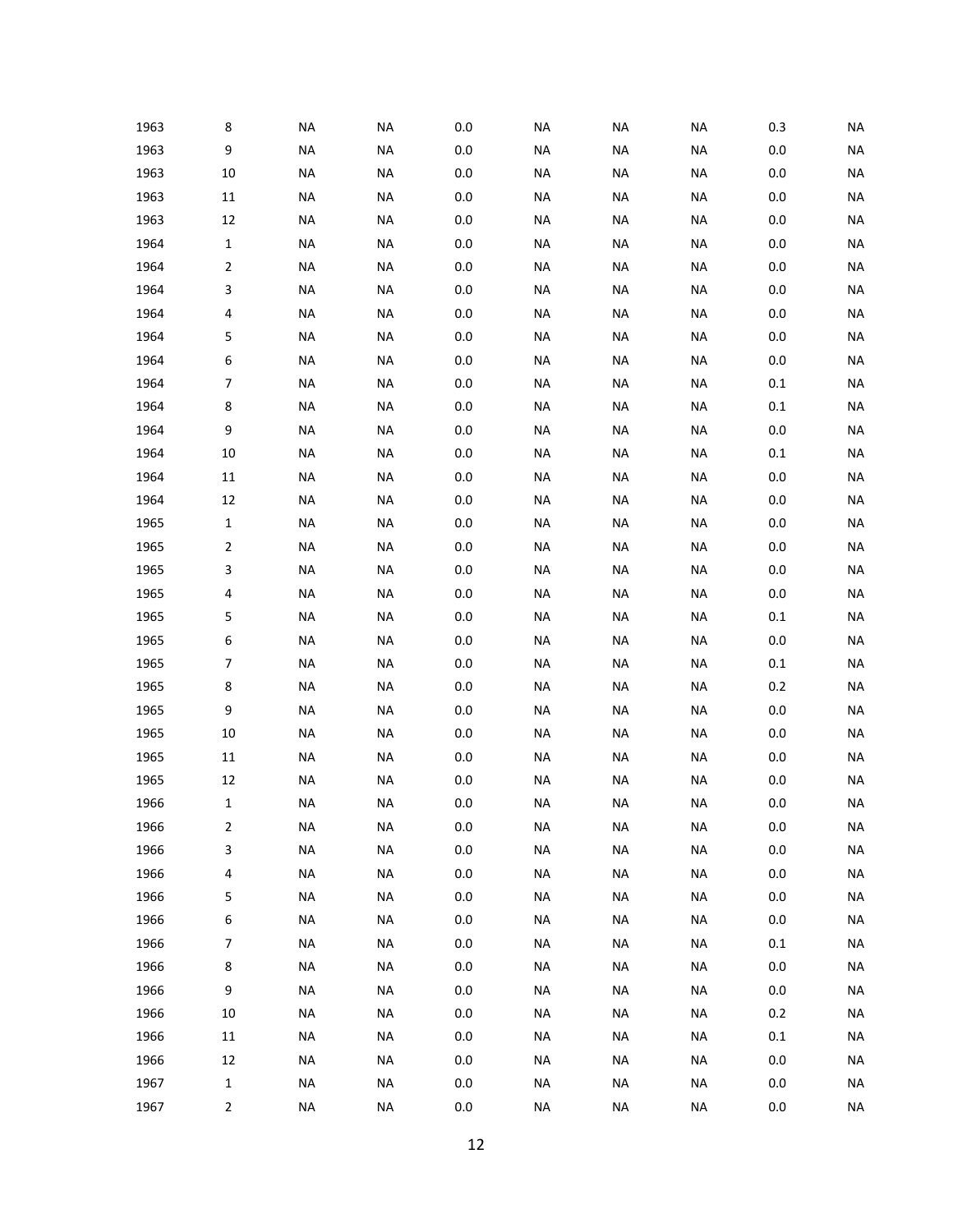| 1963 | 8            | <b>NA</b> | <b>NA</b> | 0.0     | NA        | NA        | NA        | 0.3     | <b>NA</b> |
|------|--------------|-----------|-----------|---------|-----------|-----------|-----------|---------|-----------|
| 1963 | 9            | <b>NA</b> | <b>NA</b> | $0.0\,$ | <b>NA</b> | <b>NA</b> | <b>NA</b> | $0.0\,$ | <b>NA</b> |
| 1963 | 10           | <b>NA</b> | <b>NA</b> | $0.0\,$ | <b>NA</b> | <b>NA</b> | <b>NA</b> | $0.0\,$ | <b>NA</b> |
| 1963 | 11           | <b>NA</b> | <b>NA</b> | $0.0\,$ | <b>NA</b> | <b>NA</b> | <b>NA</b> | $0.0\,$ | <b>NA</b> |
| 1963 | 12           | <b>NA</b> | <b>NA</b> | $0.0\,$ | NA        | NA        | <b>NA</b> | 0.0     | <b>NA</b> |
| 1964 | $\mathbf{1}$ | NA        | <b>NA</b> | $0.0\,$ | NA        | NA        | NA        | $0.0\,$ | <b>NA</b> |
| 1964 | 2            | <b>NA</b> | <b>NA</b> | $0.0\,$ | NA        | NA        | NA        | 0.0     | <b>NA</b> |
| 1964 | 3            | <b>NA</b> | <b>NA</b> | $0.0\,$ | <b>NA</b> | <b>NA</b> | <b>NA</b> | $0.0\,$ | <b>NA</b> |
| 1964 | 4            | <b>NA</b> | <b>NA</b> | $0.0\,$ | NA        | NA        | <b>NA</b> | 0.0     | <b>NA</b> |
| 1964 | 5            | <b>NA</b> | <b>NA</b> | $0.0\,$ | <b>NA</b> | NA        | NA        | 0.0     | <b>NA</b> |
| 1964 | 6            | <b>NA</b> | <b>NA</b> | $0.0\,$ | <b>NA</b> | NA        | NA        | 0.0     | <b>NA</b> |
| 1964 | 7            | <b>NA</b> | <b>NA</b> | $0.0\,$ | <b>NA</b> | <b>NA</b> | <b>NA</b> | $0.1\,$ | <b>NA</b> |
| 1964 | 8            | <b>NA</b> | <b>NA</b> | $0.0\,$ | NA        | NA        | NA        | 0.1     | <b>NA</b> |
| 1964 | 9            | <b>NA</b> | <b>NA</b> | $0.0\,$ | <b>NA</b> | <b>NA</b> | <b>NA</b> | $0.0\,$ | <b>NA</b> |
| 1964 | 10           | <b>NA</b> | <b>NA</b> | $0.0\,$ | <b>NA</b> | <b>NA</b> | NA        | 0.1     | <b>NA</b> |
| 1964 | 11           | <b>NA</b> | <b>NA</b> | $0.0\,$ | <b>NA</b> | <b>NA</b> | <b>NA</b> | $0.0\,$ | <b>NA</b> |
| 1964 | 12           | NA        | <b>NA</b> | $0.0\,$ | NA        | NA        | NA        | 0.0     | <b>NA</b> |
| 1965 | $\mathbf{1}$ | NA        | <b>NA</b> | $0.0\,$ | <b>NA</b> | NA        | NA        | 0.0     | <b>NA</b> |
| 1965 | 2            | <b>NA</b> | <b>NA</b> | $0.0\,$ | NA        | <b>NA</b> | NA        | $0.0\,$ | <b>NA</b> |
| 1965 | 3            | <b>NA</b> | <b>NA</b> | $0.0\,$ | <b>NA</b> | <b>NA</b> | <b>NA</b> | 0.0     | <b>NA</b> |
| 1965 | 4            | <b>NA</b> | <b>NA</b> | $0.0\,$ | NA        | NA        | NA        | 0.0     | <b>NA</b> |
| 1965 | 5            | <b>NA</b> | <b>NA</b> | $0.0\,$ | NA        | NA        | NA        | 0.1     | <b>NA</b> |
| 1965 | 6            | <b>NA</b> | <b>NA</b> | $0.0\,$ | NA        | NA        | NA        | $0.0\,$ | <b>NA</b> |
| 1965 | 7            | <b>NA</b> | <b>NA</b> | $0.0\,$ | <b>NA</b> | <b>NA</b> | <b>NA</b> | 0.1     | <b>NA</b> |
| 1965 | 8            | <b>NA</b> | <b>NA</b> | 0.0     | NA        | NA        | NA        | 0.2     | <b>NA</b> |
| 1965 | 9            | <b>NA</b> | <b>NA</b> | 0.0     | NA        | NA        | NA        | 0.0     | <b>NA</b> |
| 1965 | 10           | <b>NA</b> | <b>NA</b> | $0.0\,$ | <b>NA</b> | <b>NA</b> | NA        | 0.0     | <b>NA</b> |
| 1965 | 11           | <b>NA</b> | <b>NA</b> | $0.0\,$ | <b>NA</b> | <b>NA</b> | <b>NA</b> | 0.0     | <b>NA</b> |
| 1965 | 12           | NA        | <b>NA</b> | 0.0     | NA        | NA        | <b>NA</b> | 0.0     | <b>NA</b> |
| 1966 | 1            | <b>NA</b> | <b>NA</b> | $0.0\,$ | <b>NA</b> | <b>NA</b> | <b>NA</b> | $0.0\,$ | <b>NA</b> |
| 1966 | $\mathbf 2$  | NA        | <b>NA</b> | $0.0\,$ | NA        | NA        | NA        | $0.0\,$ | <b>NA</b> |
| 1966 | 3            | <b>NA</b> | $\sf NA$  | $0.0\,$ | <b>NA</b> | <b>NA</b> | <b>NA</b> | $0.0\,$ | <b>NA</b> |
| 1966 | 4            | <b>NA</b> | $\sf NA$  | $0.0\,$ | NA        | <b>NA</b> | <b>NA</b> | 0.0     | <b>NA</b> |
| 1966 | 5            | <b>NA</b> | <b>NA</b> | $0.0\,$ | NA        | NA        | NA        | 0.0     | <b>NA</b> |
| 1966 | 6            | NA        | <b>NA</b> | 0.0     | NA        | NA        | NA        | 0.0     | <b>NA</b> |
| 1966 | 7            | NA        | <b>NA</b> | 0.0     | NA        | NA        | NA        | 0.1     | <b>NA</b> |
| 1966 | 8            | NA        | <b>NA</b> | 0.0     | NA        | NA        | NA        | 0.0     | <b>NA</b> |
| 1966 | 9            | NA        | <b>NA</b> | 0.0     | NA        | NA        | NA        | 0.0     | <b>NA</b> |
| 1966 | $10\,$       | NA        | <b>NA</b> | 0.0     | NA        | NA        | NA        | 0.2     | <b>NA</b> |
| 1966 | 11           | NA        | <b>NA</b> | 0.0     | NA        | NA        | NA        | 0.1     | <b>NA</b> |
| 1966 | 12           | NA        | <b>NA</b> | 0.0     | NA        | NA        | NA        | 0.0     | <b>NA</b> |
| 1967 | 1            | NA        | <b>NA</b> | 0.0     | NA        | NA        | <b>NA</b> | 0.0     | <b>NA</b> |
| 1967 | $\mathbf{2}$ | <b>NA</b> | <b>NA</b> | 0.0     | NA        | <b>NA</b> | NA        | 0.0     | <b>NA</b> |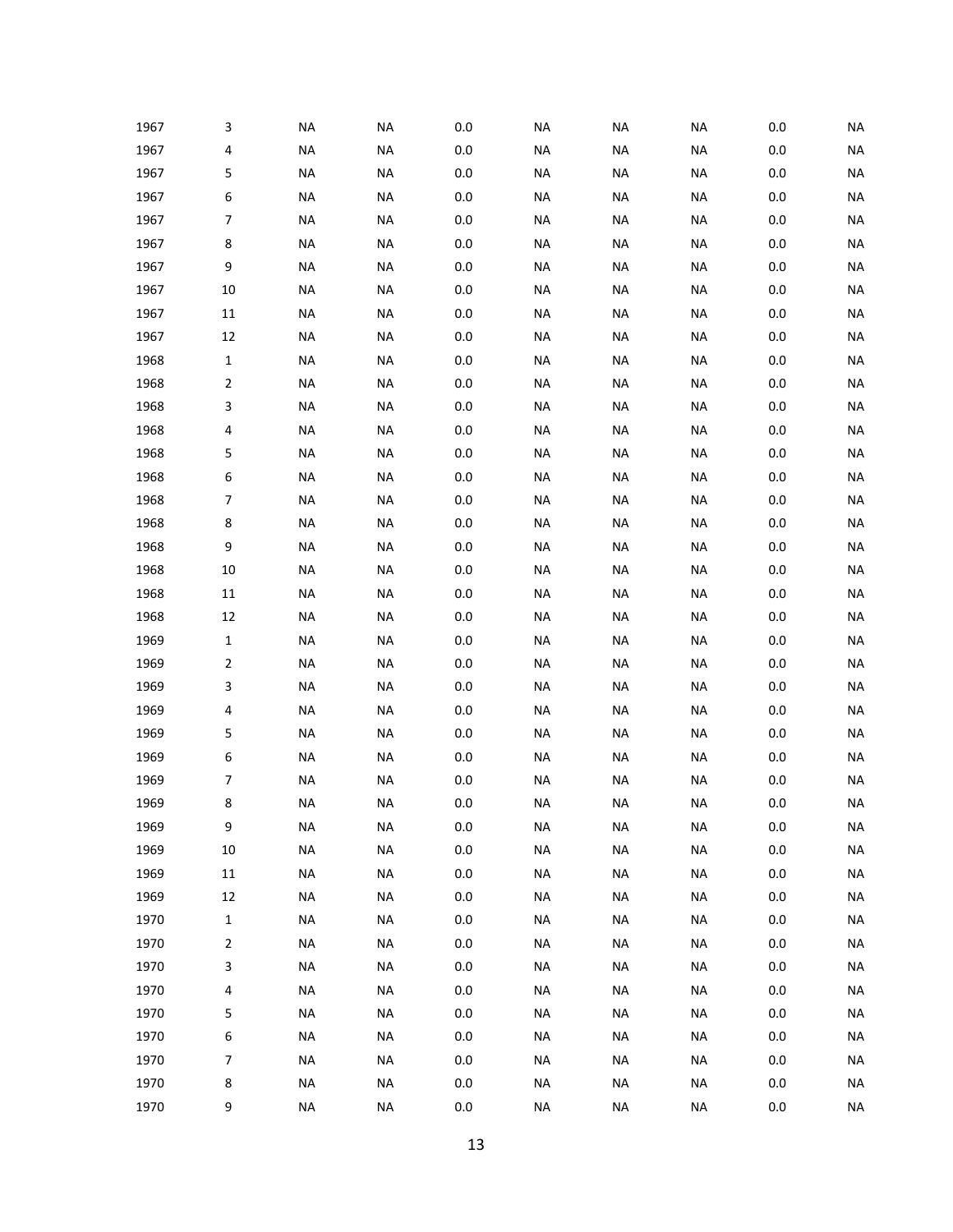| 1967 | 3            | <b>NA</b> | <b>NA</b> | 0.0     | NA        | NA        | NA        | 0.0     | <b>NA</b> |
|------|--------------|-----------|-----------|---------|-----------|-----------|-----------|---------|-----------|
| 1967 | 4            | <b>NA</b> | <b>NA</b> | $0.0\,$ | <b>NA</b> | <b>NA</b> | <b>NA</b> | $0.0\,$ | <b>NA</b> |
| 1967 | 5            | <b>NA</b> | <b>NA</b> | 0.0     | <b>NA</b> | <b>NA</b> | <b>NA</b> | $0.0\,$ | <b>NA</b> |
| 1967 | 6            | <b>NA</b> | <b>NA</b> | 0.0     | <b>NA</b> | <b>NA</b> | <b>NA</b> | 0.0     | <b>NA</b> |
| 1967 | 7            | <b>NA</b> | <b>NA</b> | $0.0\,$ | NA        | <b>NA</b> | NA        | 0.0     | <b>NA</b> |
| 1967 | 8            | <b>NA</b> | <b>NA</b> | $0.0\,$ | <b>NA</b> | <b>NA</b> | <b>NA</b> | $0.0\,$ | <b>NA</b> |
| 1967 | 9            | <b>NA</b> | <b>NA</b> | 0.0     | <b>NA</b> | <b>NA</b> | NA        | 0.0     | <b>NA</b> |
| 1967 | 10           | <b>NA</b> | <b>NA</b> | $0.0\,$ | <b>NA</b> | <b>NA</b> | <b>NA</b> | 0.0     | <b>NA</b> |
| 1967 | 11           | <b>NA</b> | <b>NA</b> | $0.0\,$ | NA        | NA        | <b>NA</b> | 0.0     | <b>NA</b> |
| 1967 | 12           | <b>NA</b> | <b>NA</b> | 0.0     | <b>NA</b> | <b>NA</b> | <b>NA</b> | 0.0     | <b>NA</b> |
| 1968 | 1            | <b>NA</b> | <b>NA</b> | $0.0\,$ | <b>NA</b> | <b>NA</b> | <b>NA</b> | 0.0     | <b>NA</b> |
| 1968 | 2            | <b>NA</b> | <b>NA</b> | $0.0\,$ | <b>NA</b> | <b>NA</b> | <b>NA</b> | 0.0     | <b>NA</b> |
| 1968 | 3            | <b>NA</b> | <b>NA</b> | $0.0\,$ | NA        | <b>NA</b> | NA        | 0.0     | <b>NA</b> |
| 1968 | 4            | <b>NA</b> | <b>NA</b> | $0.0\,$ | <b>NA</b> | <b>NA</b> | <b>NA</b> | 0.0     | <b>NA</b> |
| 1968 | 5            | <b>NA</b> | <b>NA</b> | $0.0\,$ | <b>NA</b> | <b>NA</b> | <b>NA</b> | 0.0     | <b>NA</b> |
| 1968 | 6            | <b>NA</b> | <b>NA</b> | $0.0\,$ | <b>NA</b> | <b>NA</b> | <b>NA</b> | $0.0\,$ | <b>NA</b> |
| 1968 | 7            | <b>NA</b> | <b>NA</b> | $0.0\,$ | NA        | NA        | NA        | 0.0     | <b>NA</b> |
| 1968 | 8            | <b>NA</b> | <b>NA</b> | $0.0\,$ | <b>NA</b> | <b>NA</b> | <b>NA</b> | 0.0     | <b>NA</b> |
| 1968 | 9            | <b>NA</b> | <b>NA</b> | 0.0     | <b>NA</b> | <b>NA</b> | <b>NA</b> | $0.0\,$ | <b>NA</b> |
| 1968 | 10           | <b>NA</b> | <b>NA</b> | $0.0\,$ | <b>NA</b> | <b>NA</b> | <b>NA</b> | 0.0     | <b>NA</b> |
| 1968 | 11           | <b>NA</b> | <b>NA</b> | $0.0\,$ | NA        | NA        | NA        | 0.0     | <b>NA</b> |
| 1968 | 12           | <b>NA</b> | <b>NA</b> | $0.0\,$ | <b>NA</b> | <b>NA</b> | <b>NA</b> | 0.0     | <b>NA</b> |
| 1969 | 1            | <b>NA</b> | <b>NA</b> | 0.0     | <b>NA</b> | <b>NA</b> | NA        | 0.0     | <b>NA</b> |
| 1969 | 2            | <b>NA</b> | <b>NA</b> | 0.0     | <b>NA</b> | <b>NA</b> | <b>NA</b> | 0.0     | <b>NA</b> |
| 1969 | 3            | <b>NA</b> | <b>NA</b> | $0.0\,$ | NA        | NA        | NA        | 0.0     | <b>NA</b> |
| 1969 | 4            | <b>NA</b> | <b>NA</b> | 0.0     | <b>NA</b> | <b>NA</b> | <b>NA</b> | 0.0     | <b>NA</b> |
| 1969 | 5            | <b>NA</b> | <b>NA</b> | 0.0     | <b>NA</b> | <b>NA</b> | <b>NA</b> | 0.0     | <b>NA</b> |
| 1969 | 6            | <b>NA</b> | <b>NA</b> | $0.0\,$ | <b>NA</b> | <b>NA</b> | <b>NA</b> | 0.0     | <b>NA</b> |
| 1969 | 7            | <b>NA</b> | <b>NA</b> | 0.0     | NA        | NA        | NA        | 0.0     | <b>NA</b> |
| 1969 | 8            | <b>NA</b> | <b>NA</b> | $0.0\,$ | <b>NA</b> | <b>NA</b> | <b>NA</b> | $0.0\,$ | <b>NA</b> |
| 1969 | 9            | NA        | <b>NA</b> | $0.0\,$ | NA        | NA        | NA        | $0.0\,$ | <b>NA</b> |
| 1969 | $10\,$       | <b>NA</b> | $\sf NA$  | $0.0\,$ | <b>NA</b> | <b>NA</b> | <b>NA</b> | $0.0\,$ | <b>NA</b> |
| 1969 | $11\,$       | <b>NA</b> | $\sf NA$  | $0.0\,$ | <b>NA</b> | <b>NA</b> | <b>NA</b> | $0.0\,$ | <b>NA</b> |
| 1969 | 12           | $\sf NA$  | <b>NA</b> | $0.0\,$ | <b>NA</b> | <b>NA</b> | <b>NA</b> | $0.0\,$ | <b>NA</b> |
| 1970 | $\mathbf{1}$ | NA        | <b>NA</b> | 0.0     | NA        | NA        | NA        | 0.0     | <b>NA</b> |
| 1970 | 2            | NA        | <b>NA</b> | 0.0     | NA        | NA        | NA        | 0.0     | <b>NA</b> |
| 1970 | 3            | NA        | <b>NA</b> | 0.0     | NA        | NA        | NA        | 0.0     | <b>NA</b> |
| 1970 | 4            | <b>NA</b> | <b>NA</b> | $0.0\,$ | NA        | NA        | <b>NA</b> | $0.0\,$ | <b>NA</b> |
| 1970 | 5            | NA        | <b>NA</b> | 0.0     | NA        | NA        | NA        | 0.0     | <b>NA</b> |
| 1970 | 6            | NA        | <b>NA</b> | 0.0     | NA        | NA        | NA        | 0.0     | <b>NA</b> |
| 1970 | 7            | NA        | <b>NA</b> | 0.0     | NA        | NA        | NA        | 0.0     | <b>NA</b> |
| 1970 | 8            | <b>NA</b> | <b>NA</b> | 0.0     | NA        | NA        | NA        | 0.0     | <b>NA</b> |
| 1970 | 9            | <b>NA</b> | <b>NA</b> | 0.0     | NA        | <b>NA</b> | NA        | 0.0     | <b>NA</b> |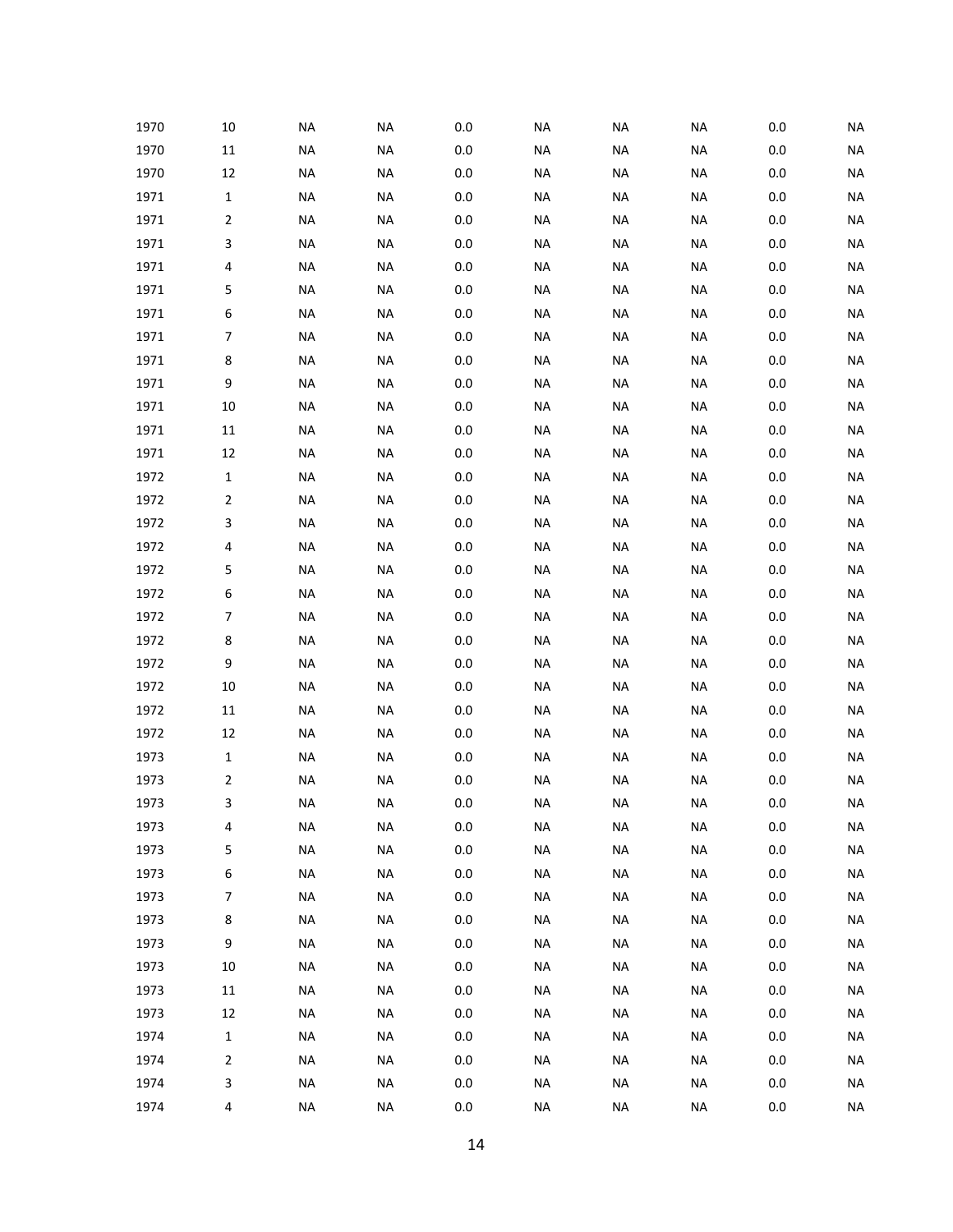| 1970 | 10                      | <b>NA</b> | <b>NA</b> | 0.0     | <b>NA</b> | <b>NA</b> | <b>NA</b> | 0.0     | <b>NA</b> |
|------|-------------------------|-----------|-----------|---------|-----------|-----------|-----------|---------|-----------|
| 1970 | $11\,$                  | <b>NA</b> | <b>NA</b> | $0.0\,$ | <b>NA</b> | <b>NA</b> | <b>NA</b> | $0.0\,$ | <b>NA</b> |
| 1970 | 12                      | <b>NA</b> | <b>NA</b> | $0.0\,$ | <b>NA</b> | <b>NA</b> | <b>NA</b> | $0.0\,$ | <b>NA</b> |
| 1971 | $\mathbf 1$             | <b>NA</b> | <b>NA</b> | $0.0\,$ | <b>NA</b> | <b>NA</b> | <b>NA</b> | $0.0\,$ | <b>NA</b> |
| 1971 | $\mathbf 2$             | <b>NA</b> | <b>NA</b> | $0.0\,$ | NA        | NA        | <b>NA</b> | 0.0     | <b>NA</b> |
| 1971 | 3                       | <b>NA</b> | <b>NA</b> | $0.0\,$ | <b>NA</b> | <b>NA</b> | <b>NA</b> | 0.0     | <b>NA</b> |
| 1971 | 4                       | <b>NA</b> | <b>NA</b> | $0.0\,$ | <b>NA</b> | <b>NA</b> | <b>NA</b> | 0.0     | <b>NA</b> |
| 1971 | 5                       | <b>NA</b> | <b>NA</b> | $0.0\,$ | <b>NA</b> | <b>NA</b> | NA        | 0.0     | <b>NA</b> |
| 1971 | 6                       | <b>NA</b> | <b>NA</b> | $0.0\,$ | NA        | NA        | <b>NA</b> | 0.0     | <b>NA</b> |
| 1971 | $\boldsymbol{7}$        | <b>NA</b> | <b>NA</b> | $0.0\,$ | <b>NA</b> | <b>NA</b> | <b>NA</b> | 0.0     | <b>NA</b> |
| 1971 | 8                       | <b>NA</b> | <b>NA</b> | $0.0\,$ | <b>NA</b> | <b>NA</b> | <b>NA</b> | 0.0     | <b>NA</b> |
| 1971 | 9                       | <b>NA</b> | <b>NA</b> | $0.0\,$ | <b>NA</b> | <b>NA</b> | NA        | 0.0     | <b>NA</b> |
| 1971 | 10                      | <b>NA</b> | <b>NA</b> | $0.0\,$ | NA        | NA        | <b>NA</b> | 0.0     | <b>NA</b> |
| 1971 | 11                      | <b>NA</b> | <b>NA</b> | $0.0\,$ | <b>NA</b> | <b>NA</b> | <b>NA</b> | 0.0     | <b>NA</b> |
| 1971 | 12                      | <b>NA</b> | <b>NA</b> | $0.0\,$ | <b>NA</b> | <b>NA</b> | <b>NA</b> | 0.0     | <b>NA</b> |
| 1972 | $\mathbf 1$             | <b>NA</b> | <b>NA</b> | $0.0\,$ | <b>NA</b> | <b>NA</b> | NA        | 0.0     | <b>NA</b> |
| 1972 | $\mathbf 2$             | <b>NA</b> | <b>NA</b> | $0.0\,$ | NA        | NA        | <b>NA</b> | 0.0     | <b>NA</b> |
| 1972 | 3                       | <b>NA</b> | <b>NA</b> | $0.0\,$ | <b>NA</b> | <b>NA</b> | <b>NA</b> | 0.0     | <b>NA</b> |
| 1972 | 4                       | <b>NA</b> | <b>NA</b> | $0.0\,$ | <b>NA</b> | <b>NA</b> | <b>NA</b> | 0.0     | <b>NA</b> |
| 1972 | 5                       | <b>NA</b> | <b>NA</b> | $0.0\,$ | <b>NA</b> | <b>NA</b> | NA        | 0.0     | <b>NA</b> |
| 1972 | 6                       | <b>NA</b> | <b>NA</b> | $0.0\,$ | NA        | NA        | <b>NA</b> | 0.0     | <b>NA</b> |
| 1972 | $\boldsymbol{7}$        | <b>NA</b> | <b>NA</b> | $0.0\,$ | <b>NA</b> | <b>NA</b> | <b>NA</b> | 0.0     | <b>NA</b> |
| 1972 | 8                       | <b>NA</b> | <b>NA</b> | $0.0\,$ | <b>NA</b> | <b>NA</b> | <b>NA</b> | 0.0     | <b>NA</b> |
| 1972 | 9                       | <b>NA</b> | <b>NA</b> | $0.0\,$ | <b>NA</b> | <b>NA</b> | NA        | 0.0     | <b>NA</b> |
| 1972 | 10                      | <b>NA</b> | <b>NA</b> | $0.0\,$ | NA        | NA        | <b>NA</b> | 0.0     | <b>NA</b> |
| 1972 | 11                      | <b>NA</b> | <b>NA</b> | $0.0\,$ | <b>NA</b> | <b>NA</b> | <b>NA</b> | 0.0     | <b>NA</b> |
| 1972 | 12                      | <b>NA</b> | <b>NA</b> | $0.0\,$ | <b>NA</b> | <b>NA</b> | <b>NA</b> | 0.0     | <b>NA</b> |
| 1973 | $\mathbf 1$             | <b>NA</b> | <b>NA</b> | $0.0\,$ | <b>NA</b> | <b>NA</b> | NA        | 0.0     | <b>NA</b> |
| 1973 | $\mathbf 2$             | <b>NA</b> | <b>NA</b> | $0.0\,$ | <b>NA</b> | <b>NA</b> | NA        | 0.0     | <b>NA</b> |
| 1973 | 3                       | <b>NA</b> | <b>NA</b> | 0.0     | <b>NA</b> | <b>NA</b> | <b>NA</b> | $0.0\,$ | <b>NA</b> |
| 1973 | 4                       | NA        | <b>NA</b> | $0.0\,$ | NA        | NA        | <b>NA</b> | $0.0\,$ | <b>NA</b> |
| 1973 | 5                       | <b>NA</b> | <b>NA</b> | $0.0\,$ | <b>NA</b> | <b>NA</b> | <b>NA</b> | $0.0\,$ | <b>NA</b> |
| 1973 | 6                       | <b>NA</b> | <b>NA</b> | $0.0\,$ | <b>NA</b> | <b>NA</b> | <b>NA</b> | $0.0\,$ | <b>NA</b> |
| 1973 | $\boldsymbol{7}$        | <b>NA</b> | <b>NA</b> | $0.0\,$ | <b>NA</b> | <b>NA</b> | <b>NA</b> | $0.0\,$ | <b>NA</b> |
| 1973 | $\bf 8$                 | NA        | <b>NA</b> | $0.0\,$ | NA        | NA        | <b>NA</b> | 0.0     | <b>NA</b> |
| 1973 | 9                       | <b>NA</b> | <b>NA</b> | $0.0\,$ | NA        | NA        | <b>NA</b> | 0.0     | <b>NA</b> |
| 1973 | $10\,$                  | <b>NA</b> | <b>NA</b> | $0.0\,$ | NA        | NA        | <b>NA</b> | 0.0     | <b>NA</b> |
| 1973 | 11                      | <b>NA</b> | <b>NA</b> | $0.0\,$ | <b>NA</b> | <b>NA</b> | <b>NA</b> | $0.0\,$ | <b>NA</b> |
| 1973 | 12                      | NA        | <b>NA</b> | $0.0\,$ | NA        | NA        | <b>NA</b> | 0.0     | <b>NA</b> |
| 1974 | $\mathbf 1$             | <b>NA</b> | <b>NA</b> | 0.0     | NA        | NA        | <b>NA</b> | 0.0     | <b>NA</b> |
| 1974 | $\mathbf 2$             | <b>NA</b> | <b>NA</b> | $0.0\,$ | NA        | NA        | <b>NA</b> | 0.0     | <b>NA</b> |
| 1974 | 3                       | <b>NA</b> | <b>NA</b> | $0.0\,$ | <b>NA</b> | <b>NA</b> | <b>NA</b> | 0.0     | <b>NA</b> |
| 1974 | $\overline{\mathbf{4}}$ | NA        | <b>NA</b> | $0.0\,$ | <b>NA</b> | <b>NA</b> | <b>NA</b> | 0.0     | <b>NA</b> |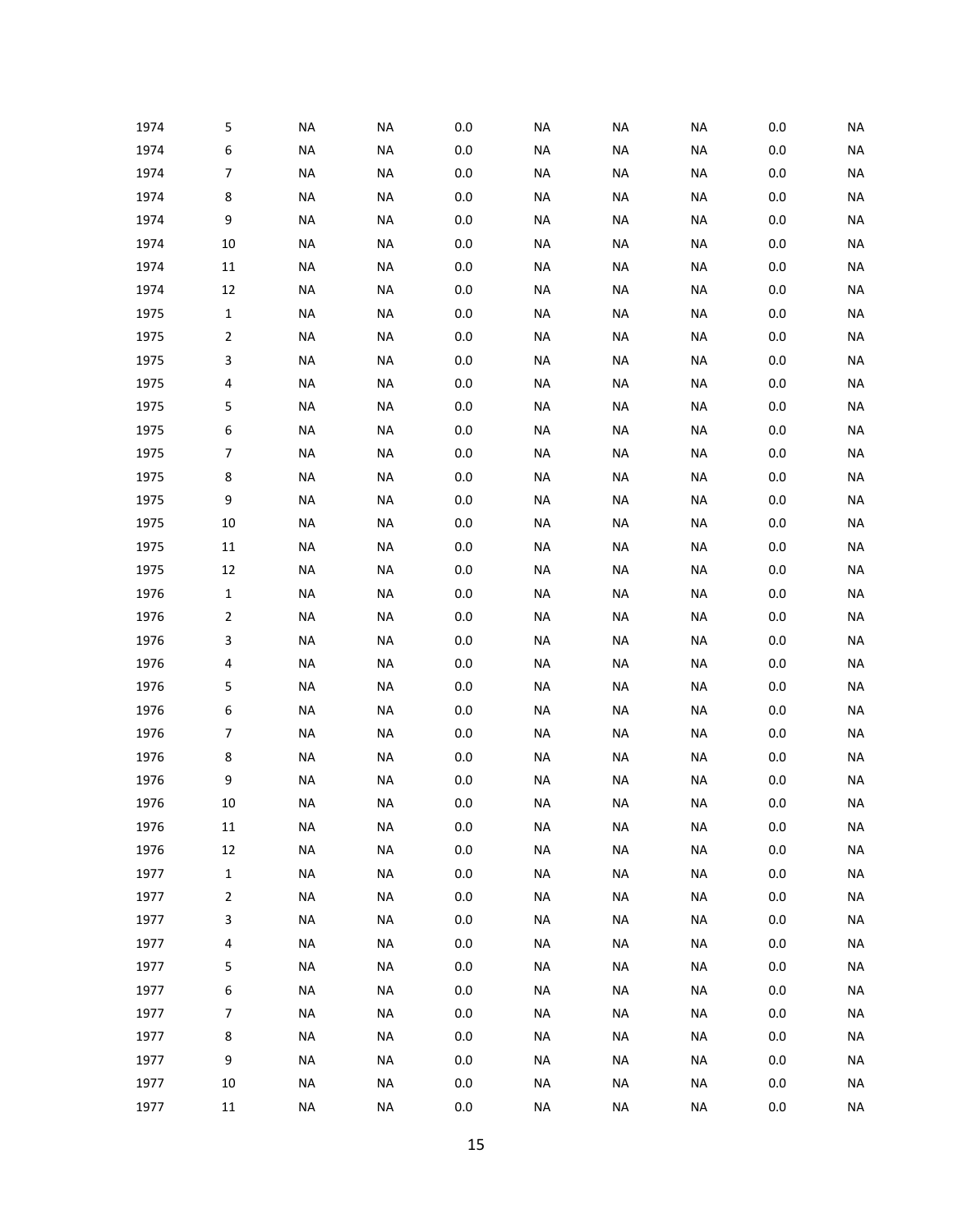| 1974 | 5                | <b>NA</b> | <b>NA</b> | 0.0     | <b>NA</b> | <b>NA</b> | <b>NA</b> | 0.0     | <b>NA</b> |
|------|------------------|-----------|-----------|---------|-----------|-----------|-----------|---------|-----------|
| 1974 | 6                | <b>NA</b> | <b>NA</b> | $0.0\,$ | <b>NA</b> | <b>NA</b> | <b>NA</b> | $0.0\,$ | <b>NA</b> |
| 1974 | $\boldsymbol{7}$ | <b>NA</b> | <b>NA</b> | $0.0\,$ | <b>NA</b> | <b>NA</b> | <b>NA</b> | $0.0\,$ | <b>NA</b> |
| 1974 | 8                | <b>NA</b> | <b>NA</b> | $0.0\,$ | <b>NA</b> | <b>NA</b> | <b>NA</b> | $0.0\,$ | <b>NA</b> |
| 1974 | $\boldsymbol{9}$ | <b>NA</b> | <b>NA</b> | $0.0\,$ | <b>NA</b> | <b>NA</b> | <b>NA</b> | $0.0\,$ | <b>NA</b> |
| 1974 | 10               | <b>NA</b> | <b>NA</b> | $0.0\,$ | <b>NA</b> | <b>NA</b> | <b>NA</b> | $0.0\,$ | <b>NA</b> |
| 1974 | $11\,$           | <b>NA</b> | <b>NA</b> | $0.0\,$ | <b>NA</b> | <b>NA</b> | <b>NA</b> | 0.0     | <b>NA</b> |
| 1974 | 12               | <b>NA</b> | <b>NA</b> | $0.0\,$ | <b>NA</b> | <b>NA</b> | <b>NA</b> | $0.0\,$ | <b>NA</b> |
| 1975 | $\mathbf{1}$     | <b>NA</b> | <b>NA</b> | $0.0\,$ | <b>NA</b> | <b>NA</b> | <b>NA</b> | $0.0\,$ | <b>NA</b> |
| 1975 | $\overline{2}$   | <b>NA</b> | <b>NA</b> | $0.0\,$ | <b>NA</b> | <b>NA</b> | <b>NA</b> | $0.0\,$ | <b>NA</b> |
| 1975 | 3                | <b>NA</b> | <b>NA</b> | $0.0\,$ | <b>NA</b> | <b>NA</b> | <b>NA</b> | 0.0     | <b>NA</b> |
| 1975 | 4                | <b>NA</b> | <b>NA</b> | $0.0\,$ | <b>NA</b> | <b>NA</b> | <b>NA</b> | $0.0\,$ | <b>NA</b> |
| 1975 | 5                | <b>NA</b> | <b>NA</b> | $0.0\,$ | <b>NA</b> | <b>NA</b> | <b>NA</b> | $0.0\,$ | <b>NA</b> |
| 1975 | 6                | <b>NA</b> | <b>NA</b> | $0.0\,$ | <b>NA</b> | <b>NA</b> | <b>NA</b> | $0.0\,$ | <b>NA</b> |
| 1975 | $\boldsymbol{7}$ | <b>NA</b> | <b>NA</b> | $0.0\,$ | <b>NA</b> | <b>NA</b> | <b>NA</b> | $0.0\,$ | <b>NA</b> |
| 1975 | 8                | <b>NA</b> | <b>NA</b> | $0.0\,$ | <b>NA</b> | <b>NA</b> | <b>NA</b> | $0.0\,$ | <b>NA</b> |
| 1975 | $\boldsymbol{9}$ | <b>NA</b> | <b>NA</b> | $0.0\,$ | <b>NA</b> | <b>NA</b> | <b>NA</b> | $0.0\,$ | <b>NA</b> |
| 1975 | 10               | <b>NA</b> | <b>NA</b> | $0.0\,$ | <b>NA</b> | <b>NA</b> | <b>NA</b> | $0.0\,$ | <b>NA</b> |
| 1975 | $11\,$           | <b>NA</b> | <b>NA</b> | $0.0\,$ | <b>NA</b> | <b>NA</b> | <b>NA</b> | $0.0\,$ | <b>NA</b> |
| 1975 | 12               | <b>NA</b> | <b>NA</b> | $0.0\,$ | <b>NA</b> | <b>NA</b> | <b>NA</b> | $0.0\,$ | <b>NA</b> |
| 1976 | $\mathbf{1}$     | <b>NA</b> | <b>NA</b> | $0.0\,$ | <b>NA</b> | <b>NA</b> | <b>NA</b> | $0.0\,$ | <b>NA</b> |
| 1976 | $\overline{2}$   | <b>NA</b> | <b>NA</b> | $0.0\,$ | <b>NA</b> | <b>NA</b> | <b>NA</b> | $0.0\,$ | <b>NA</b> |
| 1976 | 3                | <b>NA</b> | <b>NA</b> | $0.0\,$ | <b>NA</b> | <b>NA</b> | <b>NA</b> | $0.0\,$ | <b>NA</b> |
| 1976 | 4                | <b>NA</b> | <b>NA</b> | $0.0\,$ | <b>NA</b> | <b>NA</b> | <b>NA</b> | $0.0\,$ | <b>NA</b> |
| 1976 | 5                | <b>NA</b> | <b>NA</b> | $0.0\,$ | <b>NA</b> | <b>NA</b> | <b>NA</b> | $0.0\,$ | <b>NA</b> |
| 1976 | 6                | <b>NA</b> | <b>NA</b> | $0.0\,$ | <b>NA</b> | <b>NA</b> | <b>NA</b> | $0.0\,$ | <b>NA</b> |
| 1976 | $\boldsymbol{7}$ | <b>NA</b> | <b>NA</b> | $0.0\,$ | <b>NA</b> | <b>NA</b> | <b>NA</b> | $0.0\,$ | <b>NA</b> |
| 1976 | 8                | <b>NA</b> | <b>NA</b> | $0.0\,$ | <b>NA</b> | <b>NA</b> | <b>NA</b> | 0.0     | <b>NA</b> |
| 1976 | 9                | <b>NA</b> | <b>NA</b> | 0.0     | <b>NA</b> | <b>NA</b> | <b>NA</b> | 0.0     | <b>NA</b> |
| 1976 | 10               | <b>NA</b> | <b>NA</b> | 0.0     | <b>NA</b> | <b>NA</b> | <b>NA</b> | $0.0\,$ | <b>NA</b> |
| 1976 | $11\,$           | <b>NA</b> | <b>NA</b> | $0.0\,$ | <b>NA</b> | <b>NA</b> | <b>NA</b> | $0.0\,$ | <b>NA</b> |
| 1976 | 12               | <b>NA</b> | <b>NA</b> | $0.0\,$ | <b>NA</b> | <b>NA</b> | <b>NA</b> | $0.0\,$ | <b>NA</b> |
| 1977 | $\mathbf 1$      | <b>NA</b> | <b>NA</b> | $0.0\,$ | <b>NA</b> | <b>NA</b> | <b>NA</b> | $0.0\,$ | <b>NA</b> |
| 1977 | $\mathbf 2$      | <b>NA</b> | <b>NA</b> | $0.0\,$ | <b>NA</b> | <b>NA</b> | <b>NA</b> | $0.0\,$ | <b>NA</b> |
| 1977 | 3                | <b>NA</b> | <b>NA</b> | $0.0\,$ | <b>NA</b> | <b>NA</b> | <b>NA</b> | $0.0\,$ | <b>NA</b> |
| 1977 | $\pmb{4}$        | <b>NA</b> | <b>NA</b> | $0.0\,$ | <b>NA</b> | <b>NA</b> | <b>NA</b> | $0.0\,$ | <b>NA</b> |
| 1977 | 5                | <b>NA</b> | <b>NA</b> | $0.0\,$ | <b>NA</b> | <b>NA</b> | <b>NA</b> | $0.0\,$ | <b>NA</b> |
| 1977 | 6                | <b>NA</b> | <b>NA</b> | $0.0\,$ | <b>NA</b> | <b>NA</b> | <b>NA</b> | $0.0\,$ | <b>NA</b> |
| 1977 | $\boldsymbol{7}$ | <b>NA</b> | <b>NA</b> | $0.0\,$ | <b>NA</b> | <b>NA</b> | <b>NA</b> | 0.0     | <b>NA</b> |
| 1977 | 8                | <b>NA</b> | <b>NA</b> | $0.0\,$ | <b>NA</b> | <b>NA</b> | <b>NA</b> | $0.0\,$ | <b>NA</b> |
| 1977 | 9                | <b>NA</b> | <b>NA</b> | $0.0\,$ | <b>NA</b> | <b>NA</b> | <b>NA</b> | $0.0\,$ | <b>NA</b> |
| 1977 | 10               | <b>NA</b> | <b>NA</b> | $0.0\,$ | <b>NA</b> | <b>NA</b> | <b>NA</b> | $0.0\,$ | <b>NA</b> |
| 1977 | $11\,$           | <b>NA</b> | $\sf NA$  | $0.0\,$ | <b>NA</b> | <b>NA</b> | <b>NA</b> | 0.0     | <b>NA</b> |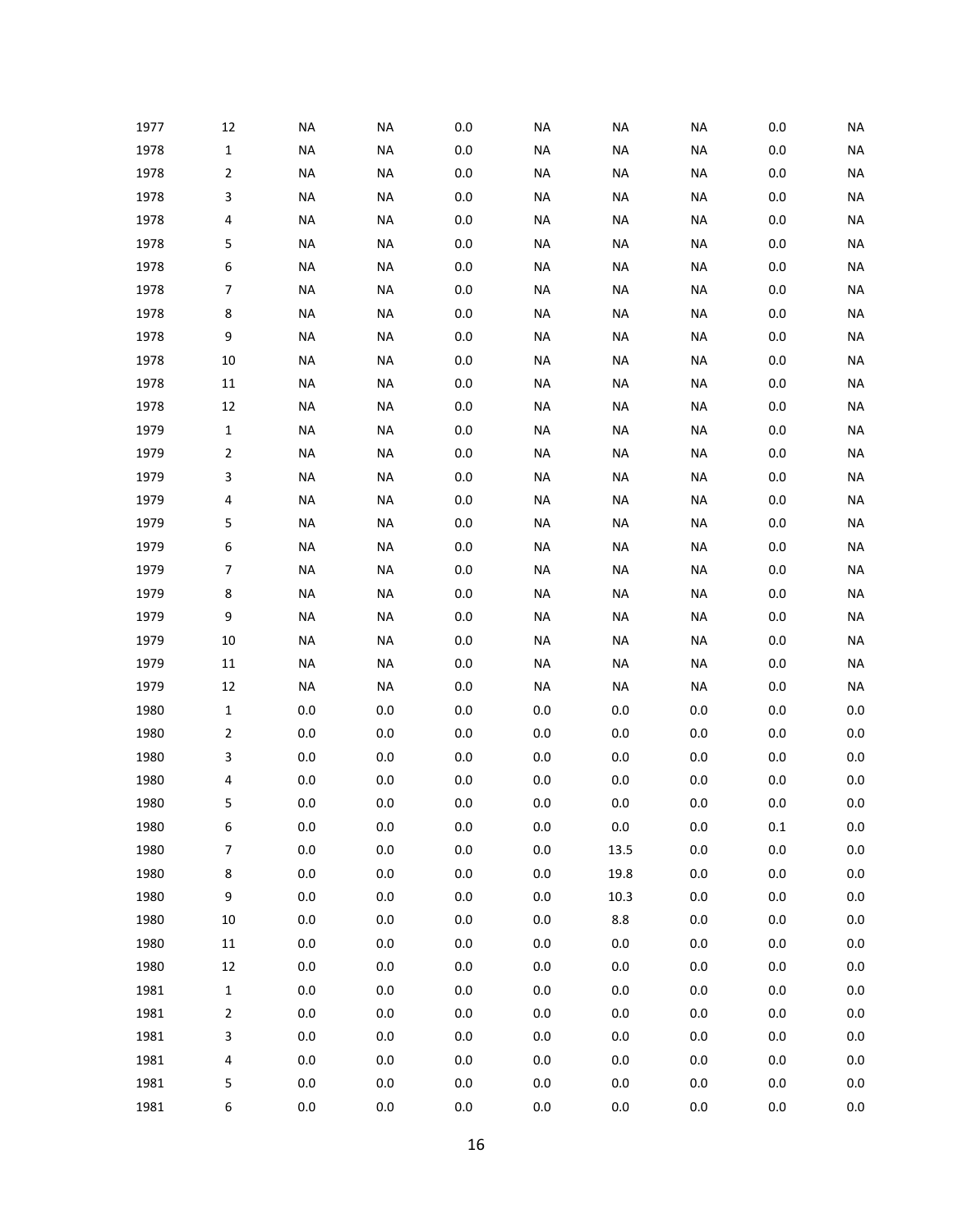| 1977 | 12               | <b>NA</b> | <b>NA</b> | 0.0     | <b>NA</b> | <b>NA</b> | <b>NA</b> | 0.0     | <b>NA</b> |
|------|------------------|-----------|-----------|---------|-----------|-----------|-----------|---------|-----------|
| 1978 | $\mathbf 1$      | <b>NA</b> | <b>NA</b> | $0.0\,$ | <b>NA</b> | <b>NA</b> | <b>NA</b> | $0.0\,$ | <b>NA</b> |
| 1978 | $\mathbf 2$      | <b>NA</b> | <b>NA</b> | $0.0\,$ | <b>NA</b> | <b>NA</b> | <b>NA</b> | $0.0\,$ | <b>NA</b> |
| 1978 | 3                | <b>NA</b> | <b>NA</b> | $0.0\,$ | <b>NA</b> | <b>NA</b> | <b>NA</b> | 0.0     | <b>NA</b> |
| 1978 | 4                | <b>NA</b> | <b>NA</b> | $0.0\,$ | <b>NA</b> | NA        | <b>NA</b> | 0.0     | <b>NA</b> |
| 1978 | 5                | <b>NA</b> | <b>NA</b> | $0.0\,$ | <b>NA</b> | <b>NA</b> | NA        | 0.0     | <b>NA</b> |
| 1978 | 6                | <b>NA</b> | <b>NA</b> | $0.0\,$ | <b>NA</b> | <b>NA</b> | <b>NA</b> | 0.0     | <b>NA</b> |
| 1978 | $\boldsymbol{7}$ | <b>NA</b> | <b>NA</b> | $0.0\,$ | <b>NA</b> | <b>NA</b> | <b>NA</b> | 0.0     | <b>NA</b> |
| 1978 | 8                | <b>NA</b> | <b>NA</b> | $0.0\,$ | <b>NA</b> | NA        | <b>NA</b> | 0.0     | <b>NA</b> |
| 1978 | 9                | <b>NA</b> | <b>NA</b> | $0.0\,$ | <b>NA</b> | <b>NA</b> | NA        | 0.0     | <b>NA</b> |
| 1978 | 10               | <b>NA</b> | <b>NA</b> | $0.0\,$ | <b>NA</b> | <b>NA</b> | <b>NA</b> | 0.0     | <b>NA</b> |
| 1978 | 11               | <b>NA</b> | <b>NA</b> | $0.0\,$ | <b>NA</b> | <b>NA</b> | <b>NA</b> | 0.0     | <b>NA</b> |
| 1978 | 12               | <b>NA</b> | <b>NA</b> | $0.0\,$ | <b>NA</b> | NA        | <b>NA</b> | 0.0     | <b>NA</b> |
| 1979 | $\mathbf 1$      | <b>NA</b> | <b>NA</b> | $0.0\,$ | <b>NA</b> | <b>NA</b> | NA        | 0.0     | <b>NA</b> |
| 1979 | $\mathbf 2$      | <b>NA</b> | <b>NA</b> | $0.0\,$ | <b>NA</b> | <b>NA</b> | <b>NA</b> | 0.0     | <b>NA</b> |
| 1979 | 3                | <b>NA</b> | <b>NA</b> | $0.0\,$ | <b>NA</b> | <b>NA</b> | NA        | 0.0     | <b>NA</b> |
| 1979 | 4                | <b>NA</b> | <b>NA</b> | $0.0\,$ | <b>NA</b> | NA        | <b>NA</b> | 0.0     | <b>NA</b> |
| 1979 | 5                | <b>NA</b> | <b>NA</b> | $0.0\,$ | <b>NA</b> | <b>NA</b> | NA        | 0.0     | <b>NA</b> |
| 1979 | 6                | <b>NA</b> | <b>NA</b> | $0.0\,$ | <b>NA</b> | <b>NA</b> | <b>NA</b> | 0.0     | <b>NA</b> |
| 1979 | $\boldsymbol{7}$ | <b>NA</b> | <b>NA</b> | $0.0\,$ | <b>NA</b> | <b>NA</b> | NA        | 0.0     | <b>NA</b> |
| 1979 | 8                | <b>NA</b> | <b>NA</b> | $0.0\,$ | <b>NA</b> | NA        | <b>NA</b> | 0.0     | <b>NA</b> |
| 1979 | 9                | <b>NA</b> | <b>NA</b> | $0.0\,$ | <b>NA</b> | <b>NA</b> | NA        | 0.0     | <b>NA</b> |
| 1979 | 10               | <b>NA</b> | <b>NA</b> | $0.0\,$ | <b>NA</b> | <b>NA</b> | <b>NA</b> | $0.0\,$ | <b>NA</b> |
| 1979 | 11               | <b>NA</b> | <b>NA</b> | $0.0\,$ | <b>NA</b> | <b>NA</b> | <b>NA</b> | 0.0     | <b>NA</b> |
| 1979 | 12               | <b>NA</b> | <b>NA</b> | $0.0\,$ | <b>NA</b> | <b>NA</b> | <b>NA</b> | 0.0     | <b>NA</b> |
| 1980 | $\mathbf 1$      | 0.0       | 0.0       | $0.0\,$ | $0.0\,$   | 0.0       | 0.0       | 0.0     | $0.0\,$   |
| 1980 | $\mathbf 2$      | 0.0       | 0.0       | $0.0\,$ | $0.0\,$   | $0.0\,$   | $0.0\,$   | $0.0\,$ | $0.0\,$   |
| 1980 | 3                | 0.0       | 0.0       | $0.0\,$ | $0.0\,$   | $0.0\,$   | $0.0\,$   | 0.0     | $0.0\,$   |
| 1980 | 4                | 0.0       | 0.0       | $0.0\,$ | $0.0\,$   | 0.0       | 0.0       | 0.0     | $0.0\,$   |
| 1980 | 5                | 0.0       | 0.0       | 0.0     | $0.0\,$   | 0.0       | 0.0       | 0.0     | $0.0\,$   |
| 1980 | 6                | $0.0\,$   | $0.0\,$   | $0.0\,$ | $0.0\,$   | $0.0\,$   | $0.0\,$   | $0.1\,$ | $0.0\,$   |
| 1980 | $\boldsymbol{7}$ | 0.0       | $0.0\,$   | $0.0\,$ | $0.0\,$   | 13.5      | $0.0\,$   | $0.0\,$ | 0.0       |
| 1980 | 8                | $0.0\,$   | $0.0\,$   | $0.0\,$ | $0.0\,$   | 19.8      | $0.0\,$   | $0.0\,$ | 0.0       |
| 1980 | 9                | 0.0       | $0.0\,$   | $0.0\,$ | 0.0       | 10.3      | $0.0\,$   | $0.0\,$ | 0.0       |
| 1980 | $10\,$           | $0.0\,$   | $0.0\,$   | $0.0\,$ | 0.0       | 8.8       | $0.0\,$   | $0.0\,$ | $0.0\,$   |
| 1980 | 11               | 0.0       | $0.0\,$   | $0.0\,$ | 0.0       | 0.0       | $0.0\,$   | $0.0\,$ | 0.0       |
| 1980 | 12               | $0.0\,$   | $0.0\,$   | $0.0\,$ | 0.0       | $0.0\,$   | $0.0\,$   | $0.0\,$ | $0.0\,$   |
| 1981 | $\mathbf 1$      | 0.0       | $0.0\,$   | $0.0\,$ | 0.0       | $0.0\,$   | $0.0\,$   | $0.0\,$ | 0.0       |
| 1981 | $\mathbf 2$      | $0.0\,$   | $0.0\,$   | $0.0\,$ | 0.0       | $0.0\,$   | $0.0\,$   | $0.0\,$ | $0.0\,$   |
| 1981 | 3                | 0.0       | $0.0\,$   | $0.0\,$ | 0.0       | $0.0\,$   | $0.0\,$   | $0.0\,$ | 0.0       |
| 1981 | $\pmb{4}$        | $0.0\,$   | $0.0\,$   | $0.0\,$ | 0.0       | $0.0\,$   | $0.0\,$   | $0.0\,$ | $0.0\,$   |
| 1981 | 5                | $0.0\,$   | $0.0\,$   | $0.0\,$ | 0.0       | $0.0\,$   | $0.0\,$   | $0.0\,$ | 0.0       |
| 1981 | 6                | $0.0\,$   | $0.0\,$   | $0.0\,$ | 0.0       | $0.0\,$   | $0.0\,$   | $0.0\,$ | $0.0\,$   |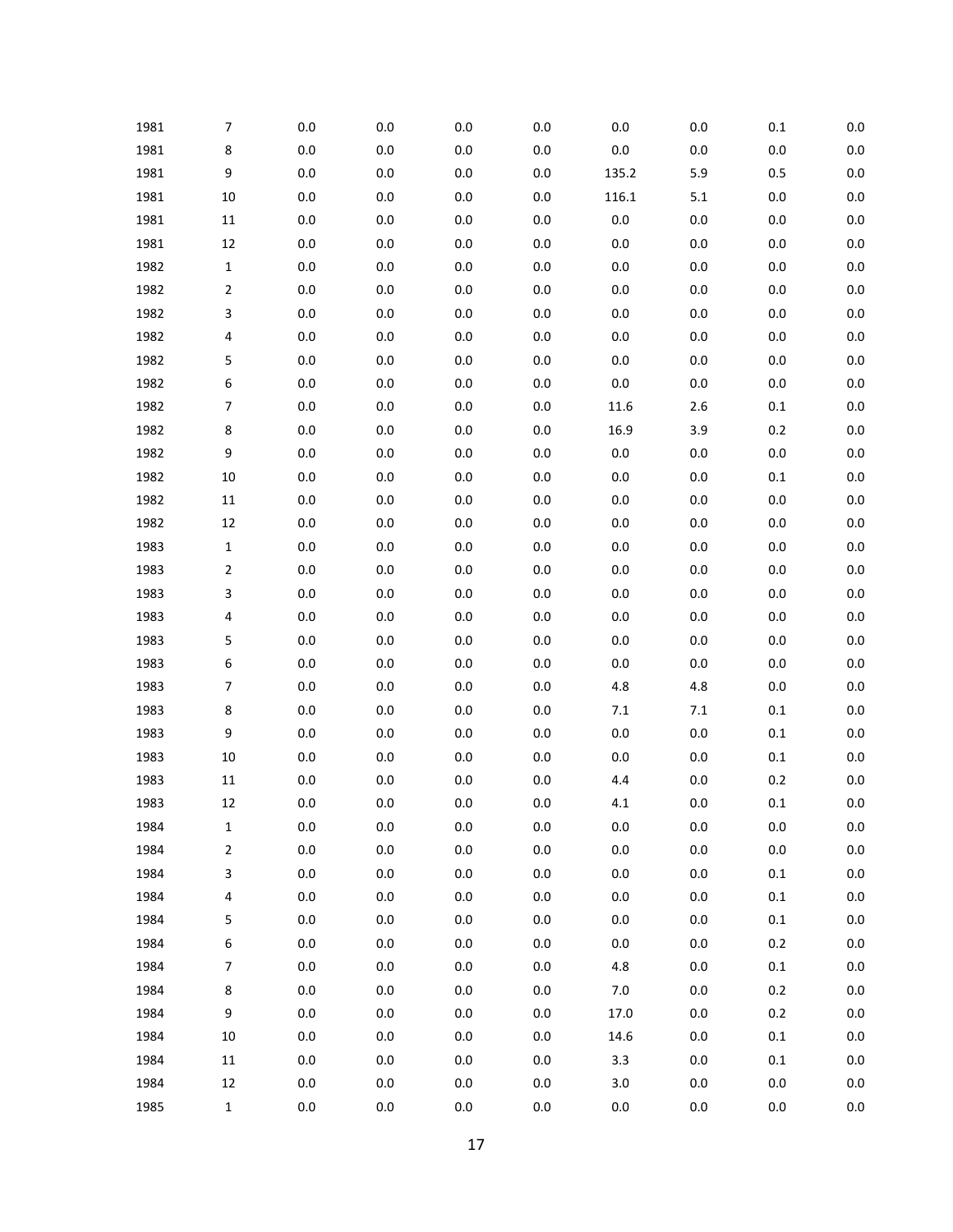| 1981 | $\overline{\phantom{a}}$ | $0.0\,$ | 0.0     | 0.0     | 0.0     | 0.0     | $0.0\,$ | $0.1\,$ | $0.0\,$ |
|------|--------------------------|---------|---------|---------|---------|---------|---------|---------|---------|
| 1981 | 8                        | 0.0     | 0.0     | $0.0\,$ | 0.0     | $0.0\,$ | $0.0\,$ | $0.0\,$ | $0.0\,$ |
| 1981 | 9                        | $0.0\,$ | $0.0\,$ | 0.0     | $0.0\,$ | 135.2   | 5.9     | 0.5     | $0.0\,$ |
| 1981 | 10                       | 0.0     | 0.0     | 0.0     | 0.0     | 116.1   | 5.1     | $0.0\,$ | $0.0\,$ |
| 1981 | $11\,$                   | $0.0\,$ | $0.0\,$ | 0.0     | $0.0\,$ | $0.0\,$ | $0.0\,$ | $0.0\,$ | $0.0\,$ |
| 1981 | 12                       | 0.0     | 0.0     | 0.0     | 0.0     | $0.0\,$ | $0.0\,$ | $0.0\,$ | 0.0     |
| 1982 | $\mathbf{1}$             | $0.0\,$ | $0.0\,$ | 0.0     | $0.0\,$ | $0.0\,$ | $0.0\,$ | $0.0\,$ | $0.0\,$ |
| 1982 | $\overline{2}$           | 0.0     | 0.0     | 0.0     | 0.0     | $0.0\,$ | $0.0\,$ | $0.0\,$ | $0.0\,$ |
| 1982 | 3                        | $0.0\,$ | $0.0\,$ | 0.0     | $0.0\,$ | $0.0\,$ | $0.0\,$ | $0.0\,$ | $0.0\,$ |
| 1982 | 4                        | 0.0     | 0.0     | 0.0     | 0.0     | $0.0\,$ | $0.0\,$ | $0.0\,$ | 0.0     |
| 1982 | 5                        | $0.0\,$ | $0.0\,$ | 0.0     | $0.0\,$ | $0.0\,$ | $0.0\,$ | $0.0\,$ | $0.0\,$ |
| 1982 | 6                        | 0.0     | 0.0     | 0.0     | 0.0     | $0.0\,$ | $0.0\,$ | $0.0\,$ | 0.0     |
| 1982 | 7                        | $0.0\,$ | $0.0\,$ | 0.0     | 0.0     | 11.6    | $2.6\,$ | $0.1\,$ | $0.0\,$ |
| 1982 | 8                        | 0.0     | 0.0     | 0.0     | $0.0\,$ | 16.9    | 3.9     | 0.2     | 0.0     |
| 1982 | 9                        | $0.0\,$ | $0.0\,$ | 0.0     | $0.0\,$ | $0.0\,$ | $0.0\,$ | $0.0\,$ | $0.0\,$ |
| 1982 | 10                       | 0.0     | 0.0     | 0.0     | 0.0     | $0.0\,$ | $0.0\,$ | $0.1\,$ | $0.0\,$ |
| 1982 | 11                       | $0.0\,$ | $0.0\,$ | 0.0     | 0.0     | $0.0\,$ | $0.0\,$ | $0.0\,$ | $0.0\,$ |
| 1982 | 12                       | 0.0     | 0.0     | 0.0     | 0.0     | $0.0\,$ | $0.0\,$ | $0.0\,$ | 0.0     |
| 1983 | $\mathbf{1}$             | $0.0\,$ | $0.0\,$ | 0.0     | $0.0\,$ | $0.0\,$ | $0.0\,$ | $0.0\,$ | $0.0\,$ |
| 1983 | $\overline{2}$           | 0.0     | 0.0     | 0.0     | 0.0     | $0.0\,$ | $0.0\,$ | $0.0\,$ | $0.0\,$ |
| 1983 | 3                        | $0.0\,$ | $0.0\,$ | 0.0     | $0.0\,$ | $0.0\,$ | $0.0\,$ | $0.0\,$ | $0.0\,$ |
| 1983 | 4                        | 0.0     | 0.0     | 0.0     | 0.0     | $0.0\,$ | $0.0\,$ | $0.0\,$ | 0.0     |
| 1983 | 5                        | $0.0\,$ | $0.0\,$ | 0.0     | $0.0\,$ | $0.0\,$ | $0.0\,$ | $0.0\,$ | $0.0\,$ |
| 1983 | 6                        | 0.0     | 0.0     | 0.0     | 0.0     | $0.0\,$ | $0.0\,$ | $0.0\,$ | $0.0\,$ |
| 1983 | $\overline{\phantom{a}}$ | $0.0\,$ | $0.0\,$ | 0.0     | $0.0\,$ | 4.8     | 4.8     | $0.0\,$ | $0.0\,$ |
| 1983 | 8                        | 0.0     | 0.0     | 0.0     | 0.0     | 7.1     | 7.1     | $0.1\,$ | 0.0     |
| 1983 | 9                        | $0.0\,$ | 0.0     | 0.0     | 0.0     | $0.0\,$ | $0.0\,$ | $0.1\,$ | $0.0\,$ |
| 1983 | 10                       | 0.0     | 0.0     | 0.0     | 0.0     | $0.0\,$ | $0.0\,$ | $0.1\,$ | 0.0     |
| 1983 | 11                       | 0.0     | 0.0     | 0.0     | 0.0     | $4.4\,$ | $0.0\,$ | 0.2     | $0.0\,$ |
| 1983 | 12                       | 0.0     | 0.0     | $0.0\,$ | 0.0     | 4.1     | $0.0\,$ | 0.1     | $0.0\,$ |
| 1984 | 1                        | $0.0\,$ | $0.0\,$ | $0.0\,$ | $0.0\,$ | $0.0\,$ | $0.0\,$ | $0.0\,$ | $0.0\,$ |
| 1984 | $\mathbf 2$              | $0.0\,$ | $0.0\,$ | $0.0\,$ | $0.0\,$ | $0.0\,$ | $0.0\,$ | $0.0\,$ | $0.0\,$ |
| 1984 | 3                        | $0.0\,$ | $0.0\,$ | $0.0\,$ | $0.0\,$ | $0.0\,$ | $0.0\,$ | $0.1\,$ | $0.0\,$ |
| 1984 | 4                        | $0.0\,$ | $0.0\,$ | $0.0\,$ | $0.0\,$ | $0.0\,$ | $0.0\,$ | $0.1\,$ | 0.0     |
| 1984 | 5                        | $0.0\,$ | $0.0\,$ | $0.0\,$ | $0.0\,$ | $0.0\,$ | $0.0\,$ | 0.1     | 0.0     |
| 1984 | 6                        | $0.0\,$ | $0.0\,$ | 0.0     | $0.0\,$ | $0.0\,$ | $0.0\,$ | 0.2     | 0.0     |
| 1984 | $\boldsymbol{7}$         | $0.0\,$ | $0.0\,$ | $0.0\,$ | $0.0\,$ | 4.8     | $0.0\,$ | $0.1\,$ | 0.0     |
| 1984 | 8                        | $0.0\,$ | $0.0\,$ | $0.0\,$ | $0.0\,$ | $7.0\,$ | $0.0\,$ | 0.2     | 0.0     |
| 1984 | 9                        | $0.0\,$ | $0.0\,$ | $0.0\,$ | $0.0\,$ | 17.0    | $0.0\,$ | 0.2     | 0.0     |
| 1984 | $10\,$                   | $0.0\,$ | $0.0\,$ | 0.0     | $0.0\,$ | 14.6    | $0.0\,$ | 0.1     | 0.0     |
| 1984 | $11\,$                   | $0.0\,$ | $0.0\,$ | $0.0\,$ | $0.0\,$ | 3.3     | $0.0\,$ | $0.1\,$ | 0.0     |
| 1984 | 12                       | $0.0\,$ | $0.0\,$ | $0.0\,$ | $0.0\,$ | 3.0     | $0.0\,$ | $0.0\,$ | 0.0     |
| 1985 | $\mathbf{1}$             | 0.0     | 0.0     | $0.0\,$ | 0.0     | $0.0\,$ | 0.0     | 0.0     | 0.0     |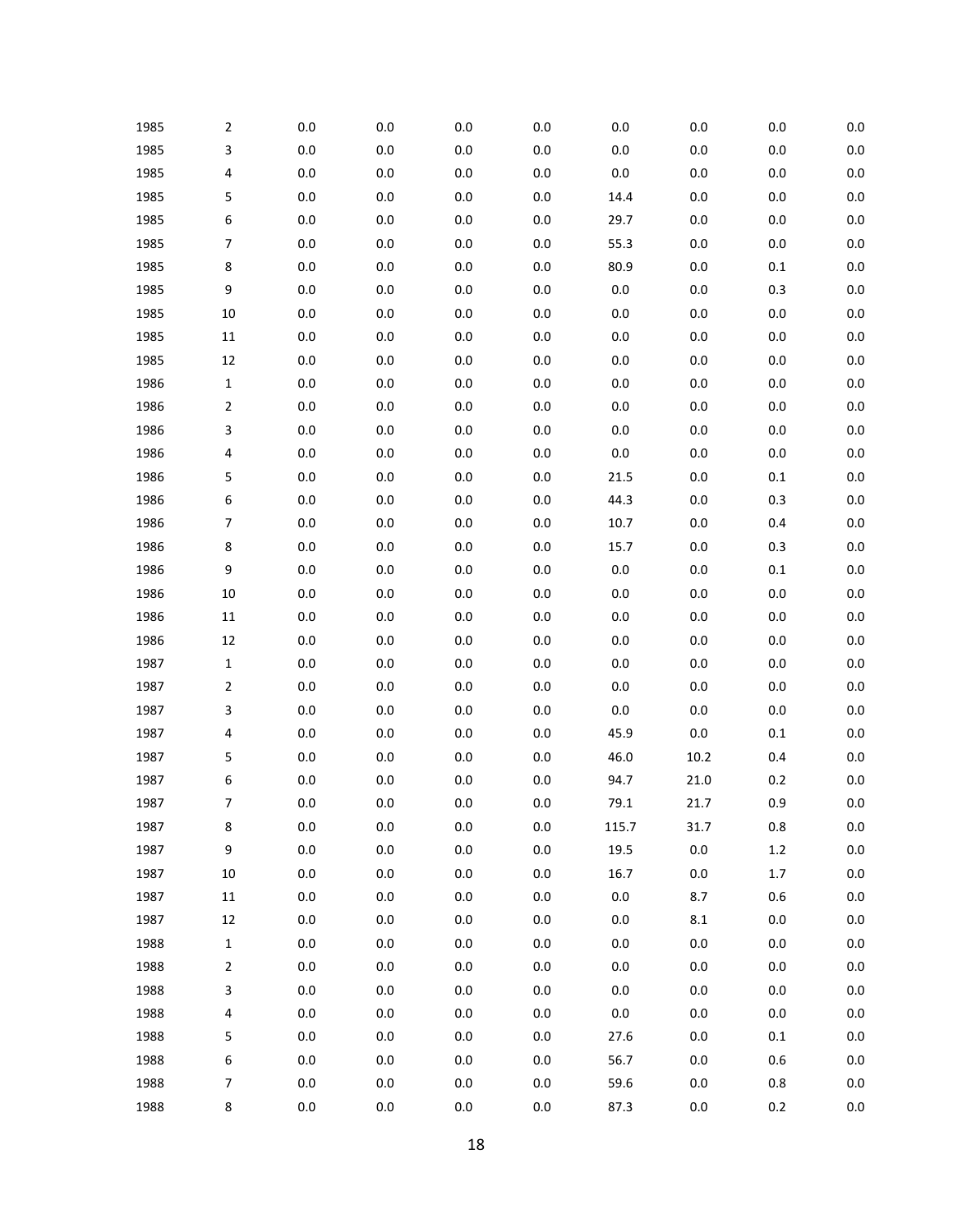| 1985 | 2                        | $0.0\,$ | $0.0\,$ | 0.0     | $0.0\,$ | $0.0\,$ | $0.0\,$ | 0.0     | 0.0     |
|------|--------------------------|---------|---------|---------|---------|---------|---------|---------|---------|
| 1985 | 3                        | $0.0\,$ | 0.0     | $0.0\,$ | 0.0     | $0.0\,$ | $0.0\,$ | 0.0     | $0.0\,$ |
| 1985 | 4                        | $0.0\,$ | $0.0\,$ | 0.0     | $0.0\,$ | $0.0\,$ | $0.0\,$ | 0.0     | $0.0\,$ |
| 1985 | 5                        | $0.0\,$ | $0.0\,$ | $0.0\,$ | $0.0\,$ | 14.4    | $0.0\,$ | 0.0     | 0.0     |
| 1985 | 6                        | $0.0\,$ | $0.0\,$ | 0.0     | $0.0\,$ | 29.7    | $0.0\,$ | $0.0\,$ | $0.0\,$ |
| 1985 | $\overline{\phantom{a}}$ | $0.0\,$ | 0.0     | 0.0     | $0.0\,$ | 55.3    | $0.0\,$ | 0.0     | 0.0     |
| 1985 | 8                        | $0.0\,$ | $0.0\,$ | 0.0     | $0.0\,$ | 80.9    | $0.0\,$ | $0.1\,$ | $0.0\,$ |
| 1985 | 9                        | $0.0\,$ | $0.0\,$ | $0.0\,$ | $0.0\,$ | $0.0\,$ | $0.0\,$ | 0.3     | 0.0     |
| 1985 | 10                       | $0.0\,$ | $0.0\,$ | 0.0     | $0.0\,$ | $0.0\,$ | $0.0\,$ | $0.0\,$ | $0.0\,$ |
| 1985 | $11\,$                   | $0.0\,$ | $0.0\,$ | 0.0     | $0.0\,$ | $0.0\,$ | $0.0\,$ | 0.0     | 0.0     |
| 1985 | 12                       | $0.0\,$ | $0.0\,$ | 0.0     | $0.0\,$ | $0.0\,$ | $0.0\,$ | $0.0\,$ | $0.0\,$ |
| 1986 | $\mathbf 1$              | $0.0\,$ | $0.0\,$ | $0.0\,$ | $0.0\,$ | $0.0\,$ | $0.0\,$ | 0.0     | $0.0\,$ |
| 1986 | $\overline{2}$           | $0.0\,$ | $0.0\,$ | 0.0     | $0.0\,$ | $0.0\,$ | $0.0\,$ | $0.0\,$ | $0.0\,$ |
| 1986 | 3                        | $0.0\,$ | $0.0\,$ | $0.0\,$ | $0.0\,$ | $0.0\,$ | $0.0\,$ | $0.0\,$ | 0.0     |
| 1986 | 4                        | $0.0\,$ | $0.0\,$ | 0.0     | $0.0\,$ | $0.0\,$ | $0.0\,$ | $0.0\,$ | $0.0\,$ |
| 1986 | 5                        | $0.0\,$ | $0.0\,$ | $0.0\,$ | $0.0\,$ | 21.5    | $0.0\,$ | $0.1\,$ | 0.0     |
| 1986 | 6                        | $0.0\,$ | $0.0\,$ | 0.0     | $0.0\,$ | 44.3    | $0.0\,$ | 0.3     | $0.0\,$ |
| 1986 | $\overline{7}$           | $0.0\,$ | $0.0\,$ | $0.0\,$ | $0.0\,$ | 10.7    | $0.0\,$ | 0.4     | 0.0     |
| 1986 | 8                        | $0.0\,$ | $0.0\,$ | 0.0     | $0.0\,$ | 15.7    | $0.0\,$ | 0.3     | $0.0\,$ |
| 1986 | 9                        | $0.0\,$ | $0.0\,$ | $0.0\,$ | $0.0\,$ | $0.0\,$ | $0.0\,$ | $0.1\,$ | 0.0     |
| 1986 | 10                       | $0.0\,$ | $0.0\,$ | 0.0     | $0.0\,$ | $0.0\,$ | $0.0\,$ | $0.0\,$ | $0.0\,$ |
| 1986 | $11\,$                   | $0.0\,$ | 0.0     | $0.0\,$ | 0.0     | $0.0\,$ | $0.0\,$ | 0.0     | 0.0     |
| 1986 | 12                       | $0.0\,$ | $0.0\,$ | 0.0     | $0.0\,$ | $0.0\,$ | $0.0\,$ | 0.0     | $0.0\,$ |
| 1987 | $\mathbf 1$              | $0.0\,$ | $0.0\,$ | $0.0\,$ | $0.0\,$ | $0.0\,$ | $0.0\,$ | 0.0     | 0.0     |
| 1987 | 2                        | $0.0\,$ | $0.0\,$ | 0.0     | $0.0\,$ | $0.0\,$ | $0.0\,$ | $0.0\,$ | $0.0\,$ |
| 1987 | 3                        | $0.0\,$ | 0.0     | $0.0\,$ | 0.0     | $0.0\,$ | $0.0\,$ | 0.0     | 0.0     |
| 1987 | 4                        | $0.0\,$ | $0.0\,$ | 0.0     | $0.0\,$ | 45.9    | $0.0\,$ | $0.1\,$ | $0.0\,$ |
| 1987 | 5                        | $0.0\,$ | 0.0     | 0.0     | $0.0\,$ | 46.0    | 10.2    | 0.4     | 0.0     |
| 1987 | 6                        | $0.0\,$ | 0.0     | 0.0     | 0.0     | 94.7    | 21.0    | 0.2     | 0.0     |
| 1987 | 7                        | 0.0     | 0.0     | $0.0\,$ | 0.0     | 79.1    | 21.7    | 0.9     | 0.0     |
| 1987 | 8                        | $0.0\,$ | $0.0\,$ | 0.0     | $0.0\,$ | 115.7   | 31.7    | 0.8     | $0.0\,$ |
| 1987 | 9                        | $0.0\,$ | $0.0\,$ | $0.0\,$ | $0.0\,$ | 19.5    | $0.0\,$ | $1.2\,$ | $0.0\,$ |
| 1987 | $10\,$                   | $0.0\,$ | $0.0\,$ | 0.0     | $0.0\,$ | 16.7    | $0.0\,$ | $1.7\,$ | 0.0     |
| 1987 | $11\,$                   | $0.0\,$ | $0.0\,$ | $0.0\,$ | $0.0\,$ | $0.0\,$ | 8.7     | 0.6     | 0.0     |
| 1987 | 12                       | $0.0\,$ | $0.0\,$ | 0.0     | $0.0\,$ | $0.0\,$ | $8.1\,$ | 0.0     | 0.0     |
| 1988 | $\mathbf 1$              | $0.0\,$ | $0.0\,$ | $0.0\,$ | $0.0\,$ | $0.0\,$ | $0.0\,$ | 0.0     | 0.0     |
| 1988 | 2                        | $0.0\,$ | $0.0\,$ | 0.0     | $0.0\,$ | $0.0\,$ | $0.0\,$ | 0.0     | 0.0     |
| 1988 | 3                        | $0.0\,$ | $0.0\,$ | $0.0\,$ | $0.0\,$ | $0.0\,$ | $0.0\,$ | 0.0     | 0.0     |
| 1988 | 4                        | $0.0\,$ | $0.0\,$ | 0.0     | $0.0\,$ | $0.0\,$ | $0.0\,$ | 0.0     | 0.0     |
| 1988 | 5                        | $0.0\,$ | $0.0\,$ | 0.0     | $0.0\,$ | 27.6    | $0.0\,$ | $0.1\,$ | 0.0     |
| 1988 | 6                        | $0.0\,$ | $0.0\,$ | 0.0     | $0.0\,$ | 56.7    | $0.0\,$ | 0.6     | 0.0     |
| 1988 | $\overline{7}$           | $0.0\,$ | $0.0\,$ | $0.0\,$ | $0.0\,$ | 59.6    | $0.0\,$ | 0.8     | 0.0     |
| 1988 | 8                        | $0.0\,$ | $0.0\,$ | $0.0\,$ | $0.0\,$ | 87.3    | $0.0\,$ | $0.2\,$ | $0.0\,$ |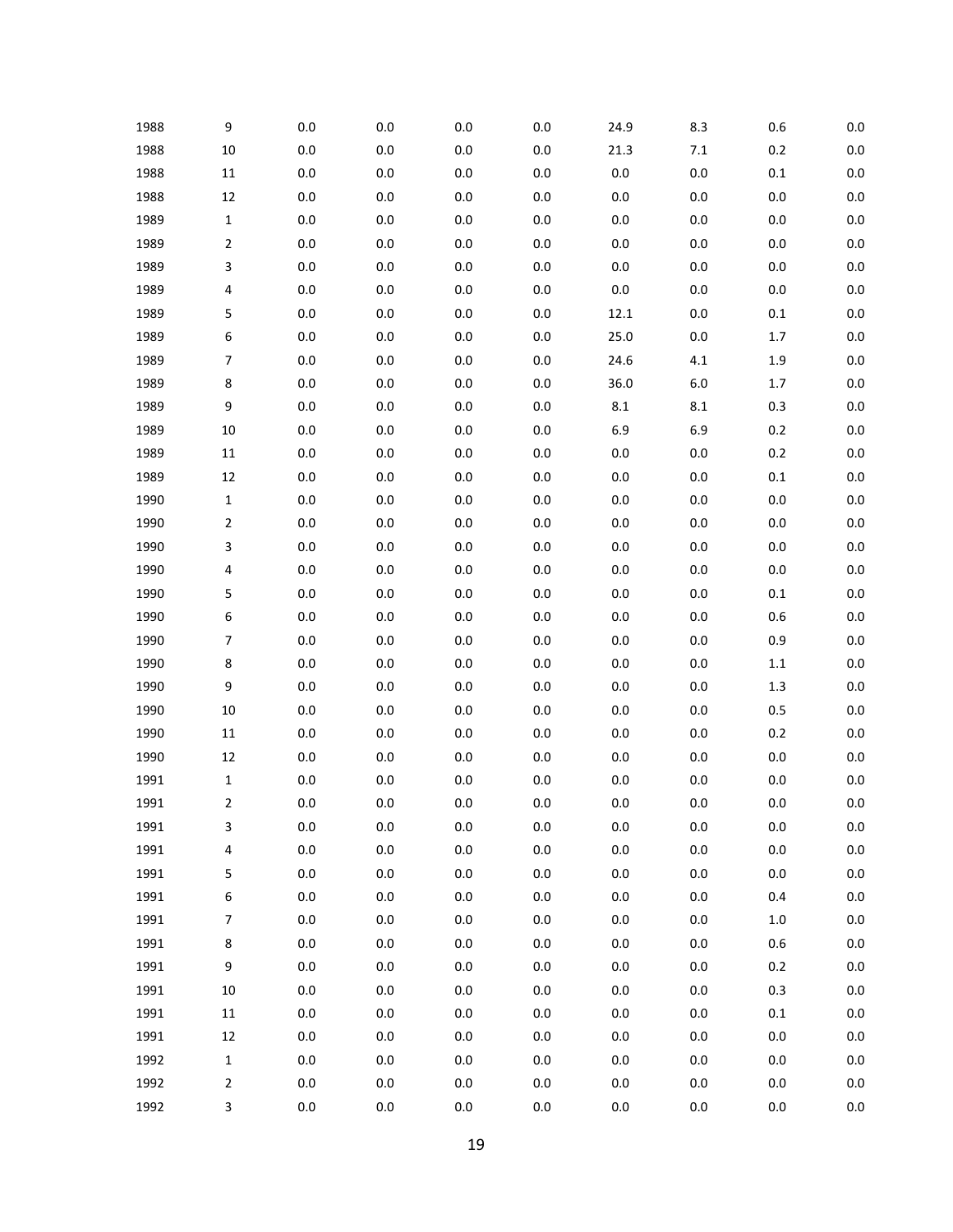| 1988 | 9                        | $0.0\,$ | $0.0\,$ | 0.0     | 0.0     | 24.9    | 8.3     | 0.6     | $0.0\,$ |
|------|--------------------------|---------|---------|---------|---------|---------|---------|---------|---------|
| 1988 | 10                       | 0.0     | 0.0     | $0.0\,$ | 0.0     | 21.3    | $7.1\,$ | 0.2     | $0.0\,$ |
| 1988 | $11\,$                   | $0.0\,$ | $0.0\,$ | 0.0     | $0.0\,$ | $0.0\,$ | $0.0\,$ | $0.1\,$ | $0.0\,$ |
| 1988 | 12                       | 0.0     | 0.0     | 0.0     | 0.0     | $0.0\,$ | $0.0\,$ | $0.0\,$ | $0.0\,$ |
| 1989 | 1                        | $0.0\,$ | $0.0\,$ | 0.0     | $0.0\,$ | $0.0\,$ | $0.0\,$ | $0.0\,$ | $0.0\,$ |
| 1989 | 2                        | 0.0     | 0.0     | 0.0     | 0.0     | $0.0\,$ | $0.0\,$ | $0.0\,$ | $0.0\,$ |
| 1989 | 3                        | $0.0\,$ | $0.0\,$ | 0.0     | $0.0\,$ | $0.0\,$ | $0.0\,$ | $0.0\,$ | $0.0\,$ |
| 1989 | 4                        | 0.0     | 0.0     | 0.0     | 0.0     | $0.0\,$ | $0.0\,$ | $0.0\,$ | $0.0\,$ |
| 1989 | 5                        | $0.0\,$ | $0.0\,$ | 0.0     | $0.0\,$ | 12.1    | $0.0\,$ | $0.1\,$ | $0.0\,$ |
| 1989 | 6                        | 0.0     | 0.0     | 0.0     | $0.0\,$ | 25.0    | $0.0\,$ | 1.7     | 0.0     |
| 1989 | $\overline{7}$           | $0.0\,$ | $0.0\,$ | 0.0     | $0.0\,$ | 24.6    | 4.1     | $1.9\,$ | $0.0\,$ |
| 1989 | 8                        | 0.0     | 0.0     | 0.0     | 0.0     | 36.0    | $6.0\,$ | 1.7     | 0.0     |
| 1989 | $\boldsymbol{9}$         | $0.0\,$ | $0.0\,$ | 0.0     | $0.0\,$ | $8.1\,$ | $8.1\,$ | 0.3     | $0.0\,$ |
| 1989 | 10                       | 0.0     | 0.0     | 0.0     | $0.0\,$ | 6.9     | 6.9     | 0.2     | 0.0     |
| 1989 | $11\,$                   | $0.0\,$ | $0.0\,$ | 0.0     | $0.0\,$ | $0.0\,$ | $0.0\,$ | $0.2\,$ | $0.0\,$ |
| 1989 | 12                       | 0.0     | 0.0     | 0.0     | 0.0     | $0.0\,$ | $0.0\,$ | $0.1\,$ | $0.0\,$ |
| 1990 | $\mathbf{1}$             | $0.0\,$ | $0.0\,$ | 0.0     | $0.0\,$ | $0.0\,$ | $0.0\,$ | $0.0\,$ | $0.0\,$ |
| 1990 | $\overline{2}$           | 0.0     | 0.0     | 0.0     | 0.0     | $0.0\,$ | $0.0\,$ | $0.0\,$ | 0.0     |
| 1990 | 3                        | $0.0\,$ | $0.0\,$ | 0.0     | $0.0\,$ | $0.0\,$ | $0.0\,$ | $0.0\,$ | $0.0\,$ |
| 1990 | 4                        | 0.0     | 0.0     | 0.0     | 0.0     | $0.0\,$ | $0.0\,$ | $0.0\,$ | $0.0\,$ |
| 1990 | 5                        | $0.0\,$ | $0.0\,$ | 0.0     | $0.0\,$ | $0.0\,$ | $0.0\,$ | $0.1\,$ | $0.0\,$ |
| 1990 | 6                        | 0.0     | 0.0     | 0.0     | 0.0     | $0.0\,$ | $0.0\,$ | 0.6     | 0.0     |
| 1990 | $\overline{\phantom{a}}$ | $0.0\,$ | $0.0\,$ | 0.0     | $0.0\,$ | $0.0\,$ | $0.0\,$ | 0.9     | $0.0\,$ |
| 1990 | 8                        | 0.0     | 0.0     | 0.0     | 0.0     | $0.0\,$ | $0.0\,$ | $1.1\,$ | 0.0     |
| 1990 | 9                        | $0.0\,$ | $0.0\,$ | 0.0     | $0.0\,$ | $0.0\,$ | $0.0\,$ | $1.3\,$ | $0.0\,$ |
| 1990 | 10                       | 0.0     | 0.0     | 0.0     | 0.0     | $0.0\,$ | $0.0\,$ | 0.5     | 0.0     |
| 1990 | $11\,$                   | $0.0\,$ | $0.0\,$ | 0.0     | 0.0     | $0.0\,$ | $0.0\,$ | $0.2\,$ | $0.0\,$ |
| 1990 | 12                       | 0.0     | 0.0     | 0.0     | 0.0     | $0.0\,$ | $0.0\,$ | $0.0\,$ | 0.0     |
| 1991 | 1                        | $0.0\,$ | 0.0     | 0.0     | 0.0     | $0.0\,$ | $0.0\,$ | $0.0\,$ | $0.0\,$ |
| 1991 | 2                        | 0.0     | 0.0     | $0.0\,$ | 0.0     | $0.0\,$ | $0.0\,$ | 0.0     | $0.0\,$ |
| 1991 | 3                        | $0.0\,$ | $0.0\,$ | $0.0\,$ | $0.0\,$ | $0.0\,$ | $0.0\,$ | $0.0\,$ | $0.0\,$ |
| 1991 | 4                        | $0.0\,$ | 0.0     | $0.0\,$ | $0.0\,$ | $0.0\,$ | $0.0\,$ | $0.0\,$ | $0.0\,$ |
| 1991 | 5                        | $0.0\,$ | $0.0\,$ | $0.0\,$ | $0.0\,$ | $0.0\,$ | $0.0\,$ | $0.0\,$ | $0.0\,$ |
| 1991 | 6                        | $0.0\,$ | 0.0     | $0.0\,$ | $0.0\,$ | $0.0\,$ | $0.0\,$ | 0.4     | 0.0     |
| 1991 | $\overline{7}$           | $0.0\,$ | $0.0\,$ | $0.0\,$ | $0.0\,$ | $0.0\,$ | $0.0\,$ | $1.0\,$ | $0.0\,$ |
| 1991 | 8                        | $0.0\,$ | $0.0\,$ | 0.0     | $0.0\,$ | $0.0\,$ | $0.0\,$ | 0.6     | 0.0     |
| 1991 | 9                        | $0.0\,$ | $0.0\,$ | $0.0\,$ | $0.0\,$ | $0.0\,$ | $0.0\,$ | 0.2     | $0.0\,$ |
| 1991 | $10\,$                   | $0.0\,$ | $0.0\,$ | $0.0\,$ | $0.0\,$ | $0.0\,$ | $0.0\,$ | 0.3     | 0.0     |
| 1991 | $11\,$                   | $0.0\,$ | $0.0\,$ | $0.0\,$ | $0.0\,$ | $0.0\,$ | $0.0\,$ | $0.1\,$ | $0.0\,$ |
| 1991 | 12                       | $0.0\,$ | $0.0\,$ | 0.0     | $0.0\,$ | $0.0\,$ | $0.0\,$ | $0.0\,$ | 0.0     |
| 1992 | $\mathbf 1$              | $0.0\,$ | $0.0\,$ | $0.0\,$ | $0.0\,$ | $0.0\,$ | $0.0\,$ | $0.0\,$ | $0.0\,$ |
| 1992 | $\overline{2}$           | $0.0\,$ | $0.0\,$ | $0.0\,$ | $0.0\,$ | $0.0\,$ | $0.0\,$ | $0.0\,$ | 0.0     |
| 1992 | 3                        | 0.0     | 0.0     | $0.0\,$ | 0.0     | $0.0\,$ | 0.0     | 0.0     | 0.0     |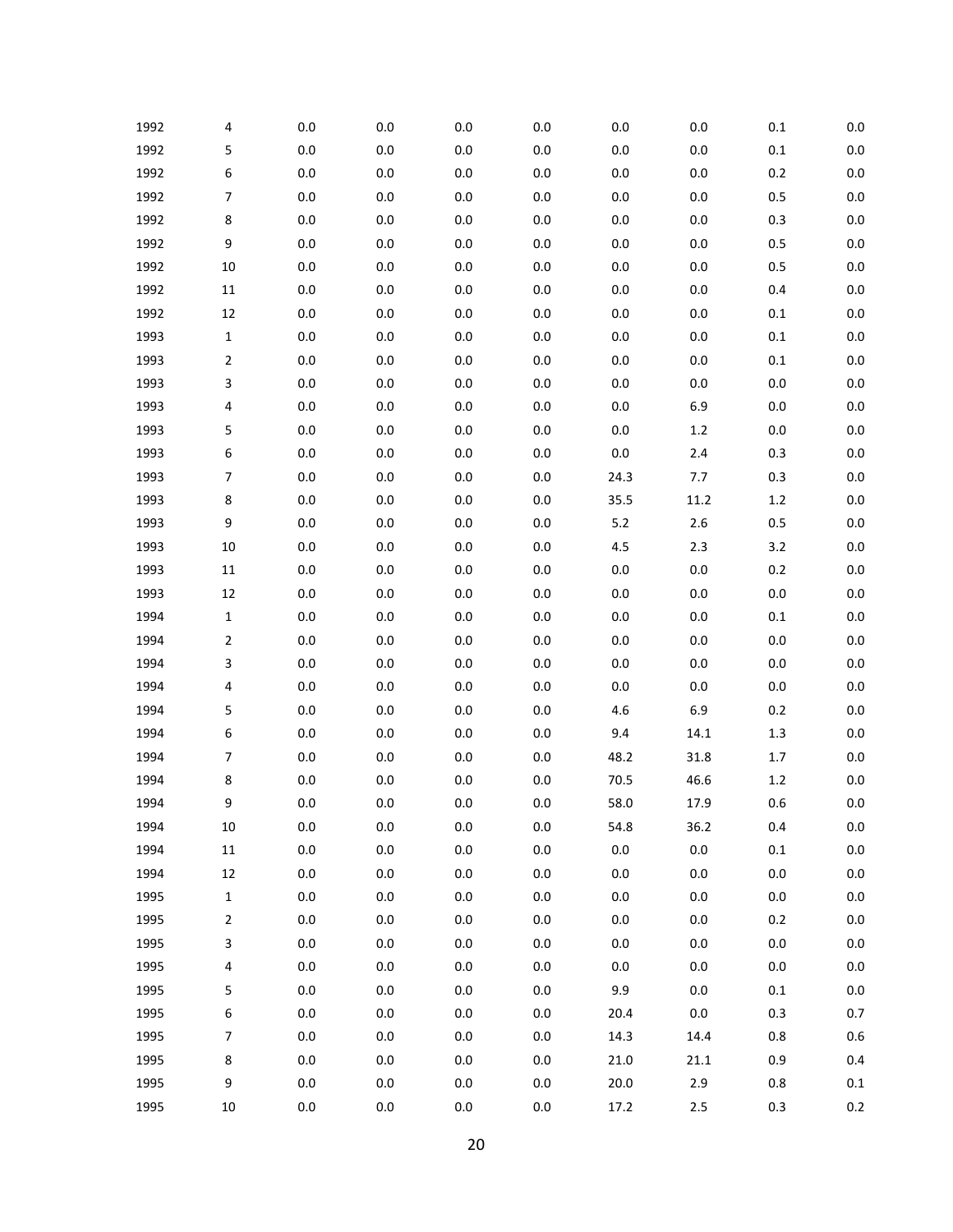| 1992 | 4              | $0.0\,$ | $0.0\,$ | 0.0     | 0.0     | $0.0\,$ | $0.0\,$ | 0.1     | 0.0     |
|------|----------------|---------|---------|---------|---------|---------|---------|---------|---------|
| 1992 | 5              | 0.0     | 0.0     | $0.0\,$ | 0.0     | $0.0\,$ | $0.0\,$ | $0.1\,$ | 0.0     |
| 1992 | 6              | $0.0\,$ | $0.0\,$ | 0.0     | 0.0     | $0.0\,$ | $0.0\,$ | 0.2     | 0.0     |
| 1992 | 7              | 0.0     | 0.0     | 0.0     | 0.0     | $0.0\,$ | $0.0\,$ | 0.5     | 0.0     |
| 1992 | 8              | 0.0     | $0.0\,$ | 0.0     | 0.0     | $0.0\,$ | $0.0\,$ | 0.3     | 0.0     |
| 1992 | 9              | 0.0     | 0.0     | 0.0     | 0.0     | $0.0\,$ | $0.0\,$ | 0.5     | 0.0     |
| 1992 | 10             | $0.0\,$ | $0.0\,$ | 0.0     | 0.0     | $0.0\,$ | $0.0\,$ | 0.5     | 0.0     |
| 1992 | $11\,$         | 0.0     | 0.0     | 0.0     | 0.0     | $0.0\,$ | $0.0\,$ | 0.4     | 0.0     |
| 1992 | 12             | $0.0\,$ | $0.0\,$ | 0.0     | 0.0     | $0.0\,$ | $0.0\,$ | $0.1\,$ | 0.0     |
| 1993 | $\mathbf{1}$   | 0.0     | 0.0     | 0.0     | 0.0     | $0.0\,$ | $0.0\,$ | $0.1\,$ | 0.0     |
| 1993 | $\mathbf 2$    | $0.0\,$ | $0.0\,$ | 0.0     | 0.0     | $0.0\,$ | $0.0\,$ | $0.1\,$ | 0.0     |
| 1993 | 3              | 0.0     | 0.0     | 0.0     | 0.0     | $0.0\,$ | $0.0\,$ | 0.0     | 0.0     |
| 1993 | 4              | $0.0\,$ | $0.0\,$ | 0.0     | $0.0\,$ | $0.0\,$ | 6.9     | $0.0\,$ | 0.0     |
| 1993 | 5              | 0.0     | 0.0     | 0.0     | 0.0     | $0.0\,$ | 1.2     | 0.0     | 0.0     |
| 1993 | 6              | $0.0\,$ | $0.0\,$ | 0.0     | 0.0     | $0.0\,$ | $2.4$   | 0.3     | 0.0     |
| 1993 | 7              | 0.0     | 0.0     | 0.0     | 0.0     | 24.3    | 7.7     | 0.3     | 0.0     |
| 1993 | 8              | $0.0\,$ | $0.0\,$ | 0.0     | $0.0\,$ | 35.5    | 11.2    | $1.2\,$ | 0.0     |
| 1993 | 9              | 0.0     | 0.0     | 0.0     | 0.0     | $5.2$   | $2.6$   | 0.5     | 0.0     |
| 1993 | 10             | $0.0\,$ | $0.0\,$ | 0.0     | 0.0     | $4.5\,$ | 2.3     | 3.2     | 0.0     |
| 1993 | $11\,$         | 0.0     | 0.0     | 0.0     | 0.0     | $0.0\,$ | $0.0\,$ | 0.2     | 0.0     |
| 1993 | 12             | $0.0\,$ | $0.0\,$ | 0.0     | 0.0     | $0.0\,$ | $0.0\,$ | $0.0\,$ | 0.0     |
| 1994 | $\mathbf{1}$   | 0.0     | 0.0     | 0.0     | 0.0     | $0.0\,$ | $0.0\,$ | $0.1\,$ | 0.0     |
| 1994 | $\mathbf 2$    | $0.0\,$ | $0.0\,$ | 0.0     | 0.0     | $0.0\,$ | $0.0\,$ | 0.0     | 0.0     |
| 1994 | 3              | 0.0     | 0.0     | 0.0     | 0.0     | $0.0\,$ | $0.0\,$ | 0.0     | 0.0     |
| 1994 | 4              | $0.0\,$ | $0.0\,$ | 0.0     | 0.0     | $0.0\,$ | $0.0\,$ | $0.0\,$ | 0.0     |
| 1994 | 5              | 0.0     | 0.0     | 0.0     | 0.0     | 4.6     | 6.9     | 0.2     | 0.0     |
| 1994 | 6              | $0.0\,$ | $0.0\,$ | 0.0     | 0.0     | 9.4     | 14.1    | $1.3\,$ | 0.0     |
| 1994 | 7              | 0.0     | 0.0     | 0.0     | 0.0     | 48.2    | 31.8    | 1.7     | 0.0     |
| 1994 | 8              | 0.0     | 0.0     | 0.0     | 0.0     | 70.5    | 46.6    | $1.2\,$ | 0.0     |
| 1994 | 9              | 0.0     | 0.0     | 0.0     | 0.0     | 58.0    | 17.9    | 0.6     | 0.0     |
| 1994 | $10\,$         | $0.0\,$ | $0.0\,$ | 0.0     | $0.0\,$ | 54.8    | 36.2    | 0.4     | $0.0\,$ |
| 1994 | $11\,$         | $0.0\,$ | $0.0\,$ | $0.0\,$ | $0.0\,$ | $0.0\,$ | $0.0\,$ | $0.1\,$ | $0.0\,$ |
| 1994 | 12             | $0.0\,$ | $0.0\,$ | 0.0     | $0.0\,$ | $0.0\,$ | $0.0\,$ | $0.0\,$ | $0.0\,$ |
| 1995 | $\mathbf 1$    | $0.0\,$ | 0.0     | 0.0     | 0.0     | $0.0\,$ | $0.0\,$ | 0.0     | 0.0     |
| 1995 | 2              | 0.0     | $0.0\,$ | 0.0     | $0.0\,$ | $0.0\,$ | $0.0\,$ | 0.2     | 0.0     |
| 1995 | 3              | $0.0\,$ | $0.0\,$ | $0.0\,$ | 0.0     | $0.0\,$ | $0.0\,$ | 0.0     | 0.0     |
| 1995 | 4              | $0.0\,$ | $0.0\,$ | 0.0     | $0.0\,$ | $0.0\,$ | $0.0\,$ | $0.0\,$ | $0.0\,$ |
| 1995 | 5              | $0.0\,$ | 0.0     | 0.0     | 0.0     | 9.9     | $0.0\,$ | $0.1\,$ | 0.0     |
| 1995 | 6              | $0.0\,$ | $0.0\,$ | 0.0     | $0.0\,$ | 20.4    | $0.0\,$ | 0.3     | 0.7     |
| 1995 | $\overline{7}$ | $0.0\,$ | $0.0\,$ | 0.0     | $0.0\,$ | 14.3    | 14.4    | 0.8     | $0.6\,$ |
| 1995 | 8              | $0.0\,$ | $0.0\,$ | 0.0     | $0.0\,$ | 21.0    | 21.1    | 0.9     | $0.4\,$ |
| 1995 | 9              | $0.0\,$ | $0.0\,$ | 0.0     | $0.0\,$ | 20.0    | 2.9     | 0.8     | $0.1\,$ |
| 1995 | $10\,$         | $0.0\,$ | $0.0\,$ | $0.0\,$ | $0.0\,$ | 17.2    | 2.5     | 0.3     | $0.2\,$ |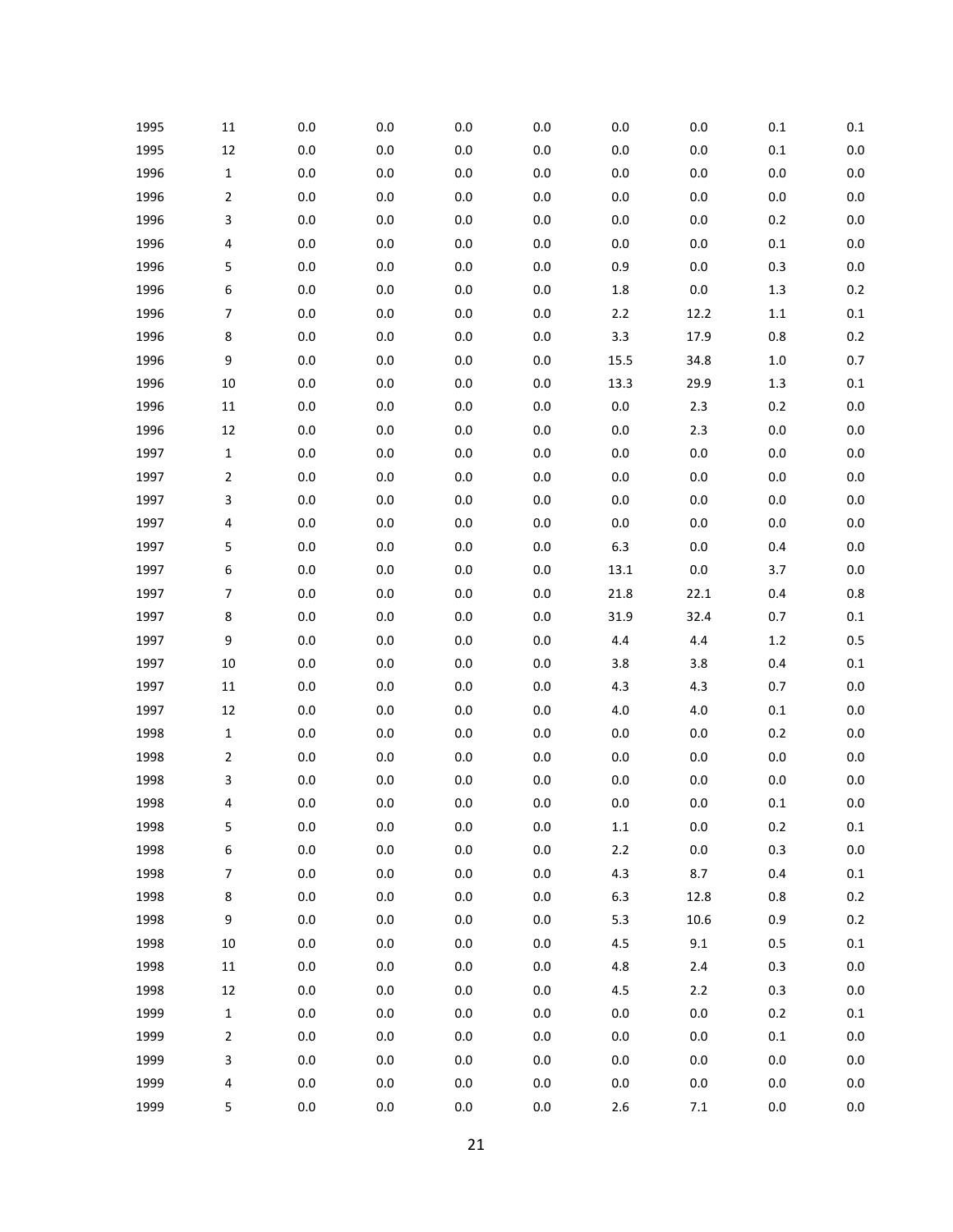| 1995 | 11               | 0.0     | 0.0     | 0.0     | $0.0\,$ | $0.0\,$ | 0.0     | $0.1\,$ | $0.1\,$ |
|------|------------------|---------|---------|---------|---------|---------|---------|---------|---------|
| 1995 | 12               | $0.0\,$ | $0.0\,$ | $0.0\,$ | $0.0\,$ | $0.0\,$ | $0.0\,$ | $0.1\,$ | 0.0     |
| 1996 | $\mathbf 1$      | 0.0     | $0.0\,$ | $0.0\,$ | $0.0\,$ | $0.0\,$ | $0.0\,$ | $0.0\,$ | 0.0     |
| 1996 | 2                | 0.0     | 0.0     | $0.0\,$ | 0.0     | $0.0\,$ | 0.0     | $0.0\,$ | 0.0     |
| 1996 | 3                | 0.0     | $0.0\,$ | $0.0\,$ | $0.0\,$ | $0.0\,$ | 0.0     | 0.2     | 0.0     |
| 1996 | 4                | $0.0\,$ | $0.0\,$ | $0.0\,$ | 0.0     | $0.0\,$ | 0.0     | $0.1\,$ | 0.0     |
| 1996 | 5                | 0.0     | $0.0\,$ | $0.0\,$ | $0.0\,$ | 0.9     | 0.0     | 0.3     | 0.0     |
| 1996 | 6                | 0.0     | 0.0     | $0.0\,$ | $0.0\,$ | $1.8\,$ | $0.0\,$ | $1.3$   | 0.2     |
| 1996 | $\overline{7}$   | $0.0\,$ | $0.0\,$ | $0.0\,$ | $0.0\,$ | $2.2\,$ | 12.2    | $1.1\,$ | $0.1\,$ |
| 1996 | 8                | $0.0\,$ | $0.0\,$ | $0.0\,$ | $0.0\,$ | 3.3     | 17.9    | 0.8     | 0.2     |
| 1996 | 9                | 0.0     | $0.0\,$ | $0.0\,$ | $0.0\,$ | 15.5    | 34.8    | $1.0\,$ | $0.7\,$ |
| 1996 | 10               | 0.0     | $0.0\,$ | $0.0\,$ | $0.0\,$ | 13.3    | 29.9    | $1.3$   | $0.1\,$ |
| 1996 | $11\,$           | $0.0\,$ | $0.0\,$ | $0.0\,$ | $0.0\,$ | $0.0\,$ | 2.3     | 0.2     | 0.0     |
| 1996 | 12               | $0.0\,$ | $0.0\,$ | $0.0\,$ | $0.0\,$ | $0.0\,$ | 2.3     | $0.0\,$ | 0.0     |
| 1997 | $\mathbf 1$      | 0.0     | $0.0\,$ | $0.0\,$ | $0.0\,$ | $0.0\,$ | 0.0     | $0.0\,$ | 0.0     |
| 1997 | 2                | 0.0     | $0.0\,$ | $0.0\,$ | $0.0\,$ | $0.0\,$ | 0.0     | $0.0\,$ | $0.0\,$ |
| 1997 | 3                | 0.0     | $0.0\,$ | $0.0\,$ | $0.0\,$ | $0.0\,$ | 0.0     | $0.0\,$ | $0.0\,$ |
| 1997 | 4                | $0.0\,$ | $0.0\,$ | $0.0\,$ | $0.0\,$ | $0.0\,$ | 0.0     | $0.0\,$ | 0.0     |
| 1997 | 5                | 0.0     | $0.0\,$ | $0.0\,$ | $0.0\,$ | 6.3     | 0.0     | 0.4     | 0.0     |
| 1997 | 6                | 0.0     | 0.0     | $0.0\,$ | $0.0\,$ | 13.1    | 0.0     | 3.7     | 0.0     |
| 1997 | $\overline{7}$   | 0.0     | $0.0\,$ | $0.0\,$ | $0.0\,$ | 21.8    | 22.1    | 0.4     | $0.8\,$ |
| 1997 | 8                | $0.0\,$ | $0.0\,$ | $0.0\,$ | $0.0\,$ | 31.9    | 32.4    | 0.7     | $0.1\,$ |
| 1997 | 9                | $0.0\,$ | $0.0\,$ | $0.0\,$ | $0.0\,$ | 4.4     | 4.4     | $1.2\,$ | 0.5     |
| 1997 | 10               | 0.0     | 0.0     | $0.0\,$ | $0.0\,$ | 3.8     | 3.8     | 0.4     | $0.1\,$ |
| 1997 | $11\,$           | 0.0     | $0.0\,$ | $0.0\,$ | $0.0\,$ | 4.3     | 4.3     | 0.7     | 0.0     |
| 1997 | 12               | 0.0     | $0.0\,$ | $0.0\,$ | 0.0     | $4.0$   | $4.0$   | $0.1\,$ | 0.0     |
| 1998 | $\mathbf 1$      | 0.0     | $0.0\,$ | $0.0\,$ | $0.0\,$ | $0.0\,$ | 0.0     | $0.2\,$ | 0.0     |
| 1998 | 2                | 0.0     | 0.0     | $0.0\,$ | $0.0\,$ | $0.0\,$ | 0.0     | $0.0\,$ | $0.0\,$ |
| 1998 | 3                | 0.0     | 0.0     | $0.0\,$ | 0.0     | $0.0\,$ | 0.0     | $0.0\,$ | $0.0\,$ |
| 1998 | 4                | 0.0     | $0.0\,$ | 0.0     | 0.0     | $0.0\,$ | 0.0     | $0.1\,$ | 0.0     |
| 1998 | 5                | $0.0\,$ | $0.0\,$ | $0.0\,$ | $0.0\,$ | $1.1\,$ | $0.0\,$ | $0.2\,$ | $0.1\,$ |
| 1998 | 6                | $0.0\,$ | 0.0     | $0.0\,$ | $0.0\,$ | $2.2\,$ | $0.0\,$ | 0.3     | 0.0     |
| 1998 | $\boldsymbol{7}$ | $0.0\,$ | $0.0\,$ | $0.0\,$ | $0.0\,$ | 4.3     | 8.7     | 0.4     | $0.1\,$ |
| 1998 | 8                | 0.0     | 0.0     | 0.0     | $0.0\,$ | 6.3     | 12.8    | 0.8     | $0.2\,$ |
| 1998 | 9                | $0.0\,$ | $0.0\,$ | $0.0\,$ | $0.0\,$ | 5.3     | 10.6    | 0.9     | $0.2\,$ |
| 1998 | 10               | $0.0\,$ | $0.0\,$ | $0.0\,$ | $0.0\,$ | 4.5     | 9.1     | 0.5     | $0.1\,$ |
| 1998 | $11\,$           | $0.0\,$ | $0.0\,$ | $0.0\,$ | $0.0\,$ | 4.8     | $2.4$   | 0.3     | $0.0\,$ |
| 1998 | 12               | $0.0\,$ | 0.0     | $0.0\,$ | $0.0\,$ | $4.5\,$ | $2.2$   | 0.3     | 0.0     |
| 1999 | $\mathbf 1$      | $0.0\,$ | $0.0\,$ | $0.0\,$ | $0.0\,$ | $0.0\,$ | $0.0\,$ | $0.2\,$ | $0.1\,$ |
| 1999 | 2                | $0.0\,$ | $0.0\,$ | $0.0\,$ | $0.0\,$ | $0.0\,$ | $0.0\,$ | $0.1\,$ | 0.0     |
| 1999 | 3                | 0.0     | $0.0\,$ | $0.0\,$ | $0.0\,$ | $0.0\,$ | $0.0\,$ | $0.0\,$ | $0.0\,$ |
| 1999 | 4                | $0.0\,$ | $0.0\,$ | $0.0\,$ | $0.0\,$ | $0.0\,$ | 0.0     | $0.0\,$ | 0.0     |
| 1999 | 5                | $0.0\,$ | $0.0\,$ | $0.0\,$ | $0.0\,$ | $2.6\,$ | $7.1\,$ | $0.0\,$ | $0.0\,$ |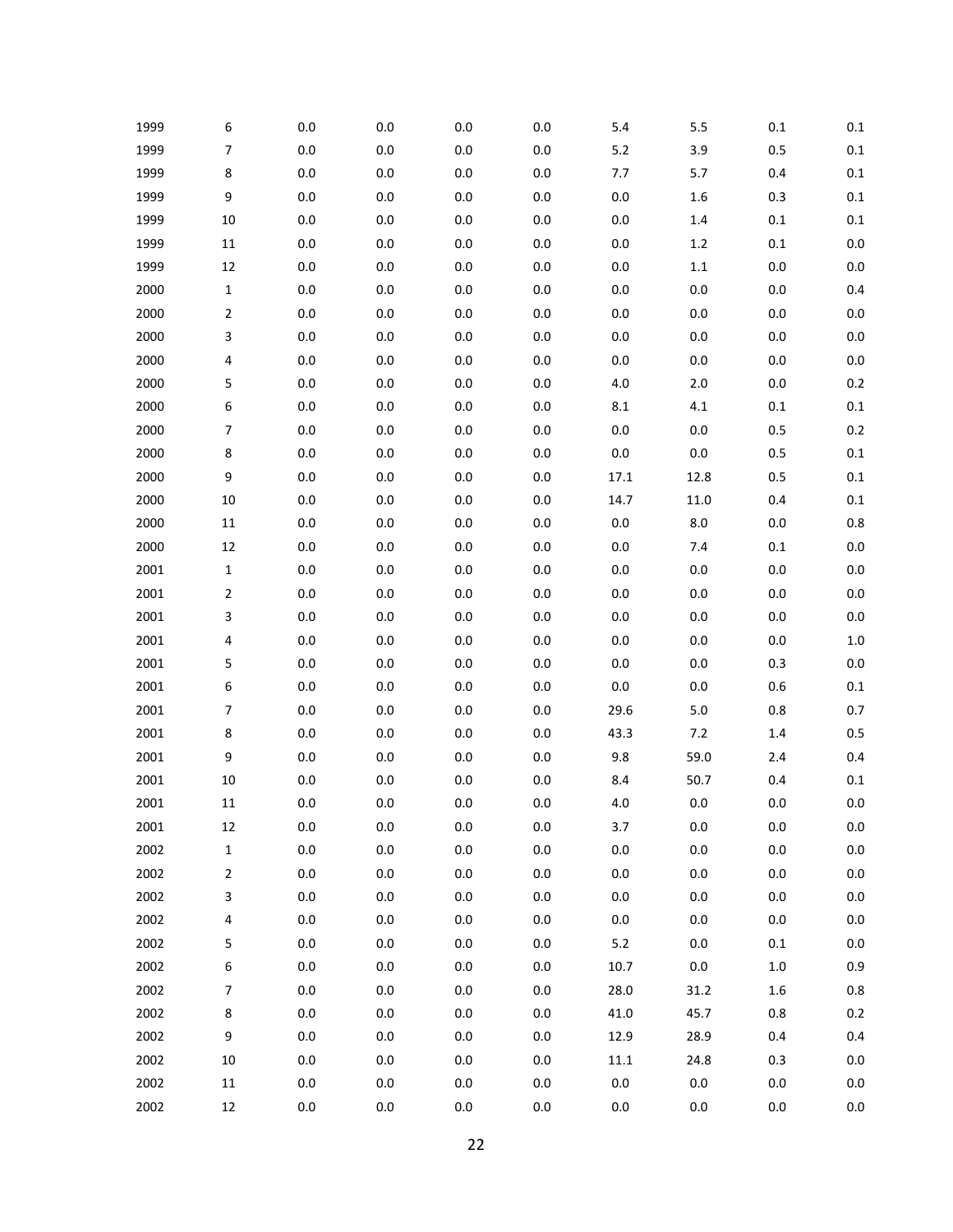| 1999 | 6              | 0.0     | 0.0     | 0.0     | 0.0     | 5.4      | 5.5     | $0.1\,$ | $0.1\,$ |
|------|----------------|---------|---------|---------|---------|----------|---------|---------|---------|
| 1999 | $\overline{7}$ | 0.0     | 0.0     | $0.0\,$ | 0.0     | $5.2$    | 3.9     | 0.5     | 0.1     |
| 1999 | 8              | $0.0\,$ | $0.0\,$ | $0.0\,$ | $0.0\,$ | 7.7      | 5.7     | 0.4     | $0.1\,$ |
| 1999 | 9              | 0.0     | 0.0     | 0.0     | 0.0     | $0.0\,$  | 1.6     | 0.3     | 0.1     |
| 1999 | 10             | $0.0\,$ | $0.0\,$ | $0.0\,$ | $0.0\,$ | $0.0\,$  | 1.4     | $0.1\,$ | $0.1\,$ |
| 1999 | 11             | 0.0     | 0.0     | $0.0\,$ | 0.0     | $0.0\,$  | 1.2     | $0.1\,$ | $0.0\,$ |
| 1999 | 12             | $0.0\,$ | $0.0\,$ | $0.0\,$ | $0.0\,$ | $0.0\,$  | $1.1\,$ | $0.0\,$ | $0.0\,$ |
| 2000 | $\mathbf 1$    | $0.0\,$ | 0.0     | $0.0\,$ | 0.0     | $0.0\,$  | 0.0     | $0.0\,$ | 0.4     |
| 2000 | $\overline{2}$ | $0.0\,$ | $0.0\,$ | $0.0\,$ | $0.0\,$ | $0.0\,$  | 0.0     | $0.0\,$ | $0.0\,$ |
| 2000 | 3              | 0.0     | 0.0     | $0.0\,$ | 0.0     | $0.0\,$  | 0.0     | $0.0\,$ | $0.0\,$ |
| 2000 | 4              | $0.0\,$ | $0.0\,$ | $0.0\,$ | $0.0\,$ | $0.0\,$  | 0.0     | $0.0\,$ | $0.0\,$ |
| 2000 | 5              | 0.0     | 0.0     | $0.0\,$ | 0.0     | $4.0$    | $2.0$   | $0.0\,$ | 0.2     |
| 2000 | 6              | $0.0\,$ | $0.0\,$ | $0.0\,$ | 0.0     | $8.1\,$  | $4.1\,$ | $0.1\,$ | $0.1\,$ |
| 2000 | $\overline{7}$ | 0.0     | 0.0     | 0.0     | 0.0     | $0.0\,$  | 0.0     | 0.5     | $0.2\,$ |
| 2000 | 8              | 0.0     | $0.0\,$ | $0.0\,$ | $0.0\,$ | $0.0\,$  | 0.0     | 0.5     | 0.1     |
| 2000 | 9              | 0.0     | 0.0     | 0.0     | 0.0     | 17.1     | 12.8    | 0.5     | 0.1     |
| 2000 | 10             | $0.0\,$ | $0.0\,$ | $0.0\,$ | 0.0     | 14.7     | 11.0    | 0.4     | $0.1\,$ |
| 2000 | 11             | 0.0     | 0.0     | 0.0     | 0.0     | $0.0\,$  | 8.0     | $0.0\,$ | 0.8     |
| 2000 | 12             | $0.0\,$ | $0.0\,$ | $0.0\,$ | $0.0\,$ | $0.0\,$  | 7.4     | $0.1\,$ | $0.0\,$ |
| 2001 | 1              | 0.0     | 0.0     | 0.0     | 0.0     | $0.0\,$  | 0.0     | $0.0\,$ | 0.0     |
| 2001 | $\overline{2}$ | $0.0\,$ | $0.0\,$ | $0.0\,$ | $0.0\,$ | $0.0\,$  | 0.0     | $0.0\,$ | $0.0\,$ |
| 2001 | 3              | 0.0     | 0.0     | 0.0     | 0.0     | $0.0\,$  | 0.0     | $0.0\,$ | $0.0\,$ |
| 2001 | 4              | $0.0\,$ | $0.0\,$ | $0.0\,$ | $0.0\,$ | $0.0\,$  | 0.0     | $0.0\,$ | $1.0\,$ |
| 2001 | 5              | 0.0     | 0.0     | $0.0\,$ | 0.0     | $0.0\,$  | 0.0     | 0.3     | 0.0     |
| 2001 | 6              | $0.0\,$ | $0.0\,$ | $0.0\,$ | $0.0\,$ | $0.0\,$  | 0.0     | 0.6     | $0.1\,$ |
| 2001 | 7              | 0.0     | 0.0     | 0.0     | 0.0     | 29.6     | $5.0$   | 0.8     | 0.7     |
| 2001 | 8              | $0.0\,$ | $0.0\,$ | $0.0\,$ | $0.0\,$ | 43.3     | 7.2     | 1.4     | 0.5     |
| 2001 | 9              | 0.0     | 0.0     | $0.0\,$ | 0.0     | 9.8      | 59.0    | 2.4     | 0.4     |
| 2001 | 10             | $0.0\,$ | $0.0\,$ | $0.0\,$ | 0.0     | 8.4      | 50.7    | 0.4     | $0.1\,$ |
| 2001 | 11             | 0.0     | 0.0     | 0.0     | 0.0     | $4.0$    | 0.0     | $0.0\,$ | 0.0     |
| 2001 | 12             | $0.0\,$ | $0.0\,$ | $0.0\,$ | $0.0\,$ | 3.7      | 0.0     | $0.0\,$ | $0.0\,$ |
| 2002 | $\mathbf 1$    | $0.0\,$ | $0.0\,$ | $0.0\,$ | $0.0\,$ | $0.0\,$  | $0.0\,$ | $0.0\,$ | $0.0\,$ |
| 2002 | $\overline{2}$ | $0.0\,$ | $0.0\,$ | $0.0\,$ | $0.0\,$ | $0.0\,$  | $0.0\,$ | $0.0\,$ | $0.0\,$ |
| 2002 | 3              | $0.0\,$ | $0.0\,$ | 0.0     | $0.0\,$ | $0.0\,$  | 0.0     | $0.0\,$ | 0.0     |
| 2002 | 4              | 0.0     | 0.0     | $0.0\,$ | $0.0\,$ | $0.0\,$  | $0.0\,$ | $0.0\,$ | $0.0\,$ |
| 2002 | 5              | $0.0\,$ | $0.0\,$ | $0.0\,$ | $0.0\,$ | 5.2      | $0.0\,$ | $0.1\,$ | 0.0     |
| 2002 | 6              | $0.0\,$ | $0.0\,$ | $0.0\,$ | $0.0\,$ | 10.7     | $0.0\,$ | $1.0\,$ | 0.9     |
| 2002 | $\overline{7}$ | 0.0     | 0.0     | 0.0     | $0.0\,$ | 28.0     | 31.2    | $1.6\,$ | 0.8     |
| 2002 | 8              | $0.0\,$ | $0.0\,$ | $0.0\,$ | $0.0\,$ | 41.0     | 45.7    | 0.8     | 0.2     |
| 2002 | 9              | 0.0     | $0.0\,$ | $0.0\,$ | $0.0\,$ | 12.9     | 28.9    | 0.4     | 0.4     |
| 2002 | $10\,$         | $0.0\,$ | $0.0\,$ | $0.0\,$ | $0.0\,$ | $11.1\,$ | 24.8    | 0.3     | $0.0\,$ |
| 2002 | $11\,$         | $0.0\,$ | $0.0\,$ | $0.0\,$ | $0.0\,$ | $0.0\,$  | $0.0\,$ | $0.0\,$ | $0.0\,$ |
| 2002 | 12             | $0.0\,$ | $0.0\,$ | $0.0\,$ | $0.0\,$ | $0.0\,$  | 0.0     | 0.0     | $0.0\,$ |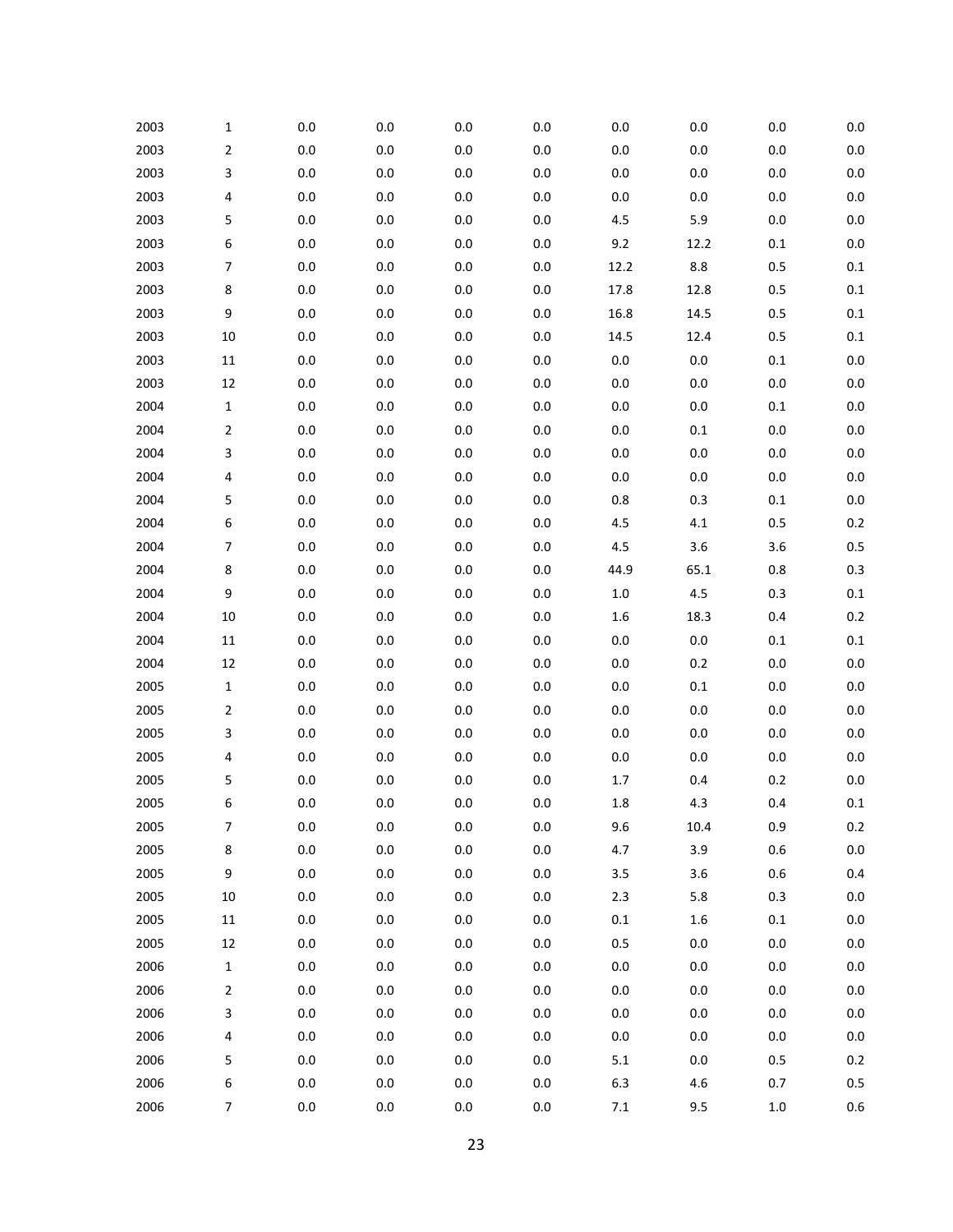| 2003 | 1              | 0.0     | 0.0     | 0.0     | 0.0     | 0.0     | 0.0     | 0.0     | 0.0     |
|------|----------------|---------|---------|---------|---------|---------|---------|---------|---------|
| 2003 | 2              | $0.0\,$ | 0.0     | 0.0     | 0.0     | $0.0\,$ | $0.0\,$ | $0.0\,$ | $0.0\,$ |
| 2003 | 3              | $0.0\,$ | $0.0\,$ | 0.0     | 0.0     | $0.0\,$ | $0.0\,$ | $0.0\,$ | 0.0     |
| 2003 | 4              | 0.0     | 0.0     | 0.0     | 0.0     | $0.0\,$ | $0.0\,$ | $0.0\,$ | 0.0     |
| 2003 | 5              | $0.0\,$ | $0.0\,$ | $0.0\,$ | 0.0     | $4.5\,$ | 5.9     | $0.0\,$ | 0.0     |
| 2003 | 6              | 0.0     | $0.0\,$ | 0.0     | 0.0     | 9.2     | 12.2    | $0.1\,$ | 0.0     |
| 2003 | 7              | $0.0\,$ | $0.0\,$ | 0.0     | 0.0     | 12.2    | $8.8\,$ | 0.5     | 0.1     |
| 2003 | 8              | 0.0     | 0.0     | 0.0     | 0.0     | 17.8    | 12.8    | 0.5     | 0.1     |
| 2003 | 9              | $0.0\,$ | $0.0\,$ | $0.0\,$ | 0.0     | 16.8    | 14.5    | 0.5     | 0.1     |
| 2003 | 10             | 0.0     | $0.0\,$ | 0.0     | 0.0     | 14.5    | 12.4    | 0.5     | 0.1     |
| 2003 | $11\,$         | $0.0\,$ | $0.0\,$ | 0.0     | 0.0     | $0.0\,$ | 0.0     | $0.1\,$ | 0.0     |
| 2003 | 12             | 0.0     | $0.0\,$ | 0.0     | 0.0     | $0.0\,$ | $0.0\,$ | $0.0\,$ | 0.0     |
| 2004 | 1              | $0.0\,$ | $0.0\,$ | $0.0\,$ | 0.0     | $0.0\,$ | $0.0\,$ | $0.1\,$ | 0.0     |
| 2004 | 2              | 0.0     | $0.0\,$ | 0.0     | 0.0     | $0.0\,$ | $0.1\,$ | $0.0\,$ | 0.0     |
| 2004 | 3              | $0.0\,$ | $0.0\,$ | 0.0     | 0.0     | $0.0\,$ | $0.0\,$ | $0.0\,$ | 0.0     |
| 2004 | 4              | 0.0     | 0.0     | 0.0     | 0.0     | $0.0\,$ | $0.0\,$ | $0.0\,$ | 0.0     |
| 2004 | 5              | $0.0\,$ | $0.0\,$ | $0.0\,$ | 0.0     | $0.8\,$ | 0.3     | $0.1\,$ | 0.0     |
| 2004 | 6              | 0.0     | 0.0     | 0.0     | 0.0     | 4.5     | 4.1     | 0.5     | 0.2     |
| 2004 | 7              | $0.0\,$ | $0.0\,$ | 0.0     | 0.0     | $4.5\,$ | 3.6     | 3.6     | 0.5     |
| 2004 | 8              | 0.0     | 0.0     | 0.0     | 0.0     | 44.9    | 65.1    | 0.8     | 0.3     |
| 2004 | 9              | $0.0\,$ | $0.0\,$ | $0.0\,$ | 0.0     | $1.0\,$ | 4.5     | 0.3     | 0.1     |
| 2004 | 10             | 0.0     | 0.0     | 0.0     | 0.0     | $1.6\,$ | 18.3    | 0.4     | 0.2     |
| 2004 | $11\,$         | $0.0\,$ | $0.0\,$ | 0.0     | 0.0     | $0.0\,$ | $0.0\,$ | $0.1\,$ | 0.1     |
| 2004 | 12             | 0.0     | 0.0     | 0.0     | 0.0     | $0.0\,$ | 0.2     | $0.0\,$ | 0.0     |
| 2005 | 1              | $0.0\,$ | $0.0\,$ | $0.0\,$ | 0.0     | $0.0\,$ | $0.1\,$ | $0.0\,$ | 0.0     |
| 2005 | 2              | 0.0     | 0.0     | 0.0     | 0.0     | $0.0\,$ | $0.0\,$ | $0.0\,$ | 0.0     |
| 2005 | 3              | $0.0\,$ | $0.0\,$ | 0.0     | 0.0     | $0.0\,$ | $0.0\,$ | $0.0\,$ | 0.0     |
| 2005 | 4              | 0.0     | $0.0\,$ | 0.0     | 0.0     | 0.0     | $0.0\,$ | $0.0\,$ | 0.0     |
| 2005 | 5              | $0.0\,$ | 0.0     | 0.0     | 0.0     | 1.7     | 0.4     | 0.2     | $0.0\,$ |
| 2005 | 6              | 0.0     | 0.0     | 0.0     | 0.0     | $1.8\,$ | 4.3     | 0.4     | 0.1     |
| 2005 | $\overline{7}$ | 0.0     | $0.0\,$ | $0.0\,$ | $0.0\,$ | 9.6     | 10.4    | 0.9     | $0.2\,$ |
| 2005 | 8              | 0.0     | $0.0\,$ | $0.0\,$ | 0.0     | 4.7     | 3.9     | $0.6\,$ | $0.0\,$ |
| 2005 | 9              | $0.0\,$ | $0.0\,$ | $0.0\,$ | $0.0\,$ | $3.5\,$ | 3.6     | $0.6\,$ | 0.4     |
| 2005 | $10\,$         | $0.0\,$ | $0.0\,$ | $0.0\,$ | 0.0     | $2.3$   | 5.8     | 0.3     | 0.0     |
| 2005 | $11\,$         | $0.0\,$ | $0.0\,$ | $0.0\,$ | $0.0\,$ | $0.1\,$ | $1.6\,$ | $0.1\,$ | $0.0\,$ |
| 2005 | 12             | $0.0\,$ | $0.0\,$ | $0.0\,$ | $0.0\,$ | $0.5\,$ | $0.0\,$ | $0.0\,$ | 0.0     |
| 2006 | 1              | $0.0\,$ | $0.0\,$ | $0.0\,$ | $0.0\,$ | $0.0\,$ | $0.0\,$ | $0.0\,$ | $0.0\,$ |
| 2006 | 2              | $0.0\,$ | $0.0\,$ | $0.0\,$ | 0.0     | $0.0\,$ | $0.0\,$ | $0.0\,$ | 0.0     |
| 2006 | 3              | $0.0\,$ | $0.0\,$ | $0.0\,$ | $0.0\,$ | $0.0\,$ | $0.0\,$ | $0.0\,$ | $0.0\,$ |
| 2006 | 4              | $0.0\,$ | $0.0\,$ | $0.0\,$ | $0.0\,$ | $0.0\,$ | $0.0\,$ | $0.0\,$ | 0.0     |
| 2006 | 5              | $0.0\,$ | $0.0\,$ | $0.0\,$ | $0.0\,$ | $5.1\,$ | $0.0\,$ | 0.5     | $0.2\,$ |
| 2006 | 6              | $0.0\,$ | $0.0\,$ | $0.0\,$ | $0.0\,$ | $6.3\,$ | 4.6     | 0.7     | $0.5\,$ |
| 2006 | $\overline{7}$ | $0.0\,$ | $0.0\,$ | $0.0\,$ | $0.0\,$ | 7.1     | 9.5     | $1.0\,$ | 0.6     |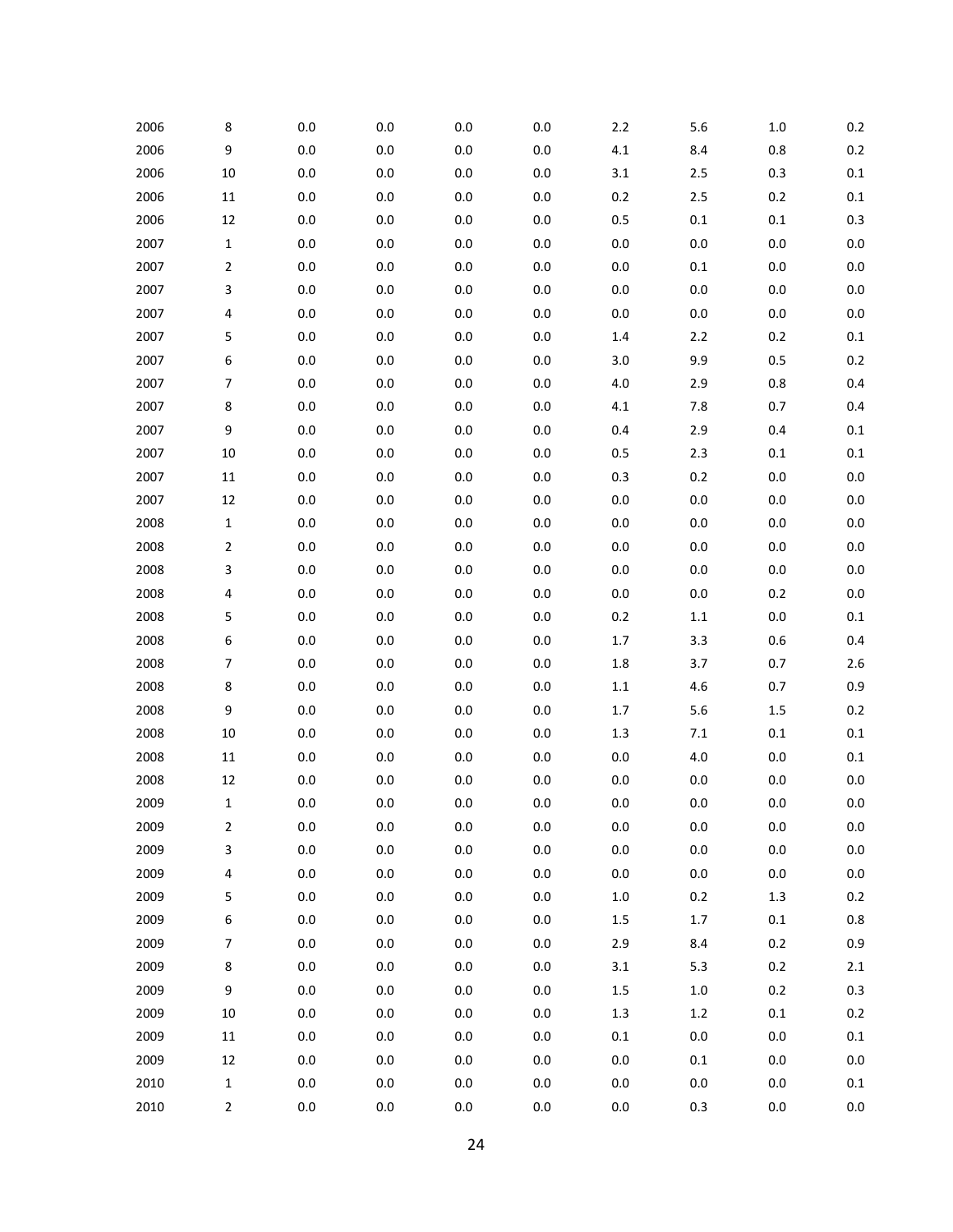| 2006 | 8              | 0.0     | 0.0     | 0.0     | 0.0     | $2.2$   | 5.6     | 1.0     | 0.2     |
|------|----------------|---------|---------|---------|---------|---------|---------|---------|---------|
| 2006 | 9              | $0.0\,$ | $0.0\,$ | 0.0     | 0.0     | $4.1\,$ | 8.4     | $0.8\,$ | 0.2     |
| 2006 | 10             | 0.0     | $0.0\,$ | 0.0     | 0.0     | 3.1     | $2.5$   | 0.3     | 0.1     |
| 2006 | $11\,$         | 0.0     | 0.0     | 0.0     | 0.0     | $0.2\,$ | $2.5$   | $0.2\,$ | 0.1     |
| 2006 | 12             | $0.0\,$ | $0.0\,$ | $0.0\,$ | $0.0\,$ | $0.5\,$ | $0.1\,$ | $0.1\,$ | 0.3     |
| 2007 | $\mathbf 1$    | $0.0\,$ | $0.0\,$ | $0.0\,$ | 0.0     | $0.0\,$ | 0.0     | $0.0\,$ | 0.0     |
| 2007 | $\overline{2}$ | 0.0     | $0.0\,$ | 0.0     | 0.0     | $0.0\,$ | $0.1\,$ | $0.0\,$ | $0.0\,$ |
| 2007 | 3              | 0.0     | 0.0     | $0.0\,$ | 0.0     | $0.0\,$ | 0.0     | $0.0\,$ | 0.0     |
| 2007 | 4              | $0.0\,$ | $0.0\,$ | $0.0\,$ | $0.0\,$ | $0.0\,$ | 0.0     | $0.0\,$ | $0.0\,$ |
| 2007 | 5              | 0.0     | $0.0\,$ | $0.0\,$ | 0.0     | $1.4\,$ | $2.2\,$ | $0.2\,$ | 0.1     |
| 2007 | 6              | 0.0     | $0.0\,$ | 0.0     | $0.0\,$ | 3.0     | 9.9     | 0.5     | 0.2     |
| 2007 | 7              | 0.0     | 0.0     | $0.0\,$ | 0.0     | 4.0     | 2.9     | 0.8     | 0.4     |
| 2007 | 8              | $0.0\,$ | $0.0\,$ | $0.0\,$ | $0.0\,$ | $4.1\,$ | 7.8     | 0.7     | 0.4     |
| 2007 | 9              | 0.0     | 0.0     | $0.0\,$ | 0.0     | 0.4     | 2.9     | 0.4     | 0.1     |
| 2007 | 10             | 0.0     | $0.0\,$ | 0.0     | $0.0\,$ | $0.5\,$ | 2.3     | $0.1\,$ | $0.1\,$ |
| 2007 | 11             | $0.0\,$ | 0.0     | $0.0\,$ | 0.0     | 0.3     | $0.2\,$ | $0.0\,$ | 0.0     |
| 2007 | 12             | $0.0\,$ | $0.0\,$ | $0.0\,$ | $0.0\,$ | $0.0\,$ | 0.0     | $0.0\,$ | $0.0\,$ |
| 2008 | $\mathbf 1$    | $0.0\,$ | 0.0     | $0.0\,$ | 0.0     | $0.0\,$ | 0.0     | $0.0\,$ | 0.0     |
| 2008 | $\overline{2}$ | 0.0     | $0.0\,$ | 0.0     | $0.0\,$ | $0.0\,$ | 0.0     | $0.0\,$ | 0.0     |
| 2008 | 3              | 0.0     | 0.0     | 0.0     | 0.0     | $0.0\,$ | 0.0     | $0.0\,$ | 0.0     |
| 2008 | 4              | $0.0\,$ | $0.0\,$ | $0.0\,$ | $0.0\,$ | $0.0\,$ | 0.0     | $0.2\,$ | $0.0\,$ |
| 2008 | 5              | 0.0     | 0.0     | $0.0\,$ | 0.0     | $0.2\,$ | $1.1\,$ | $0.0\,$ | $0.1\,$ |
| 2008 | 6              | 0.0     | $0.0\,$ | 0.0     | 0.0     | $1.7\,$ | 3.3     | 0.6     | 0.4     |
| 2008 | 7              | 0.0     | 0.0     | 0.0     | 0.0     | 1.8     | 3.7     | 0.7     | 2.6     |
| 2008 | 8              | $0.0\,$ | $0.0\,$ | $0.0\,$ | $0.0\,$ | 1.1     | 4.6     | 0.7     | 0.9     |
| 2008 | 9              | 0.0     | 0.0     | 0.0     | 0.0     | 1.7     | 5.6     | $1.5\,$ | 0.2     |
| 2008 | 10             | $0.0\,$ | $0.0\,$ | 0.0     | 0.0     | $1.3\,$ | $7.1\,$ | $0.1\,$ | 0.1     |
| 2008 | 11             | 0.0     | 0.0     | 0.0     | 0.0     | $0.0\,$ | 4.0     | $0.0\,$ | 0.1     |
| 2008 | 12             | $0.0\,$ | $0.0\,$ | $0.0\,$ | 0.0     | $0.0\,$ | 0.0     | $0.0\,$ | $0.0\,$ |
| 2009 | $\mathbf 1$    | $0.0\,$ | $0.0\,$ | 0.0     | 0.0     | $0.0\,$ | 0.0     | $0.0\,$ | 0.0     |
| 2009 | 2              | $0.0\,$ | $0.0\,$ | $0.0\,$ | $0.0\,$ | $0.0\,$ | 0.0     | $0.0\,$ | $0.0\,$ |
| 2009 | 3              | 0.0     | 0.0     | 0.0     | $0.0\,$ | $0.0\,$ | $0.0\,$ | $0.0\,$ | 0.0     |
| 2009 | 4              | $0.0\,$ | $0.0\,$ | 0.0     | $0.0\,$ | $0.0\,$ | $0.0\,$ | $0.0\,$ | $0.0\,$ |
| 2009 | 5              | 0.0     | 0.0     | $0.0\,$ | $0.0\,$ | $1.0\,$ | $0.2\,$ | $1.3\,$ | $0.2\,$ |
| 2009 | 6              | $0.0\,$ | $0.0\,$ | $0.0\,$ | $0.0\,$ | $1.5\,$ | $1.7\,$ | $0.1\,$ | $0.8\,$ |
| 2009 | 7              | $0.0\,$ | $0.0\,$ | $0.0\,$ | $0.0\,$ | 2.9     | 8.4     | $0.2\,$ | 0.9     |
| 2009 | 8              | $0.0\,$ | $0.0\,$ | 0.0     | $0.0\,$ | 3.1     | $5.3$   | 0.2     | $2.1\,$ |
| 2009 | 9              | 0.0     | 0.0     | $0.0\,$ | $0.0\,$ | $1.5\,$ | $1.0\,$ | $0.2\,$ | 0.3     |
| 2009 | 10             | $0.0\,$ | $0.0\,$ | $0.0\,$ | $0.0\,$ | $1.3\,$ | $1.2\,$ | $0.1\,$ | $0.2\,$ |
| 2009 | $11\,$         | $0.0\,$ | $0.0\,$ | $0.0\,$ | $0.0\,$ | $0.1\,$ | 0.0     | $0.0\,$ | $0.1\,$ |
| 2009 | $12\,$         | $0.0\,$ | $0.0\,$ | 0.0     | $0.0\,$ | $0.0\,$ | $0.1\,$ | $0.0\,$ | $0.0\,$ |
| 2010 | $\mathbf 1$    | $0.0\,$ | $0.0\,$ | $0.0\,$ | $0.0\,$ | $0.0\,$ | 0.0     | $0.0\,$ | $0.1\,$ |
| 2010 | $\mathbf{2}$   | $0.0\,$ | $0.0\,$ | $0.0\,$ | $0.0\,$ | $0.0\,$ | $0.3\,$ | $0.0\,$ | $0.0\,$ |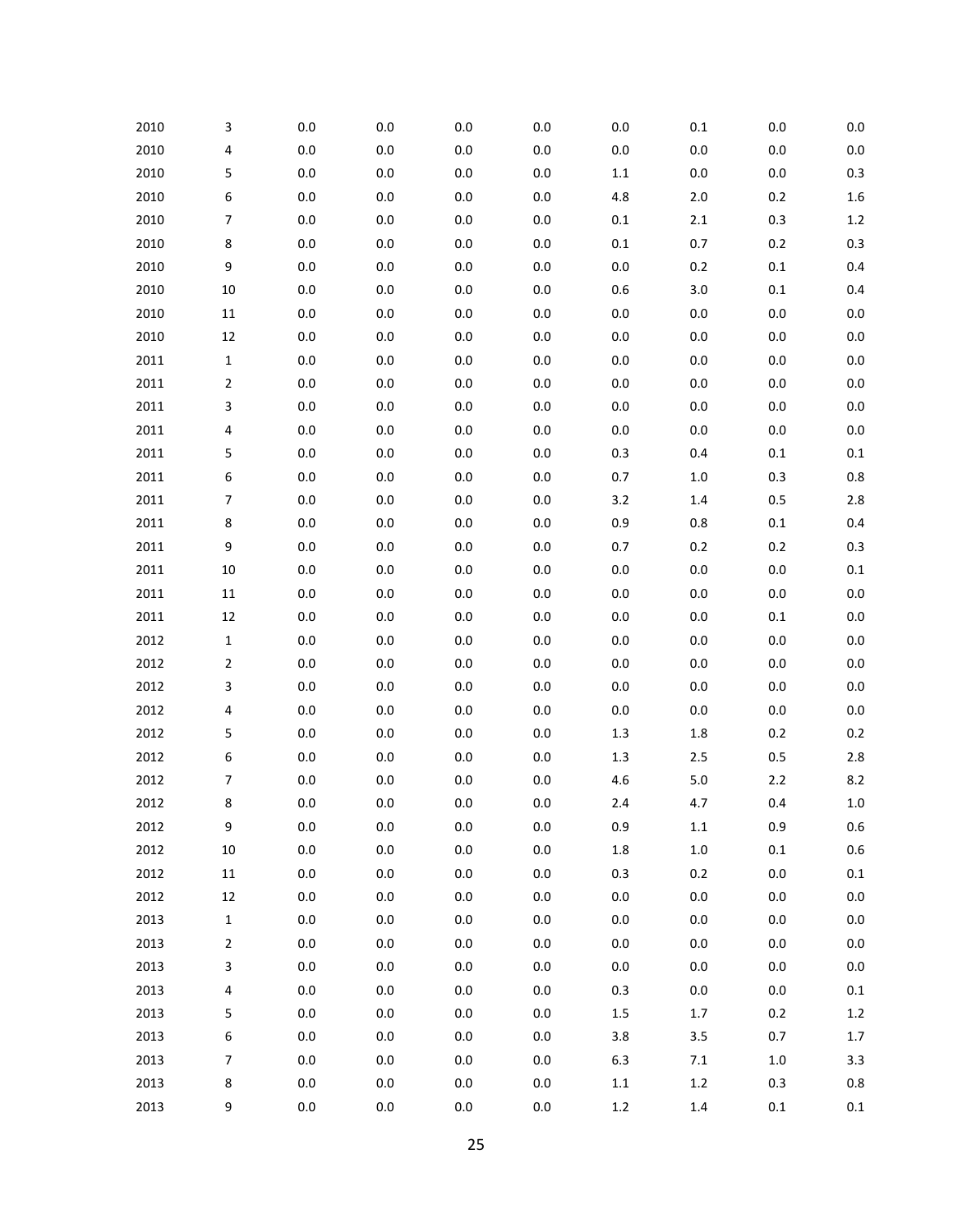| 2010 | 3                        | $0.0\,$ | $0.0\,$ | 0.0     | 0.0     | $0.0\,$ | $0.1\,$ | 0.0     | 0.0     |
|------|--------------------------|---------|---------|---------|---------|---------|---------|---------|---------|
| 2010 | 4                        | $0.0\,$ | 0.0     | $0.0\,$ | 0.0     | $0.0\,$ | $0.0\,$ | 0.0     | 0.0     |
| 2010 | 5                        | $0.0\,$ | $0.0\,$ | 0.0     | 0.0     | $1.1\,$ | $0.0\,$ | 0.0     | 0.3     |
| 2010 | 6                        | 0.0     | 0.0     | $0.0\,$ | 0.0     | 4.8     | 2.0     | 0.2     | 1.6     |
| 2010 | $\overline{7}$           | $0.0\,$ | $0.0\,$ | 0.0     | $0.0\,$ | $0.1\,$ | $2.1\,$ | 0.3     | $1.2$   |
| 2010 | 8                        | 0.0     | 0.0     | 0.0     | 0.0     | $0.1\,$ | 0.7     | 0.2     | 0.3     |
| 2010 | 9                        | $0.0\,$ | $0.0\,$ | 0.0     | 0.0     | $0.0\,$ | $0.2\,$ | $0.1\,$ | $0.4\,$ |
| 2010 | 10                       | 0.0     | 0.0     | 0.0     | 0.0     | 0.6     | 3.0     | $0.1\,$ | 0.4     |
| 2010 | $11\,$                   | $0.0\,$ | $0.0\,$ | 0.0     | $0.0\,$ | $0.0\,$ | $0.0\,$ | $0.0\,$ | 0.0     |
| 2010 | 12                       | 0.0     | 0.0     | 0.0     | 0.0     | $0.0\,$ | $0.0\,$ | 0.0     | 0.0     |
| 2011 | $\mathbf{1}$             | $0.0\,$ | $0.0\,$ | 0.0     | 0.0     | $0.0\,$ | $0.0\,$ | 0.0     | 0.0     |
| 2011 | $\overline{2}$           | $0.0\,$ | 0.0     | 0.0     | 0.0     | $0.0\,$ | $0.0\,$ | 0.0     | 0.0     |
| 2011 | 3                        | $0.0\,$ | $0.0\,$ | 0.0     | $0.0\,$ | $0.0\,$ | $0.0\,$ | $0.0\,$ | 0.0     |
| 2011 | 4                        | $0.0\,$ | 0.0     | 0.0     | 0.0     | $0.0\,$ | $0.0\,$ | 0.0     | 0.0     |
| 2011 | 5                        | $0.0\,$ | $0.0\,$ | 0.0     | 0.0     | $0.3\,$ | 0.4     | $0.1\,$ | 0.1     |
| 2011 | 6                        | $0.0\,$ | 0.0     | 0.0     | 0.0     | 0.7     | $1.0\,$ | 0.3     | 0.8     |
| 2011 | 7                        | $0.0\,$ | $0.0\,$ | 0.0     | $0.0\,$ | 3.2     | $1.4\,$ | 0.5     | 2.8     |
| 2011 | 8                        | $0.0\,$ | 0.0     | 0.0     | 0.0     | 0.9     | 0.8     | $0.1\,$ | 0.4     |
| 2011 | 9                        | $0.0\,$ | $0.0\,$ | 0.0     | 0.0     | 0.7     | 0.2     | 0.2     | 0.3     |
| 2011 | 10                       | $0.0\,$ | 0.0     | 0.0     | 0.0     | $0.0\,$ | $0.0\,$ | 0.0     | 0.1     |
| 2011 | $11\,$                   | $0.0\,$ | $0.0\,$ | 0.0     | $0.0\,$ | $0.0\,$ | $0.0\,$ | $0.0\,$ | 0.0     |
| 2011 | 12                       | 0.0     | 0.0     | 0.0     | 0.0     | $0.0\,$ | $0.0\,$ | $0.1\,$ | 0.0     |
| 2012 | $\mathbf{1}$             | $0.0\,$ | $0.0\,$ | 0.0     | 0.0     | $0.0\,$ | $0.0\,$ | 0.0     | 0.0     |
| 2012 | $\overline{2}$           | 0.0     | 0.0     | 0.0     | 0.0     | $0.0\,$ | $0.0\,$ | 0.0     | 0.0     |
| 2012 | 3                        | $0.0\,$ | $0.0\,$ | 0.0     | $0.0\,$ | $0.0\,$ | $0.0\,$ | $0.0\,$ | 0.0     |
| 2012 | 4                        | 0.0     | 0.0     | 0.0     | 0.0     | $0.0\,$ | $0.0\,$ | 0.0     | 0.0     |
| 2012 | 5                        | $0.0\,$ | $0.0\,$ | 0.0     | 0.0     | $1.3\,$ | $1.8\,$ | 0.2     | 0.2     |
| 2012 | 6                        | 0.0     | 0.0     | 0.0     | 0.0     | $1.3\,$ | $2.5\,$ | 0.5     | 2.8     |
| 2012 | 7                        | 0.0     | $0.0\,$ | 0.0     | 0.0     | 4.6     | 5.0     | $2.2\,$ | 8.2     |
| 2012 | 8                        | 0.0     | 0.0     | 0.0     | 0.0     | $2.4$   | 4.7     | 0.4     | $1.0$   |
| 2012 | 9                        | $0.0\,$ | $0.0\,$ | $0.0\,$ | $0.0\,$ | $0.9\,$ | $1.1\,$ | 0.9     | 0.6     |
| 2012 | $10\,$                   | $0.0\,$ | 0.0     | 0.0     | $0.0\,$ | $1.8\,$ | $1.0\,$ | $0.1\,$ | 0.6     |
| 2012 | $11\,$                   | $0.0\,$ | $0.0\,$ | $0.0\,$ | $0.0\,$ | 0.3     | 0.2     | $0.0\,$ | $0.1\,$ |
| 2012 | 12                       | $0.0\,$ | 0.0     | 0.0     | 0.0     | $0.0\,$ | $0.0\,$ | 0.0     | 0.0     |
| 2013 | 1                        | $0.0\,$ | $0.0\,$ | 0.0     | $0.0\,$ | $0.0\,$ | $0.0\,$ | 0.0     | 0.0     |
| 2013 | $\overline{2}$           | $0.0\,$ | $0.0\,$ | $0.0\,$ | $0.0\,$ | $0.0\,$ | $0.0\,$ | 0.0     | 0.0     |
| 2013 | 3                        | $0.0\,$ | $0.0\,$ | $0.0\,$ | $0.0\,$ | $0.0\,$ | $0.0\,$ | $0.0\,$ | $0.0\,$ |
| 2013 | 4                        | $0.0\,$ | 0.0     | 0.0     | 0.0     | 0.3     | $0.0\,$ | 0.0     | 0.1     |
| 2013 | 5                        | $0.0\,$ | $0.0\,$ | 0.0     | $0.0\,$ | $1.5\,$ | 1.7     | 0.2     | $1.2\,$ |
| 2013 | 6                        | $0.0\,$ | $0.0\,$ | $0.0\,$ | $0.0\,$ | 3.8     | 3.5     | 0.7     | $1.7\,$ |
| 2013 | $\overline{\phantom{a}}$ | $0.0\,$ | $0.0\,$ | 0.0     | $0.0\,$ | $6.3\,$ | 7.1     | $1.0$   | 3.3     |
| 2013 | 8                        | $0.0\,$ | $0.0\,$ | $0.0\,$ | $0.0\,$ | $1.1\,$ | $1.2\,$ | 0.3     | $0.8\,$ |
| 2013 | 9                        | $0.0\,$ | $0.0\,$ | $0.0\,$ | $0.0\,$ | $1.2\,$ | $1.4\,$ | $0.1\,$ | $0.1\,$ |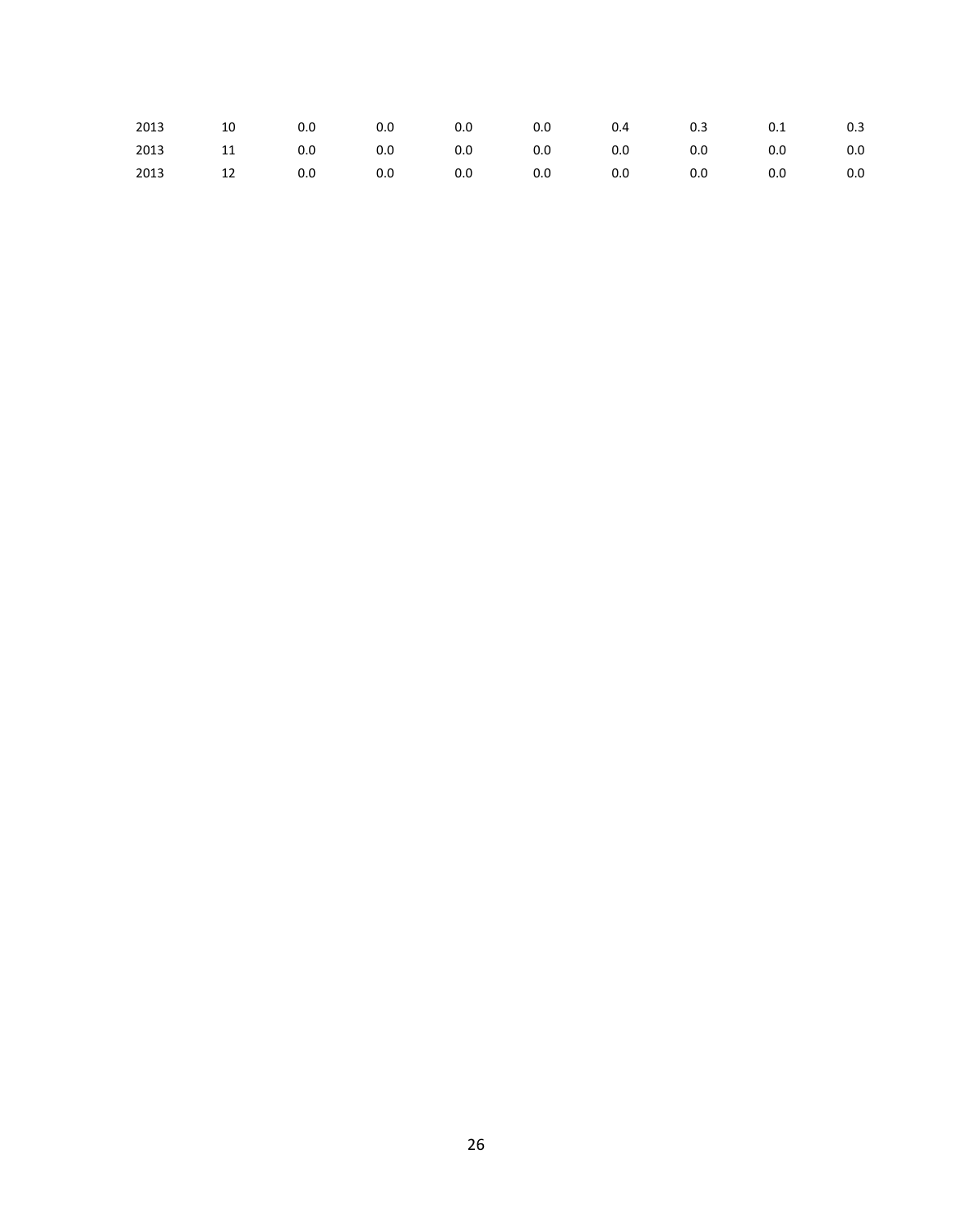| 2013 10 0.0 0.0 0.0 0.0 0.4 0.3 0.1 0.3     |  |  |  |  |  |
|---------------------------------------------|--|--|--|--|--|
| 2013 11 0.0 0.0 0.0 0.0 0.0 0.0 0.0 0.0 0.0 |  |  |  |  |  |
| 2013 12 0.0 0.0 0.0 0.0 0.0 0.0 0.0 0.0 0.0 |  |  |  |  |  |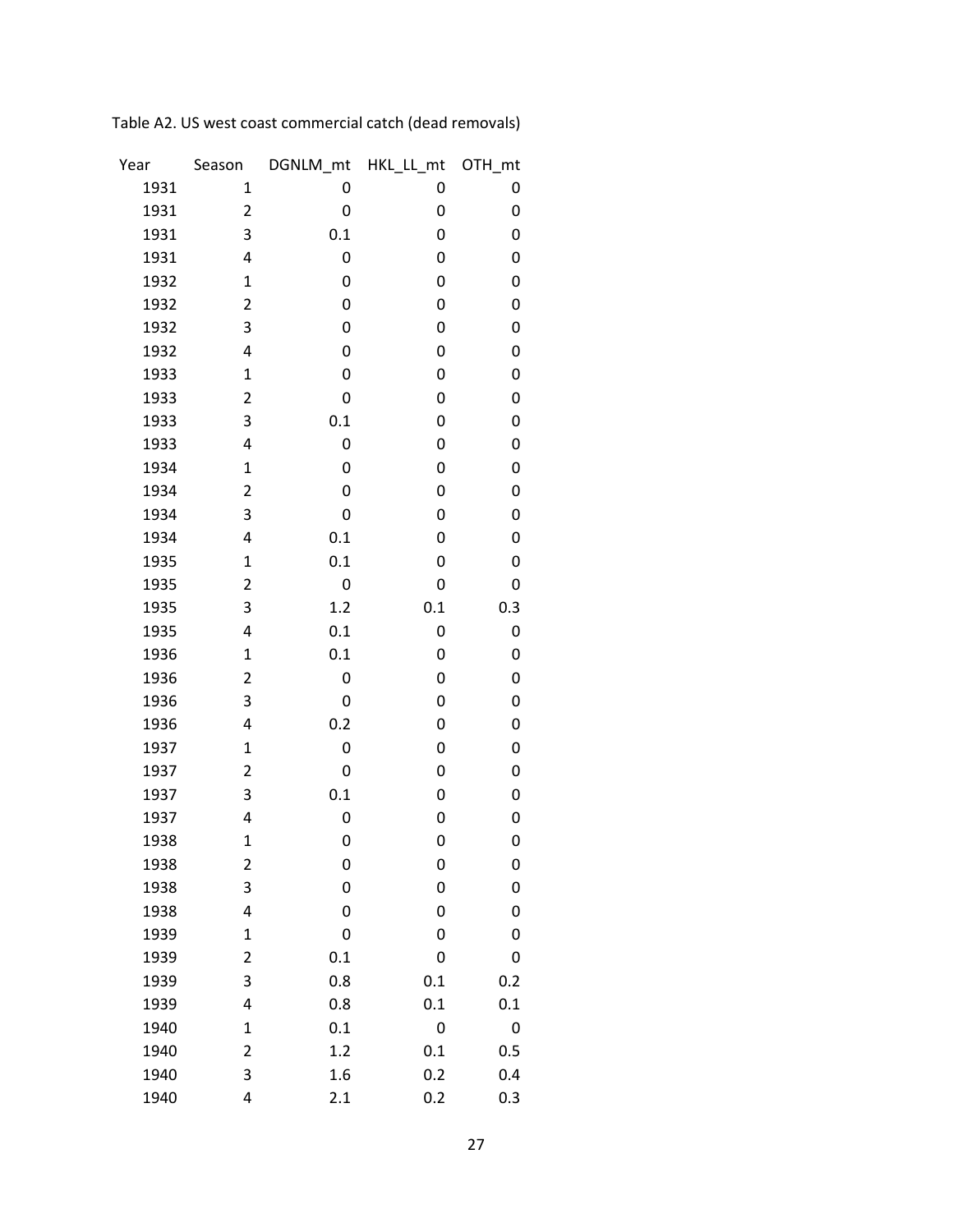| Year | Season       | DGNLM_mt    | HKL_LL_mt | OTH_mt |
|------|--------------|-------------|-----------|--------|
| 1931 | 1            | 0           | 0         | 0      |
| 1931 | 2            | 0           | 0         | 0      |
| 1931 | 3            | 0.1         | 0         | 0      |
| 1931 | 4            | 0           | 0         | 0      |
| 1932 | $\mathbf{1}$ | 0           | 0         | 0      |
| 1932 | 2            | 0           | 0         | 0      |
| 1932 | 3            | 0           | 0         | 0      |
| 1932 | 4            | 0           | 0         | 0      |
| 1933 | $\mathbf{1}$ | 0           | 0         | 0      |
| 1933 | 2            | 0           | 0         | 0      |
| 1933 | 3            | 0.1         | 0         | 0      |
| 1933 | 4            | 0           | 0         | 0      |
| 1934 | $\mathbf{1}$ | 0           | 0         | 0      |
| 1934 | 2            | 0           | 0         | 0      |
| 1934 | 3            | $\mathbf 0$ | 0         | 0      |
| 1934 | 4            | 0.1         | 0         | 0      |
| 1935 | $\mathbf{1}$ | 0.1         | 0         | 0      |
| 1935 | 2            | 0           | 0         | 0      |
| 1935 | 3            | 1.2         | 0.1       | 0.3    |
| 1935 | 4            | 0.1         | 0         | 0      |
| 1936 | $\mathbf{1}$ | 0.1         | 0         | 0      |
| 1936 | 2            | 0           | 0         | 0      |
| 1936 | 3            | 0           | 0         | 0      |
| 1936 | 4            | 0.2         | 0         | 0      |
| 1937 | $\mathbf{1}$ | 0           | 0         | 0      |
| 1937 | 2            | 0           | 0         | 0      |
| 1937 | 3            | 0.1         | 0         | 0      |
| 1937 | 4            | 0           | 0         | 0      |
| 1938 | $\mathbf 1$  | 0           | 0         | 0      |
| 1938 | 2            | 0           | 0         | 0      |
| 1938 | 3            | $\mathbf 0$ | 0         | 0      |
| 1938 | 4            | 0           | 0         | 0      |
| 1939 | $\mathbf{1}$ | 0           | 0         | 0      |
| 1939 | 2            | 0.1         | 0         | 0      |
| 1939 | 3            | 0.8         | 0.1       | 0.2    |
| 1939 | 4            | 0.8         | 0.1       | 0.1    |
| 1940 | $\mathbf 1$  | 0.1         | 0         | 0      |
| 1940 | 2            | 1.2         | 0.1       | 0.5    |
| 1940 | 3            | 1.6         | 0.2       | 0.4    |
| 1940 | 4            | 2.1         | 0.2       | 0.3    |

Table A2. US west coast commercial catch (dead removals)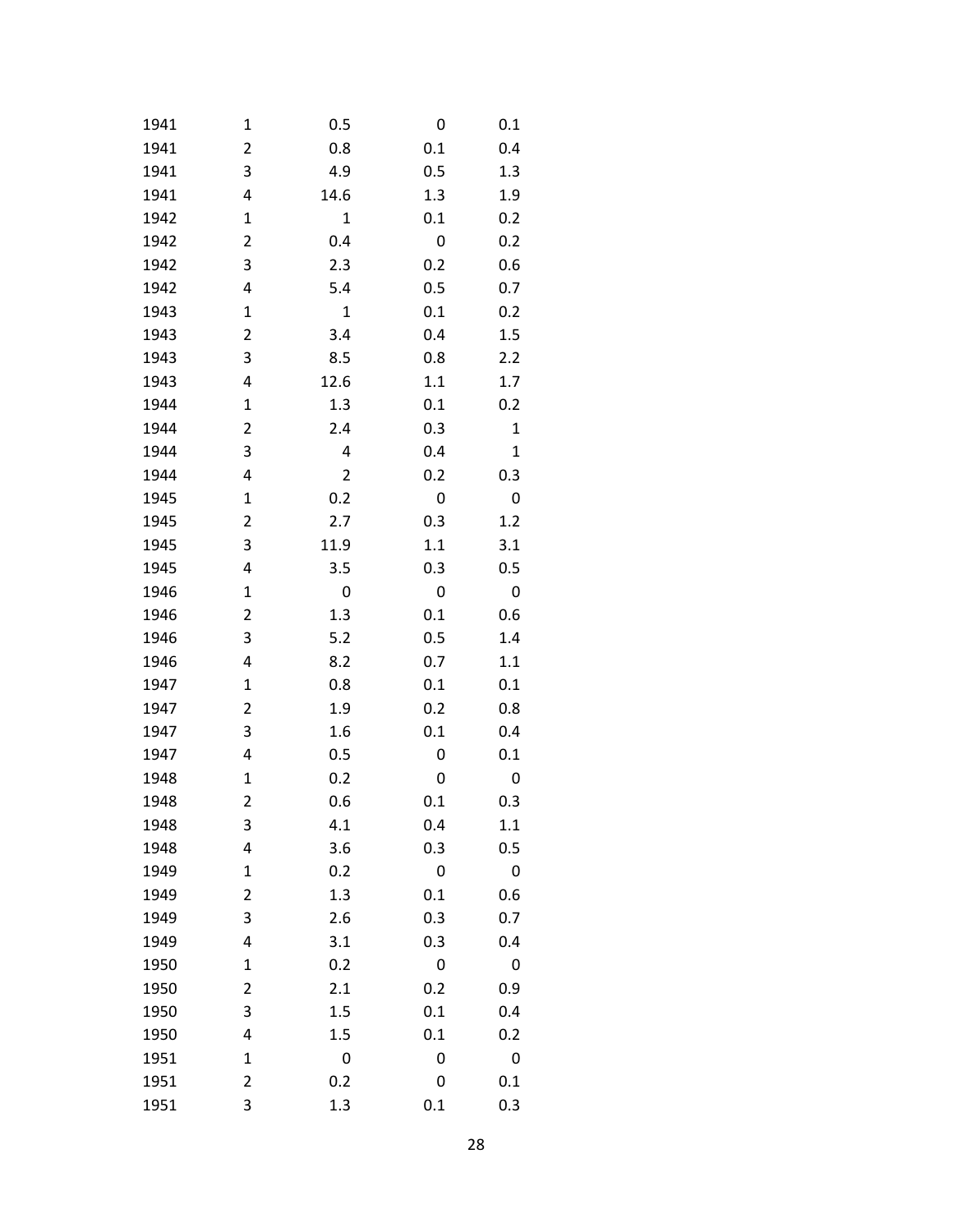| 1941 | 1           | 0.5            | 0       | 0.1          |
|------|-------------|----------------|---------|--------------|
| 1941 | 2           | 0.8            | 0.1     | 0.4          |
| 1941 | 3           | 4.9            | 0.5     | 1.3          |
| 1941 | 4           | 14.6           | 1.3     | 1.9          |
| 1942 | 1           | $\mathbf 1$    | 0.1     | 0.2          |
| 1942 | 2           | 0.4            | 0       | 0.2          |
| 1942 | 3           | 2.3            | 0.2     | 0.6          |
| 1942 | 4           | 5.4            | 0.5     | 0.7          |
| 1943 | 1           | $\mathbf 1$    | 0.1     | 0.2          |
| 1943 | 2           | 3.4            | 0.4     | 1.5          |
| 1943 | 3           | 8.5            | 0.8     | 2.2          |
| 1943 | 4           | 12.6           | $1.1\,$ | 1.7          |
| 1944 | 1           | 1.3            | 0.1     | 0.2          |
| 1944 | 2           | 2.4            | 0.3     | $\mathbf{1}$ |
| 1944 | 3           | 4              | 0.4     | $\mathbf{1}$ |
| 1944 | 4           | $\overline{2}$ | 0.2     | 0.3          |
| 1945 | $\mathbf 1$ | 0.2            | 0       | 0            |
| 1945 | 2           | 2.7            | 0.3     | 1.2          |
| 1945 | 3           | 11.9           | 1.1     | 3.1          |
| 1945 | 4           | 3.5            | 0.3     | 0.5          |
| 1946 | $\mathbf 1$ | 0              | 0       | 0            |
| 1946 | 2           | 1.3            | 0.1     | 0.6          |
| 1946 | 3           | 5.2            | 0.5     | 1.4          |
| 1946 | 4           | 8.2            | 0.7     | 1.1          |
| 1947 | $\mathbf 1$ | 0.8            | 0.1     | 0.1          |
| 1947 | 2           | 1.9            | 0.2     | 0.8          |
| 1947 | 3           | 1.6            | 0.1     | 0.4          |
| 1947 | 4           | 0.5            | 0       | 0.1          |
| 1948 | $\mathbf 1$ | 0.2            | 0       | 0            |
| 1948 | 2           | 0.6            | 0.1     | 0.3          |
| 1948 | 3           | 4.1            | 0.4     | 1.1          |
| 1948 | 4           | 3.6            | 0.3     | 0.5          |
| 1949 | 1           | 0.2            | 0       | 0            |
| 1949 | 2           | 1.3            | 0.1     | 0.6          |
| 1949 | 3           | 2.6            | 0.3     | 0.7          |
| 1949 | 4           | 3.1            | 0.3     | 0.4          |
| 1950 | 1           | 0.2            | 0       | 0            |
| 1950 | 2           | 2.1            | 0.2     | 0.9          |
| 1950 | 3           | 1.5            | 0.1     | 0.4          |
| 1950 | 4           | 1.5            | 0.1     | 0.2          |
| 1951 | 1           | 0              | 0       | 0            |
| 1951 | 2           | 0.2            | 0       | 0.1          |
| 1951 | 3           | 1.3            | 0.1     | 0.3          |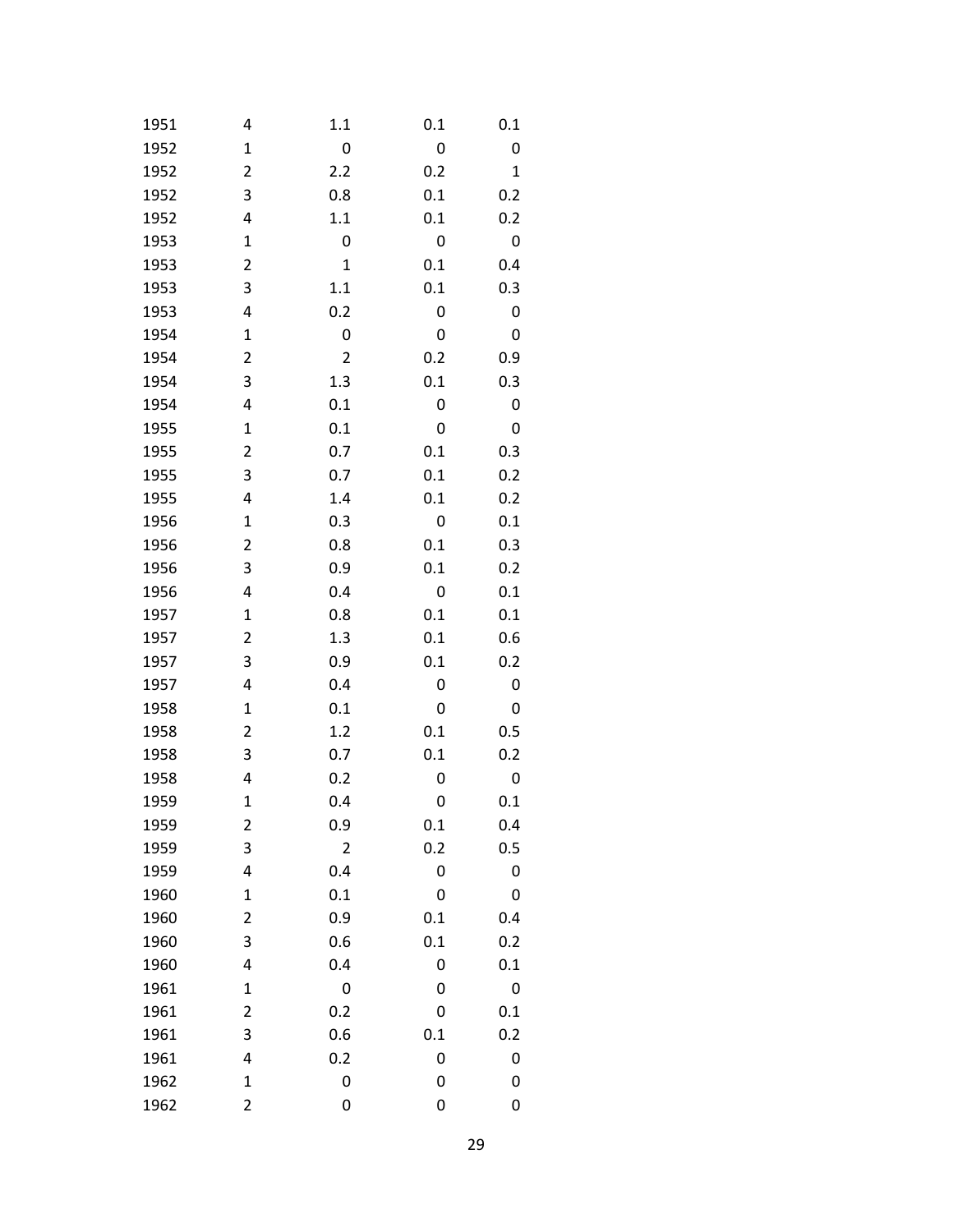| 1951 | 4           | 1.1            | 0.1 | 0.1          |
|------|-------------|----------------|-----|--------------|
| 1952 | $\mathbf 1$ | 0              | 0   | 0            |
| 1952 | 2           | 2.2            | 0.2 | $\mathbf{1}$ |
| 1952 | 3           | 0.8            | 0.1 | 0.2          |
| 1952 | 4           | $1.1\,$        | 0.1 | 0.2          |
| 1953 | 1           | 0              | 0   | 0            |
| 1953 | 2           | $\mathbf{1}$   | 0.1 | 0.4          |
| 1953 | 3           | 1.1            | 0.1 | 0.3          |
| 1953 | 4           | 0.2            | 0   | 0            |
| 1954 | 1           | 0              | 0   | 0            |
| 1954 | 2           | $\overline{2}$ | 0.2 | 0.9          |
| 1954 | 3           | 1.3            | 0.1 | 0.3          |
| 1954 | 4           | 0.1            | 0   | 0            |
| 1955 | 1           | 0.1            | 0   | 0            |
| 1955 | 2           | 0.7            | 0.1 | 0.3          |
| 1955 | 3           | 0.7            | 0.1 | 0.2          |
| 1955 | 4           | 1.4            | 0.1 | 0.2          |
| 1956 | 1           | 0.3            | 0   | 0.1          |
| 1956 | 2           | 0.8            | 0.1 | 0.3          |
| 1956 | 3           | 0.9            | 0.1 | 0.2          |
| 1956 | 4           | 0.4            | 0   | 0.1          |
| 1957 | 1           | 0.8            | 0.1 | 0.1          |
| 1957 | 2           | 1.3            | 0.1 | 0.6          |
| 1957 | 3           | 0.9            | 0.1 | 0.2          |
| 1957 | 4           | 0.4            | 0   | 0            |
| 1958 | 1           | 0.1            | 0   | 0            |
| 1958 | 2           | 1.2            | 0.1 | 0.5          |
| 1958 | 3           | 0.7            | 0.1 | 0.2          |
| 1958 | 4           | 0.2            | 0   | 0            |
| 1959 | $\mathbf 1$ | 0.4            | 0   | 0.1          |
| 1959 | 2           | 0.9            | 0.1 | 0.4          |
| 1959 | 3           | 2              | 0.2 | 0.5          |
| 1959 | 4           | 0.4            | 0   | 0            |
| 1960 | 1           | 0.1            | 0   | 0            |
| 1960 | 2           | 0.9            | 0.1 | 0.4          |
| 1960 | 3           | 0.6            | 0.1 | 0.2          |
| 1960 | 4           | 0.4            | 0   | 0.1          |
| 1961 | 1           | 0              | 0   | 0            |
| 1961 | 2           | 0.2            | 0   | 0.1          |
| 1961 | 3           | 0.6            | 0.1 | 0.2          |
| 1961 | 4           | 0.2            | 0   | 0            |
| 1962 | 1           | 0              | 0   | 0            |
| 1962 | 2           | 0              | 0   | 0            |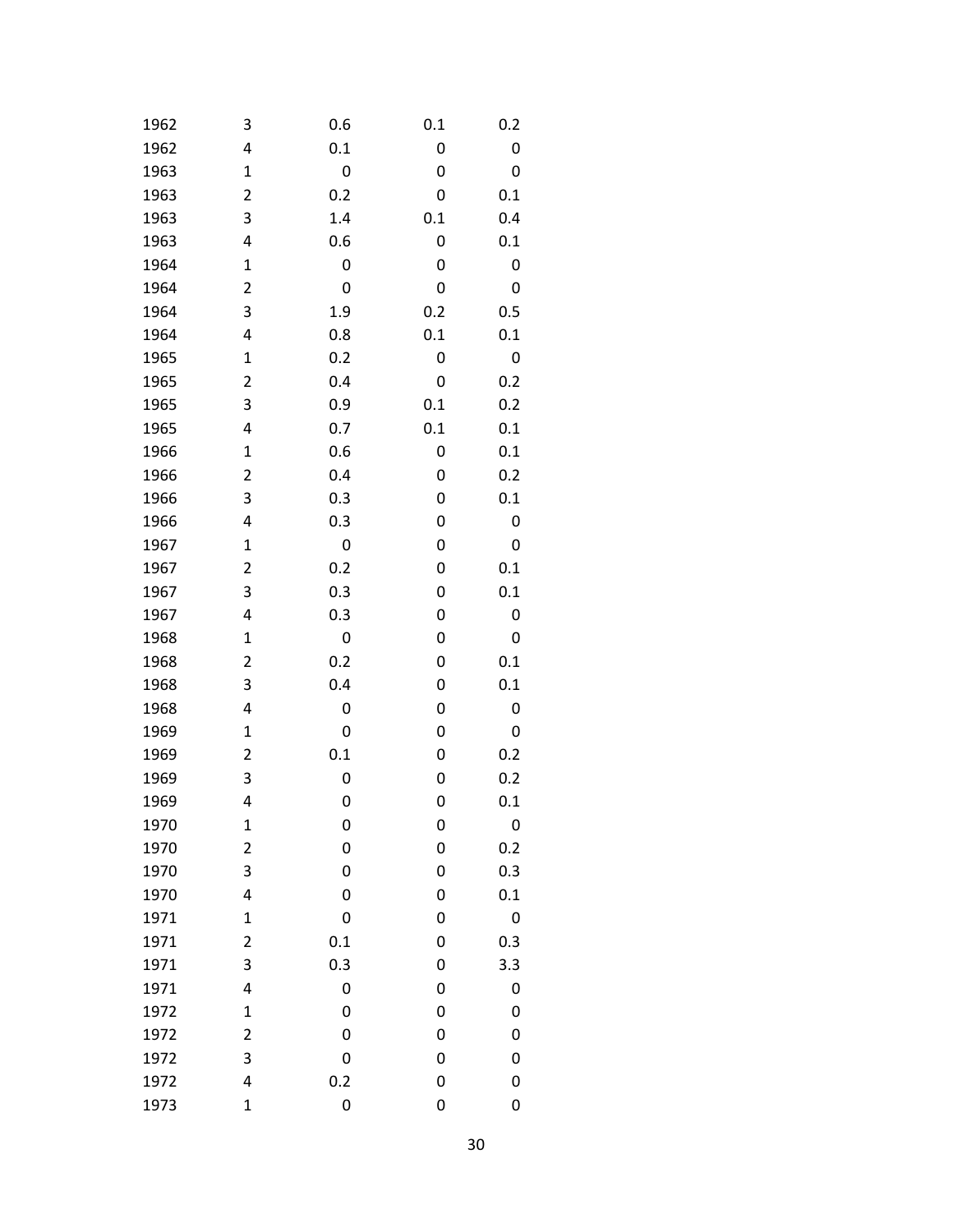| 1962 | 3                       | 0.6              | 0.1 | 0.2 |
|------|-------------------------|------------------|-----|-----|
| 1962 | 4                       | 0.1              | 0   | 0   |
| 1963 | $\mathbf 1$             | 0                | 0   | 0   |
| 1963 | 2                       | 0.2              | 0   | 0.1 |
| 1963 | 3                       | 1.4              | 0.1 | 0.4 |
| 1963 | 4                       | 0.6              | 0   | 0.1 |
| 1964 | $\mathbf 1$             | 0                | 0   | 0   |
| 1964 | 2                       | 0                | 0   | 0   |
| 1964 | 3                       | 1.9              | 0.2 | 0.5 |
| 1964 | 4                       | 0.8              | 0.1 | 0.1 |
| 1965 | $\mathbf 1$             | 0.2              | 0   | 0   |
| 1965 | 2                       | 0.4              | 0   | 0.2 |
| 1965 | 3                       | 0.9              | 0.1 | 0.2 |
| 1965 | 4                       | 0.7              | 0.1 | 0.1 |
| 1966 | $\mathbf 1$             | 0.6              | 0   | 0.1 |
| 1966 | 2                       | 0.4              | 0   | 0.2 |
| 1966 | 3                       | 0.3              | 0   | 0.1 |
| 1966 | 4                       | 0.3              | 0   | 0   |
| 1967 | $\mathbf 1$             | 0                | 0   | 0   |
| 1967 | 2                       | 0.2              | 0   | 0.1 |
| 1967 | 3                       | 0.3              | 0   | 0.1 |
| 1967 | 4                       | 0.3              | 0   | 0   |
| 1968 | $\mathbf 1$             | 0                | 0   | 0   |
| 1968 | 2                       | 0.2              | 0   | 0.1 |
| 1968 | 3                       | 0.4              | 0   | 0.1 |
| 1968 | 4                       | 0                | 0   | 0   |
| 1969 | $\mathbf 1$             | 0                | 0   | 0   |
| 1969 | 2                       | 0.1              | 0   | 0.2 |
| 1969 | 3                       | 0                | 0   | 0.2 |
| 1969 | 4                       | 0                | 0   | 0.1 |
| 1970 | 1                       | 0                | 0   | 0   |
| 1970 | $\overline{\mathbf{c}}$ | 0                | 0   | 0.2 |
| 1970 | 3                       | 0                | 0   | 0.3 |
| 1970 | 4                       | 0                | 0   | 0.1 |
| 1971 | $\mathbf 1$             | 0                | 0   | 0   |
| 1971 | 2                       | 0.1              | 0   | 0.3 |
| 1971 | 3                       | 0.3              | 0   | 3.3 |
| 1971 | 4                       | 0                | 0   | 0   |
| 1972 | $\mathbf 1$             | 0                | 0   | 0   |
| 1972 | 2                       | 0                | 0   | 0   |
| 1972 | 3                       | 0                | 0   | 0   |
| 1972 | 4                       | 0.2              | 0   | 0   |
| 1973 | $\mathbf 1$             | $\boldsymbol{0}$ | 0   | 0   |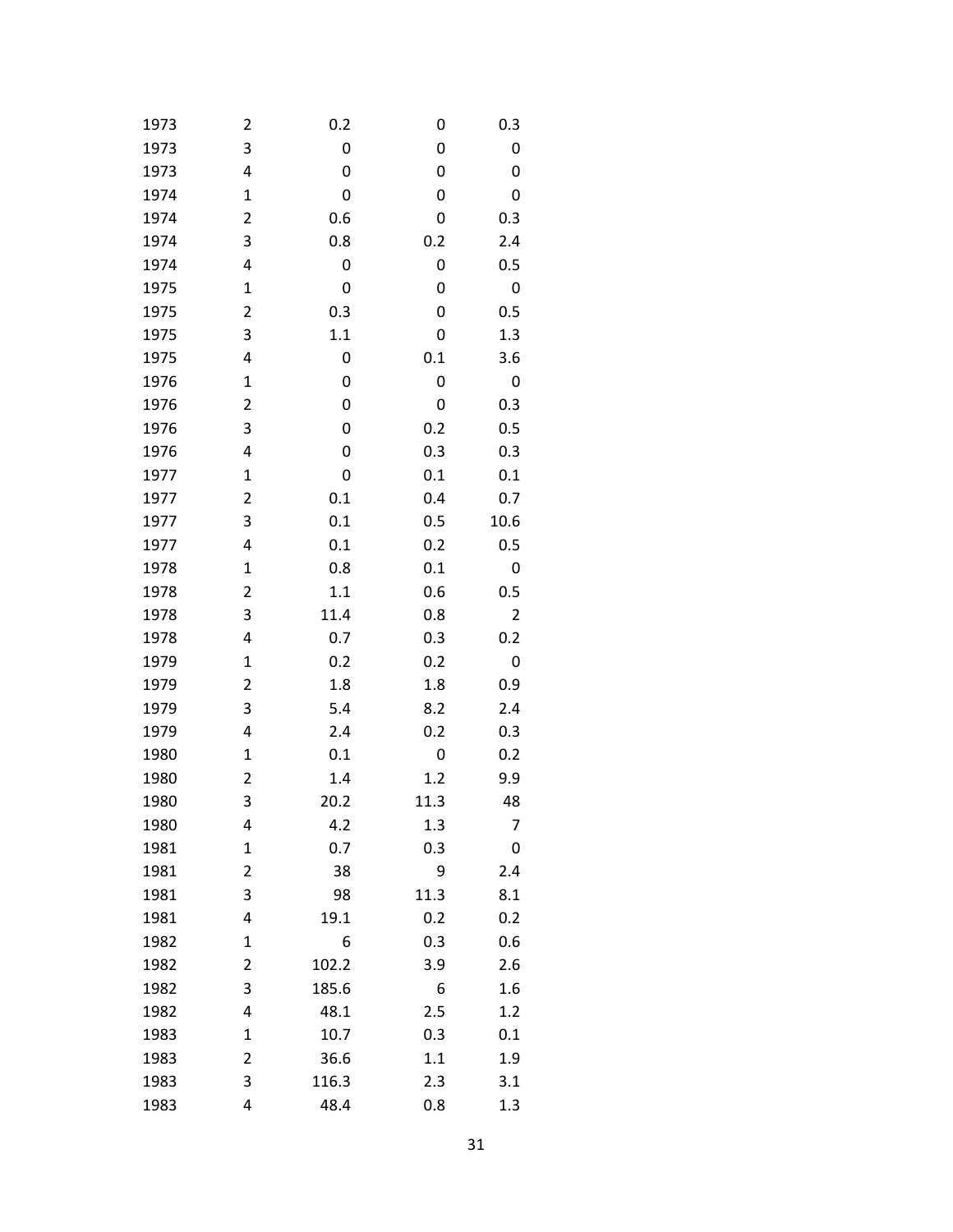| 1973 | 2              | 0.2   | 0    | 0.3            |
|------|----------------|-------|------|----------------|
| 1973 | 3              | 0     | 0    | 0              |
| 1973 | 4              | 0     | 0    | 0              |
| 1974 | $\mathbf 1$    | 0     | 0    | 0              |
| 1974 | 2              | 0.6   | 0    | 0.3            |
| 1974 | 3              | 0.8   | 0.2  | 2.4            |
| 1974 | 4              | 0     | 0    | 0.5            |
| 1975 | 1              | 0     | 0    | 0              |
| 1975 | 2              | 0.3   | 0    | 0.5            |
| 1975 | 3              | 1.1   | 0    | 1.3            |
| 1975 | 4              | 0     | 0.1  | 3.6            |
| 1976 | 1              | 0     | 0    | 0              |
| 1976 | 2              | 0     | 0    | 0.3            |
| 1976 | 3              | 0     | 0.2  | 0.5            |
| 1976 | 4              | 0     | 0.3  | 0.3            |
| 1977 | $\mathbf 1$    | 0     | 0.1  | 0.1            |
| 1977 | 2              | 0.1   | 0.4  | 0.7            |
| 1977 | 3              | 0.1   | 0.5  | 10.6           |
| 1977 | 4              | 0.1   | 0.2  | 0.5            |
| 1978 | 1              | 0.8   | 0.1  | 0              |
| 1978 | 2              | 1.1   | 0.6  | 0.5            |
| 1978 | 3              | 11.4  | 0.8  | $\overline{2}$ |
| 1978 | 4              | 0.7   | 0.3  | 0.2            |
| 1979 | $\mathbf 1$    | 0.2   | 0.2  | 0              |
| 1979 | 2              | 1.8   | 1.8  | 0.9            |
| 1979 | 3              | 5.4   | 8.2  | 2.4            |
| 1979 | 4              | 2.4   | 0.2  | 0.3            |
| 1980 | 1              | 0.1   | 0    | 0.2            |
| 1980 | 2              | 1.4   | 1.2  | 9.9            |
| 1980 | 3              | 20.2  | 11.3 | 48             |
| 1980 | 4              | 4.2   | 1.3  | 7              |
| 1981 | $\mathbf 1$    | 0.7   | 0.3  | 0              |
| 1981 | 2              | 38    | 9    | 2.4            |
| 1981 | 3              | 98    | 11.3 | 8.1            |
| 1981 | 4              | 19.1  | 0.2  | 0.2            |
| 1982 | 1              | 6     | 0.3  | 0.6            |
| 1982 | $\overline{2}$ | 102.2 | 3.9  | 2.6            |
| 1982 | 3              | 185.6 | 6    | 1.6            |
| 1982 | 4              | 48.1  | 2.5  | 1.2            |
| 1983 | 1              | 10.7  | 0.3  | 0.1            |
| 1983 | $\overline{2}$ | 36.6  | 1.1  | 1.9            |
| 1983 | 3              | 116.3 | 2.3  | 3.1            |
| 1983 | 4              | 48.4  | 0.8  | 1.3            |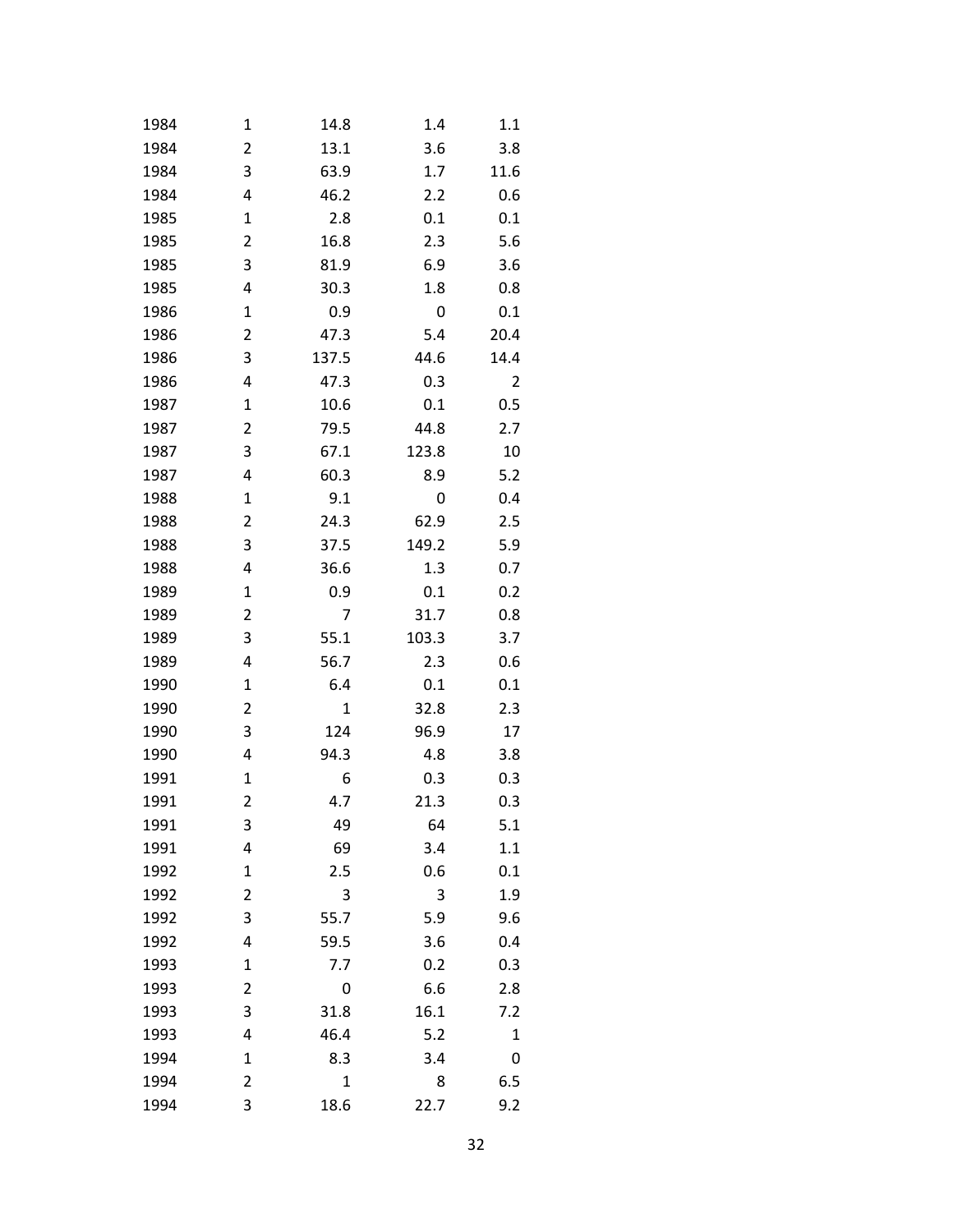| 1984 | 1           | 14.8         | 1.4   | 1.1  |
|------|-------------|--------------|-------|------|
| 1984 | 2           | 13.1         | 3.6   | 3.8  |
| 1984 | 3           | 63.9         | 1.7   | 11.6 |
| 1984 | 4           | 46.2         | 2.2   | 0.6  |
| 1985 | 1           | 2.8          | 0.1   | 0.1  |
| 1985 | 2           | 16.8         | 2.3   | 5.6  |
| 1985 | 3           | 81.9         | 6.9   | 3.6  |
| 1985 | 4           | 30.3         | 1.8   | 0.8  |
| 1986 | 1           | 0.9          | 0     | 0.1  |
| 1986 | 2           | 47.3         | 5.4   | 20.4 |
| 1986 | 3           | 137.5        | 44.6  | 14.4 |
| 1986 | 4           | 47.3         | 0.3   | 2    |
| 1987 | 1           | 10.6         | 0.1   | 0.5  |
| 1987 | 2           | 79.5         | 44.8  | 2.7  |
| 1987 | 3           | 67.1         | 123.8 | 10   |
| 1987 | 4           | 60.3         | 8.9   | 5.2  |
| 1988 | 1           | 9.1          | 0     | 0.4  |
| 1988 | 2           | 24.3         | 62.9  | 2.5  |
| 1988 | 3           | 37.5         | 149.2 | 5.9  |
| 1988 | 4           | 36.6         | 1.3   | 0.7  |
| 1989 | 1           | 0.9          | 0.1   | 0.2  |
| 1989 | 2           | 7            | 31.7  | 0.8  |
| 1989 | 3           | 55.1         | 103.3 | 3.7  |
| 1989 | 4           | 56.7         | 2.3   | 0.6  |
| 1990 | 1           | 6.4          | 0.1   | 0.1  |
| 1990 | 2           | 1            | 32.8  | 2.3  |
| 1990 | 3           | 124          | 96.9  | 17   |
| 1990 | 4           | 94.3         | 4.8   | 3.8  |
| 1991 | 1           | 6            | 0.3   | 0.3  |
| 1991 | 2           | 4.7          | 21.3  | 0.3  |
| 1991 | 3           | 49           | 64    | 5.1  |
| 1991 | 4           | 69           | 3.4   | 1.1  |
| 1992 | $\mathbf 1$ | 2.5          | 0.6   | 0.1  |
| 1992 | 2           | 3            | 3     | 1.9  |
| 1992 | 3           | 55.7         | 5.9   | 9.6  |
| 1992 | 4           | 59.5         | 3.6   | 0.4  |
| 1993 | $\mathbf 1$ | 7.7          | 0.2   | 0.3  |
| 1993 | 2           | 0            | 6.6   | 2.8  |
| 1993 | 3           | 31.8         | 16.1  | 7.2  |
| 1993 | 4           | 46.4         | 5.2   | 1    |
| 1994 | $\mathbf 1$ | 8.3          | 3.4   | 0    |
| 1994 | 2           | $\mathbf{1}$ | 8     | 6.5  |
| 1994 | 3           | 18.6         | 22.7  | 9.2  |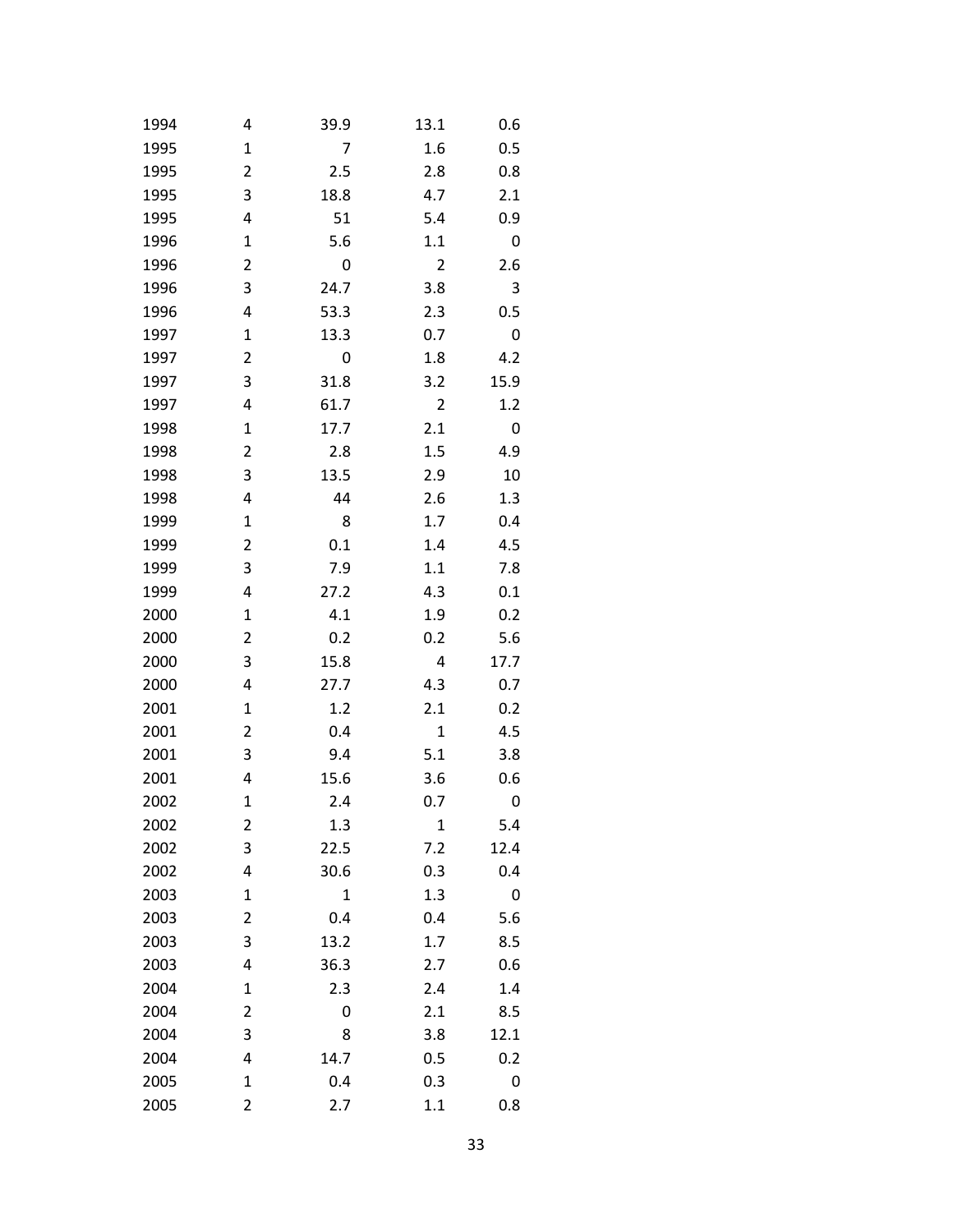| 1994 | 4 | 39.9           | 13.1         | 0.6  |
|------|---|----------------|--------------|------|
| 1995 | 1 | $\overline{7}$ | 1.6          | 0.5  |
| 1995 | 2 | 2.5            | 2.8          | 0.8  |
| 1995 | 3 | 18.8           | 4.7          | 2.1  |
| 1995 | 4 | 51             | 5.4          | 0.9  |
| 1996 | 1 | 5.6            | 1.1          | 0    |
| 1996 | 2 | 0              | 2            | 2.6  |
| 1996 | 3 | 24.7           | 3.8          | 3    |
| 1996 | 4 | 53.3           | 2.3          | 0.5  |
| 1997 | 1 | 13.3           | 0.7          | 0    |
| 1997 | 2 | 0              | 1.8          | 4.2  |
| 1997 | 3 | 31.8           | 3.2          | 15.9 |
| 1997 | 4 | 61.7           | 2            | 1.2  |
| 1998 | 1 | 17.7           | 2.1          | 0    |
| 1998 | 2 | 2.8            | 1.5          | 4.9  |
| 1998 | 3 | 13.5           | 2.9          | 10   |
| 1998 | 4 | 44             | 2.6          | 1.3  |
| 1999 | 1 | 8              | 1.7          | 0.4  |
| 1999 | 2 | 0.1            | 1.4          | 4.5  |
| 1999 | 3 | 7.9            | 1.1          | 7.8  |
| 1999 | 4 | 27.2           | 4.3          | 0.1  |
| 2000 | 1 | 4.1            | 1.9          | 0.2  |
| 2000 | 2 | 0.2            | 0.2          | 5.6  |
| 2000 | 3 | 15.8           | 4            | 17.7 |
| 2000 | 4 | 27.7           | 4.3          | 0.7  |
| 2001 | 1 | 1.2            | 2.1          | 0.2  |
| 2001 | 2 | 0.4            | $\mathbf{1}$ | 4.5  |
| 2001 | 3 | 9.4            | 5.1          | 3.8  |
| 2001 | 4 | 15.6           | 3.6          | 0.6  |
| 2002 | 1 | 2.4            | 0.7          | 0    |
| 2002 | 2 | 1.3            | $\mathbf{1}$ | 5.4  |
| 2002 | 3 | 22.5           | 7.2          | 12.4 |
| 2002 | 4 | 30.6           | 0.3          | 0.4  |
| 2003 | 1 | $\mathbf{1}$   | 1.3          | 0    |
| 2003 | 2 | 0.4            | 0.4          | 5.6  |
| 2003 | 3 | 13.2           | 1.7          | 8.5  |
| 2003 | 4 | 36.3           | 2.7          | 0.6  |
| 2004 | 1 | 2.3            | 2.4          | 1.4  |
| 2004 | 2 | 0              | 2.1          | 8.5  |
| 2004 | 3 | 8              | 3.8          | 12.1 |
| 2004 | 4 | 14.7           | 0.5          | 0.2  |
| 2005 | 1 | 0.4            | 0.3          | 0    |
| 2005 | 2 | 2.7            | 1.1          | 0.8  |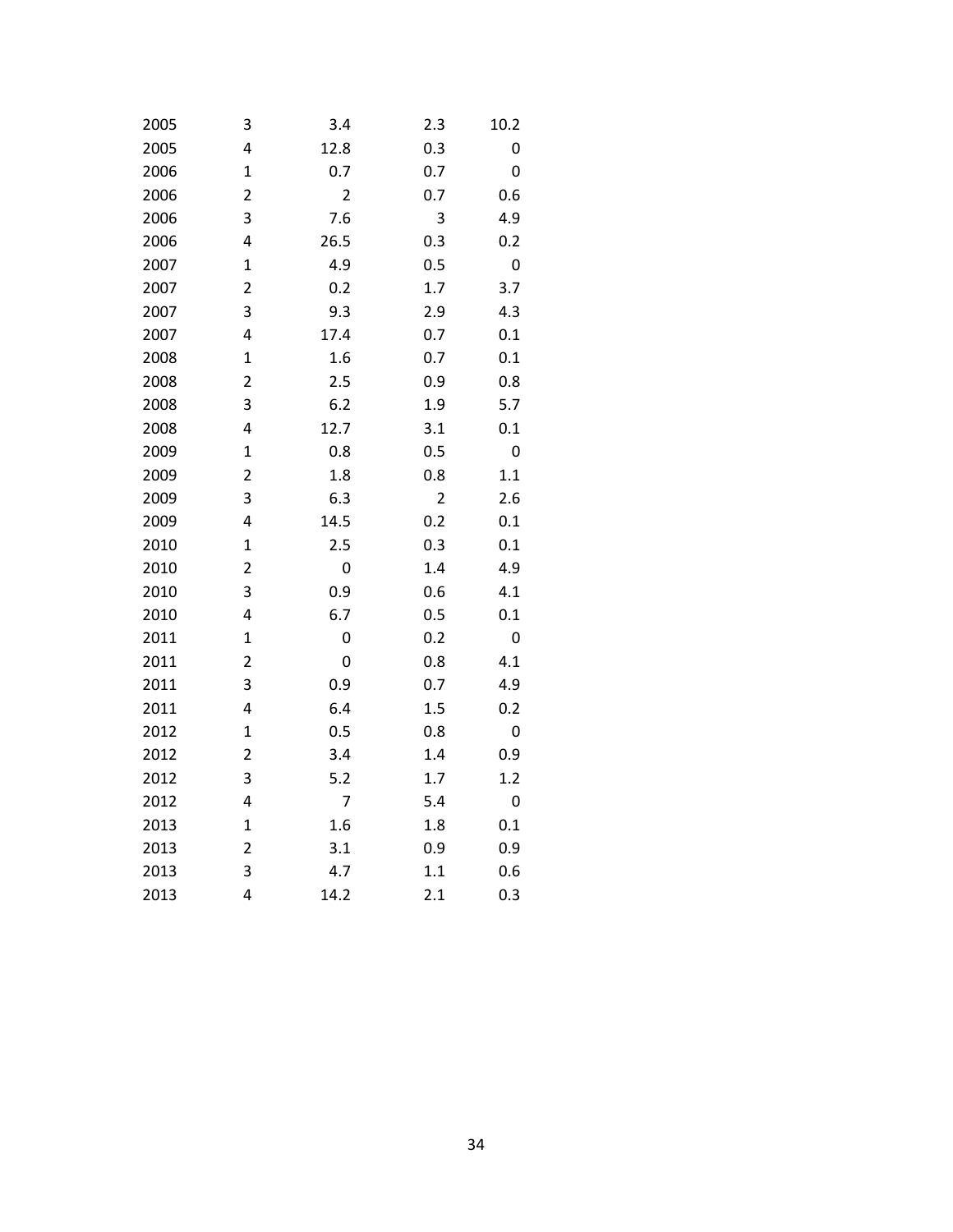| 2005 | 3                       | 3.4            | 2.3            | 10.2    |
|------|-------------------------|----------------|----------------|---------|
| 2005 | 4                       | 12.8           | 0.3            | 0       |
| 2006 | $\mathbf 1$             | 0.7            | 0.7            | 0       |
| 2006 | $\overline{2}$          | $\overline{2}$ | 0.7            | 0.6     |
| 2006 | 3                       | 7.6            | 3              | 4.9     |
| 2006 | 4                       | 26.5           | 0.3            | 0.2     |
| 2007 | $\mathbf 1$             | 4.9            | 0.5            | 0       |
| 2007 | $\overline{\mathbf{c}}$ | 0.2            | 1.7            | 3.7     |
| 2007 | 3                       | 9.3            | 2.9            | 4.3     |
| 2007 | 4                       | 17.4           | 0.7            | 0.1     |
| 2008 | $\mathbf 1$             | 1.6            | 0.7            | 0.1     |
| 2008 | 2                       | 2.5            | 0.9            | 0.8     |
| 2008 | 3                       | 6.2            | 1.9            | 5.7     |
| 2008 | 4                       | 12.7           | 3.1            | 0.1     |
| 2009 | $\mathbf{1}$            | 0.8            | 0.5            | 0       |
| 2009 | $\overline{\mathbf{c}}$ | 1.8            | 0.8            | $1.1\,$ |
| 2009 | 3                       | 6.3            | $\overline{2}$ | 2.6     |
| 2009 | 4                       | 14.5           | 0.2            | 0.1     |
| 2010 | $\mathbf{1}$            | 2.5            | 0.3            | 0.1     |
| 2010 | $\overline{\mathbf{c}}$ | 0              | 1.4            | 4.9     |
| 2010 | 3                       | 0.9            | 0.6            | 4.1     |
| 2010 | 4                       | 6.7            | 0.5            | 0.1     |
| 2011 | $\mathbf 1$             | 0              | 0.2            | 0       |
| 2011 | $\overline{2}$          | 0              | 0.8            | 4.1     |
| 2011 | 3                       | 0.9            | 0.7            | 4.9     |
| 2011 | 4                       | 6.4            | 1.5            | 0.2     |
| 2012 | $\mathbf 1$             | 0.5            | 0.8            | 0       |
| 2012 | $\overline{2}$          | 3.4            | 1.4            | 0.9     |
| 2012 | 3                       | 5.2            | 1.7            | 1.2     |
| 2012 | 4                       | 7              | 5.4            | 0       |
| 2013 | $\mathbf 1$             | 1.6            | 1.8            | 0.1     |
| 2013 | 2                       | 3.1            | 0.9            | 0.9     |
| 2013 | 3                       | 4.7            | 1.1            | 0.6     |
| 2013 | 4                       | 14.2           | 2.1            | 0.3     |